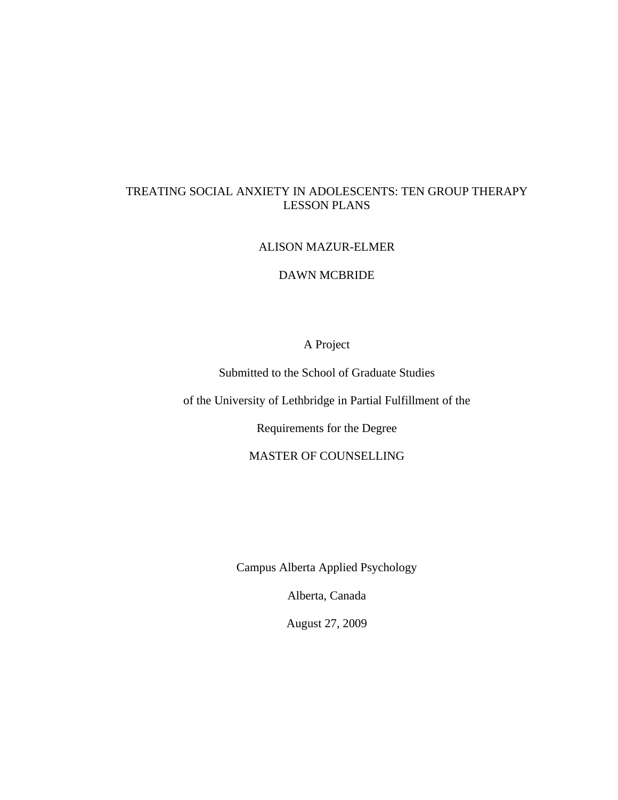# TREATING SOCIAL ANXIETY IN ADOLESCENTS: TEN GROUP THERAPY LESSON PLANS

# ALISON MAZUR-ELMER

# DAWN MCBRIDE

# A Project

Submitted to the School of Graduate Studies

of the University of Lethbridge in Partial Fulfillment of the

Requirements for the Degree

MASTER OF COUNSELLING

Campus Alberta Applied Psychology

Alberta, Canada

August 27, 2009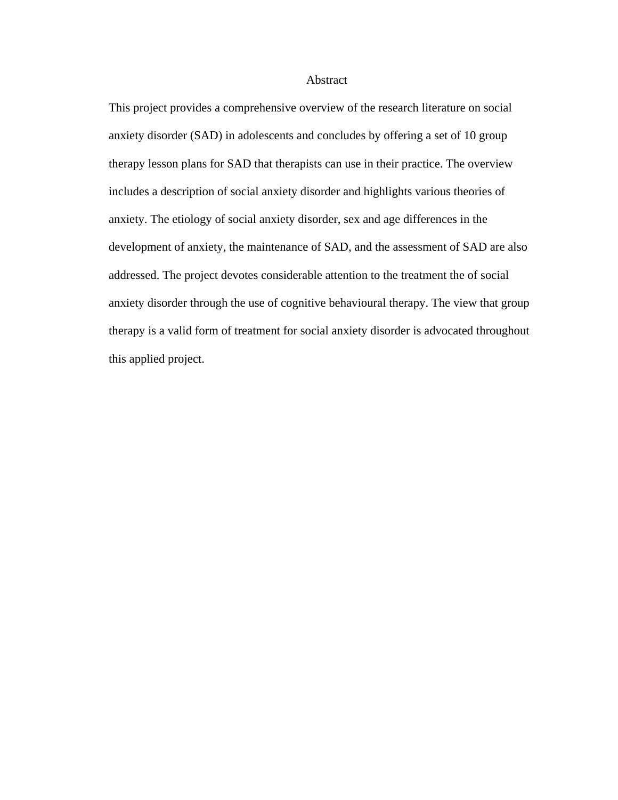### Abstract

This project provides a comprehensive overview of the research literature on social anxiety disorder (SAD) in adolescents and concludes by offering a set of 10 group therapy lesson plans for SAD that therapists can use in their practice. The overview includes a description of social anxiety disorder and highlights various theories of anxiety. The etiology of social anxiety disorder, sex and age differences in the development of anxiety, the maintenance of SAD, and the assessment of SAD are also addressed. The project devotes considerable attention to the treatment the of social anxiety disorder through the use of cognitive behavioural therapy. The view that group therapy is a valid form of treatment for social anxiety disorder is advocated throughout this applied project.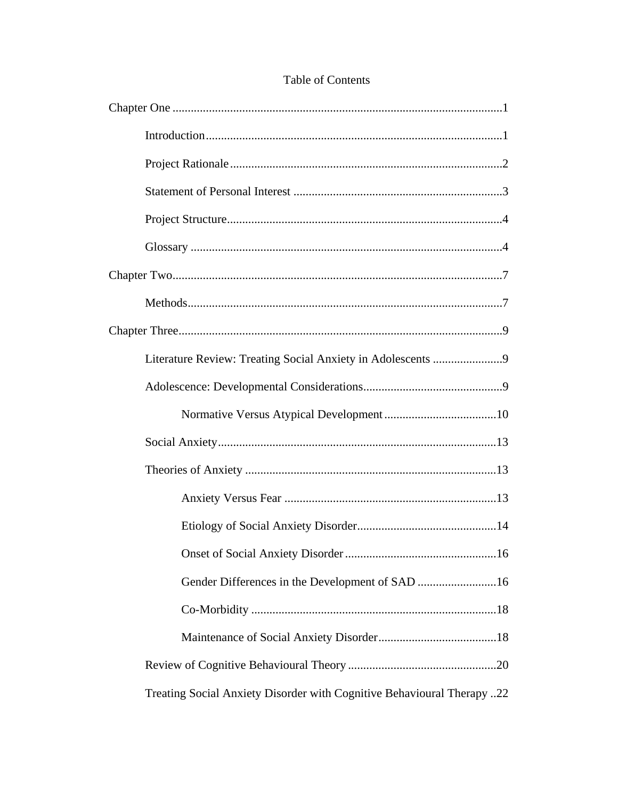| Treating Social Anxiety Disorder with Cognitive Behavioural Therapy22 |
|-----------------------------------------------------------------------|

# Table of Contents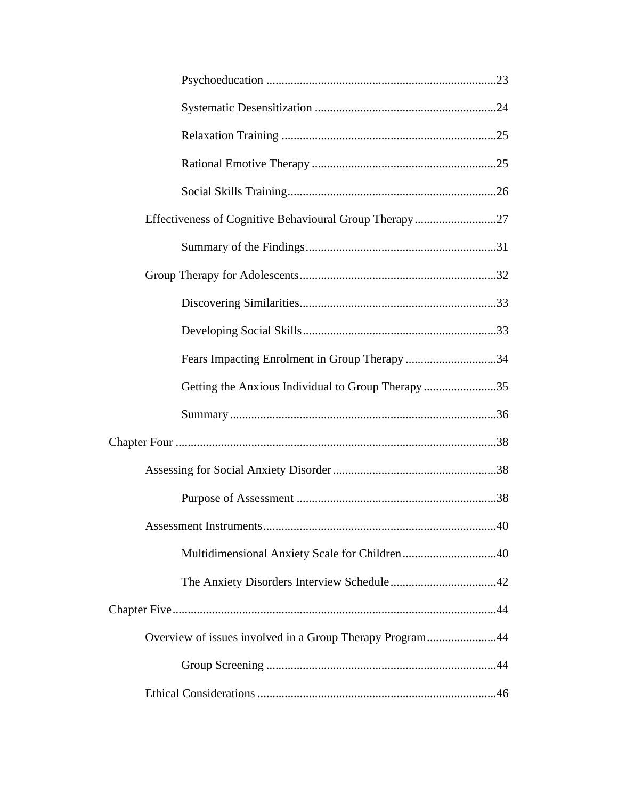| Fears Impacting Enrolment in Group Therapy 34            |
|----------------------------------------------------------|
| Getting the Anxious Individual to Group Therapy35        |
|                                                          |
|                                                          |
|                                                          |
|                                                          |
|                                                          |
|                                                          |
|                                                          |
|                                                          |
| Overview of issues involved in a Group Therapy Program44 |
|                                                          |
|                                                          |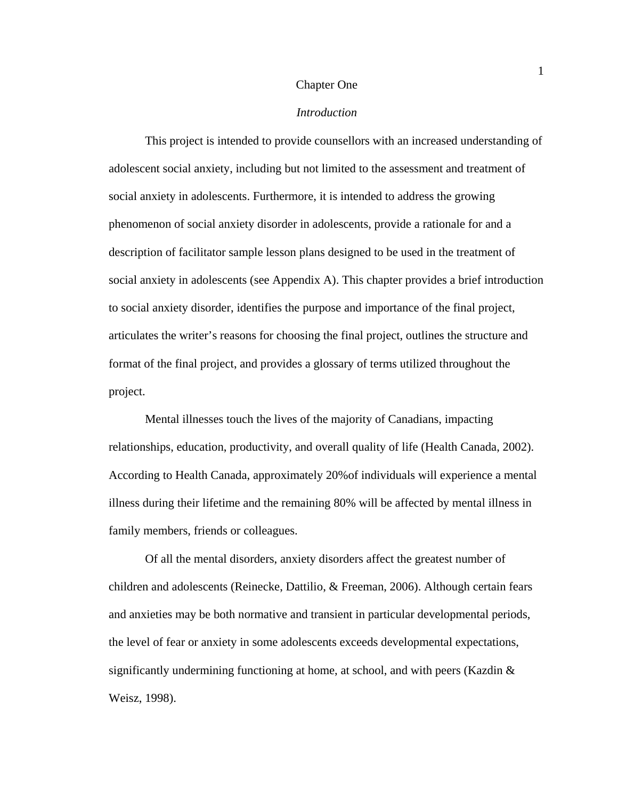### Chapter One

# *Introduction*

This project is intended to provide counsellors with an increased understanding of adolescent social anxiety, including but not limited to the assessment and treatment of social anxiety in adolescents. Furthermore, it is intended to address the growing phenomenon of social anxiety disorder in adolescents, provide a rationale for and a description of facilitator sample lesson plans designed to be used in the treatment of social anxiety in adolescents (see Appendix A). This chapter provides a brief introduction to social anxiety disorder, identifies the purpose and importance of the final project, articulates the writer's reasons for choosing the final project, outlines the structure and format of the final project, and provides a glossary of terms utilized throughout the project.

Mental illnesses touch the lives of the majority of Canadians, impacting relationships, education, productivity, and overall quality of life (Health Canada, 2002). According to Health Canada, approximately 20%of individuals will experience a mental illness during their lifetime and the remaining 80% will be affected by mental illness in family members, friends or colleagues.

Of all the mental disorders, anxiety disorders affect the greatest number of children and adolescents (Reinecke, Dattilio, & Freeman, 2006). Although certain fears and anxieties may be both normative and transient in particular developmental periods, the level of fear or anxiety in some adolescents exceeds developmental expectations, significantly undermining functioning at home, at school, and with peers (Kazdin & Weisz, 1998).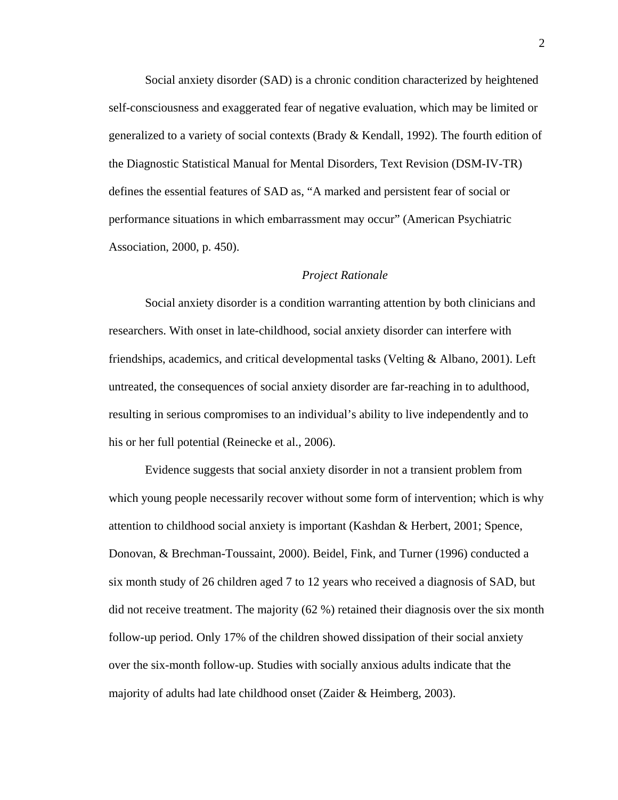Social anxiety disorder (SAD) is a chronic condition characterized by heightened self-consciousness and exaggerated fear of negative evaluation, which may be limited or generalized to a variety of social contexts (Brady & Kendall, 1992). The fourth edition of the Diagnostic Statistical Manual for Mental Disorders, Text Revision (DSM-IV-TR) defines the essential features of SAD as, "A marked and persistent fear of social or performance situations in which embarrassment may occur" (American Psychiatric Association, 2000, p. 450).

### *Project Rationale*

Social anxiety disorder is a condition warranting attention by both clinicians and researchers. With onset in late-childhood, social anxiety disorder can interfere with friendships, academics, and critical developmental tasks (Velting & Albano, 2001). Left untreated, the consequences of social anxiety disorder are far-reaching in to adulthood, resulting in serious compromises to an individual's ability to live independently and to his or her full potential (Reinecke et al., 2006).

Evidence suggests that social anxiety disorder in not a transient problem from which young people necessarily recover without some form of intervention; which is why attention to childhood social anxiety is important (Kashdan & Herbert, 2001; Spence, Donovan, & Brechman-Toussaint, 2000). Beidel, Fink, and Turner (1996) conducted a six month study of 26 children aged 7 to 12 years who received a diagnosis of SAD, but did not receive treatment. The majority (62 %) retained their diagnosis over the six month follow-up period. Only 17% of the children showed dissipation of their social anxiety over the six-month follow-up. Studies with socially anxious adults indicate that the majority of adults had late childhood onset (Zaider & Heimberg, 2003).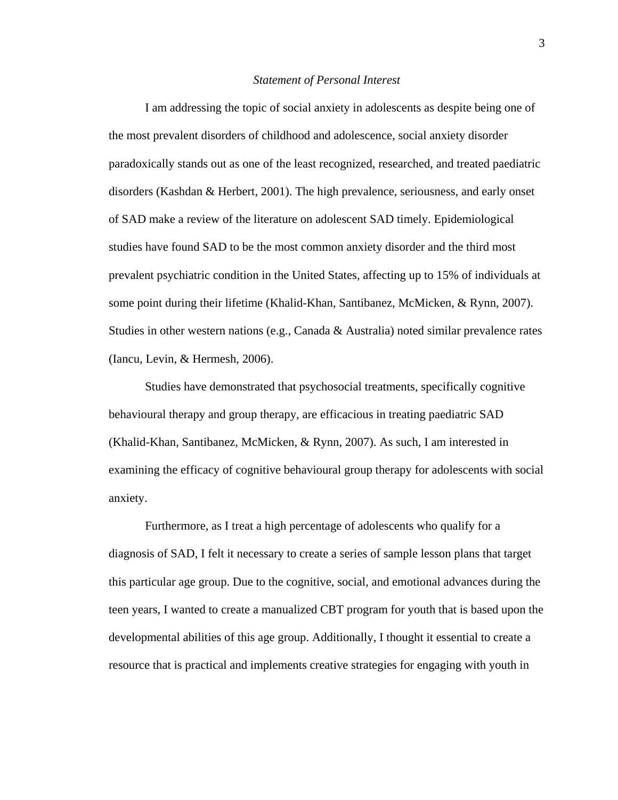### *Statement of Personal Interest*

I am addressing the topic of social anxiety in adolescents as despite being one of the most prevalent disorders of childhood and adolescence, social anxiety disorder paradoxically stands out as one of the least recognized, researched, and treated paediatric disorders (Kashdan & Herbert, 2001). The high prevalence, seriousness, and early onset of SAD make a review of the literature on adolescent SAD timely. Epidemiological studies have found SAD to be the most common anxiety disorder and the third most prevalent psychiatric condition in the United States, affecting up to 15% of individuals at some point during their lifetime (Khalid-Khan, Santibanez, McMicken, & Rynn, 2007). Studies in other western nations (e.g., Canada & Australia) noted similar prevalence rates (Iancu, Levin, & Hermesh, 2006).

Studies have demonstrated that psychosocial treatments, specifically cognitive behavioural therapy and group therapy, are efficacious in treating paediatric SAD (Khalid-Khan, Santibanez, McMicken, & Rynn, 2007). As such, I am interested in examining the efficacy of cognitive behavioural group therapy for adolescents with social anxiety.

Furthermore, as I treat a high percentage of adolescents who qualify for a diagnosis of SAD, I felt it necessary to create a series of sample lesson plans that target this particular age group. Due to the cognitive, social, and emotional advances during the teen years, I wanted to create a manualized CBT program for youth that is based upon the developmental abilities of this age group. Additionally, I thought it essential to create a resource that is practical and implements creative strategies for engaging with youth in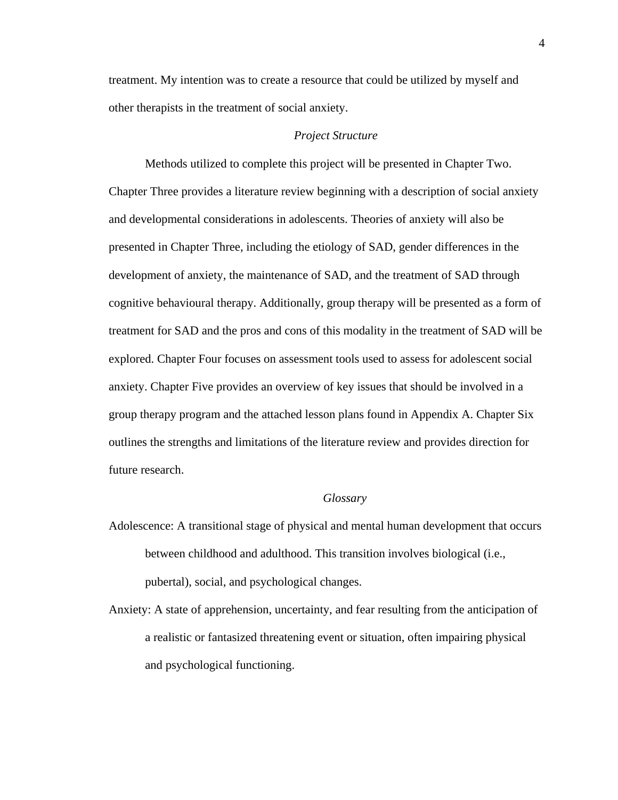treatment. My intention was to create a resource that could be utilized by myself and other therapists in the treatment of social anxiety.

# *Project Structure*

Methods utilized to complete this project will be presented in Chapter Two. Chapter Three provides a literature review beginning with a description of social anxiety and developmental considerations in adolescents. Theories of anxiety will also be presented in Chapter Three, including the etiology of SAD, gender differences in the development of anxiety, the maintenance of SAD, and the treatment of SAD through cognitive behavioural therapy. Additionally, group therapy will be presented as a form of treatment for SAD and the pros and cons of this modality in the treatment of SAD will be explored. Chapter Four focuses on assessment tools used to assess for adolescent social anxiety. Chapter Five provides an overview of key issues that should be involved in a group therapy program and the attached lesson plans found in Appendix A. Chapter Six outlines the strengths and limitations of the literature review and provides direction for future research.

### *Glossary*

- Adolescence: A transitional stage of physical and mental human development that occurs between childhood and adulthood. This transition involves biological (i.e., pubertal), social, and psychological changes.
- Anxiety: A state of apprehension, uncertainty, and fear resulting from the anticipation of a realistic or fantasized threatening event or situation, often impairing physical and psychological functioning.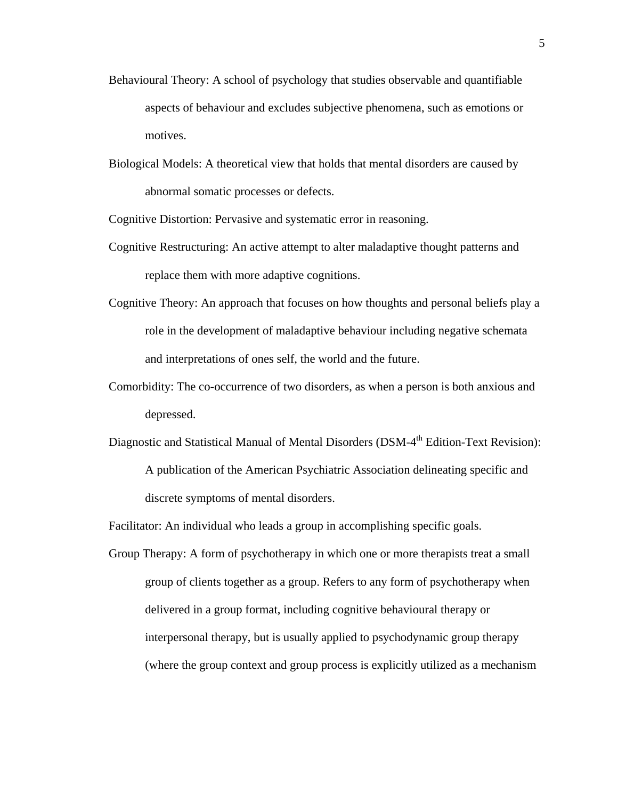- Behavioural Theory: A school of psychology that studies observable and quantifiable aspects of behaviour and excludes subjective phenomena, such as emotions or motives.
- Biological Models: A theoretical view that holds that mental disorders are caused by abnormal somatic processes or defects.

Cognitive Distortion: Pervasive and systematic error in reasoning.

- Cognitive Restructuring: An active attempt to alter maladaptive thought patterns and replace them with more adaptive cognitions.
- Cognitive Theory: An approach that focuses on how thoughts and personal beliefs play a role in the development of maladaptive behaviour including negative schemata and interpretations of ones self, the world and the future.
- Comorbidity: The co-occurrence of two disorders, as when a person is both anxious and depressed.
- Diagnostic and Statistical Manual of Mental Disorders (DSM-4<sup>th</sup> Edition-Text Revision): A publication of the American Psychiatric Association delineating specific and discrete symptoms of mental disorders.

Facilitator: An individual who leads a group in accomplishing specific goals.

Group Therapy: A form of psychotherapy in which one or more therapists treat a small group of clients together as a group. Refers to any form of psychotherapy when delivered in a group format, including cognitive behavioural therapy or interpersonal therapy, but is usually applied to psychodynamic group therapy (where the group context and group process is explicitly utilized as a mechanism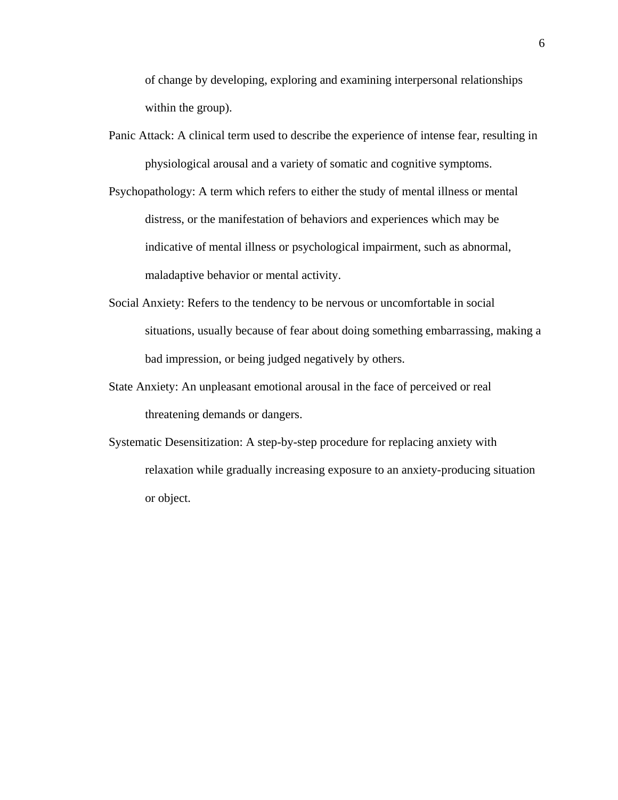of change by developing, exploring and examining interpersonal relationships within the group).

- Panic Attack: A clinical term used to describe the experience of intense fear, resulting in physiological arousal and a variety of somatic and cognitive symptoms.
- Psychopathology: A term which refers to either the study of mental illness or mental distress, or the manifestation of behaviors and experiences which may be indicative of mental illness or psychological impairment, such as abnormal, maladaptive behavior or mental activity.
- Social Anxiety: Refers to the tendency to be nervous or uncomfortable in social situations, usually because of fear about doing something embarrassing, making a bad impression, or being judged negatively by others.
- State Anxiety: An unpleasant emotional arousal in the face of perceived or real threatening demands or dangers.
- Systematic Desensitization: A step-by-step procedure for replacing anxiety with relaxation while gradually increasing exposure to an anxiety-producing situation or object.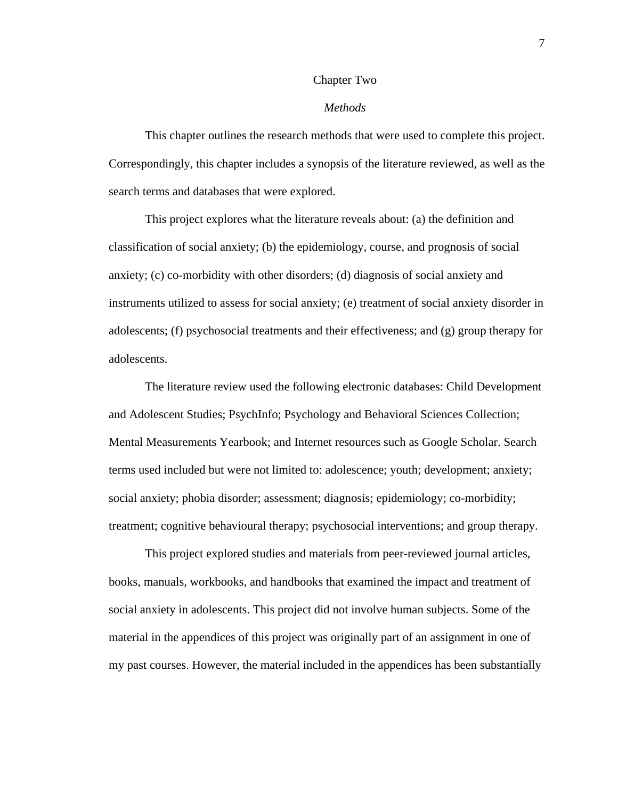### Chapter Two

### *Methods*

This chapter outlines the research methods that were used to complete this project. Correspondingly, this chapter includes a synopsis of the literature reviewed, as well as the search terms and databases that were explored.

This project explores what the literature reveals about: (a) the definition and classification of social anxiety; (b) the epidemiology, course, and prognosis of social anxiety; (c) co-morbidity with other disorders; (d) diagnosis of social anxiety and instruments utilized to assess for social anxiety; (e) treatment of social anxiety disorder in adolescents; (f) psychosocial treatments and their effectiveness; and (g) group therapy for adolescents.

The literature review used the following electronic databases: Child Development and Adolescent Studies; PsychInfo; Psychology and Behavioral Sciences Collection; Mental Measurements Yearbook; and Internet resources such as Google Scholar. Search terms used included but were not limited to: adolescence; youth; development; anxiety; social anxiety; phobia disorder; assessment; diagnosis; epidemiology; co-morbidity; treatment; cognitive behavioural therapy; psychosocial interventions; and group therapy.

This project explored studies and materials from peer-reviewed journal articles, books, manuals, workbooks, and handbooks that examined the impact and treatment of social anxiety in adolescents. This project did not involve human subjects. Some of the material in the appendices of this project was originally part of an assignment in one of my past courses. However, the material included in the appendices has been substantially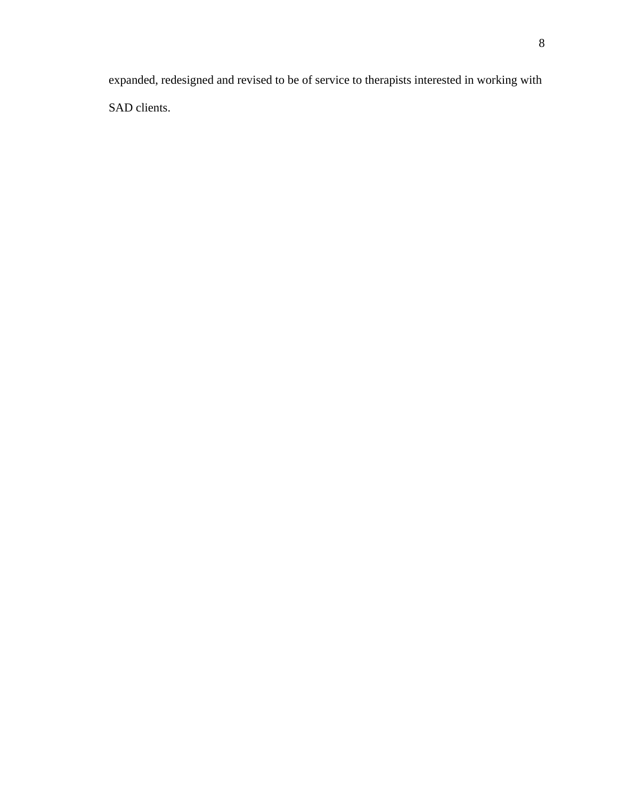expanded, redesigned and revised to be of service to therapists interested in working with SAD clients.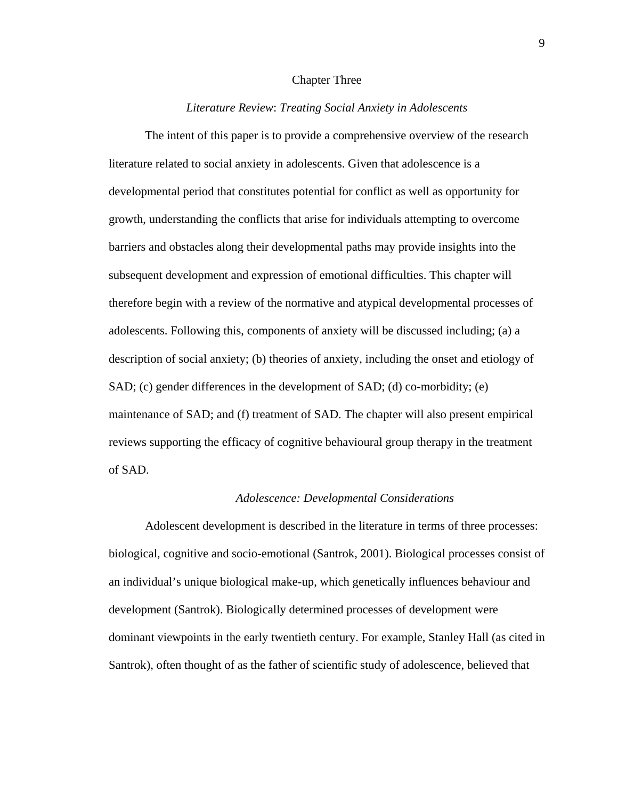## Chapter Three

# *Literature Review*: *Treating Social Anxiety in Adolescents*

The intent of this paper is to provide a comprehensive overview of the research literature related to social anxiety in adolescents. Given that adolescence is a developmental period that constitutes potential for conflict as well as opportunity for growth, understanding the conflicts that arise for individuals attempting to overcome barriers and obstacles along their developmental paths may provide insights into the subsequent development and expression of emotional difficulties. This chapter will therefore begin with a review of the normative and atypical developmental processes of adolescents. Following this, components of anxiety will be discussed including; (a) a description of social anxiety; (b) theories of anxiety, including the onset and etiology of SAD; (c) gender differences in the development of SAD; (d) co-morbidity; (e) maintenance of SAD; and (f) treatment of SAD. The chapter will also present empirical reviews supporting the efficacy of cognitive behavioural group therapy in the treatment of SAD.

#### *Adolescence: Developmental Considerations*

Adolescent development is described in the literature in terms of three processes: biological, cognitive and socio-emotional (Santrok, 2001). Biological processes consist of an individual's unique biological make-up, which genetically influences behaviour and development (Santrok). Biologically determined processes of development were dominant viewpoints in the early twentieth century. For example, Stanley Hall (as cited in Santrok), often thought of as the father of scientific study of adolescence, believed that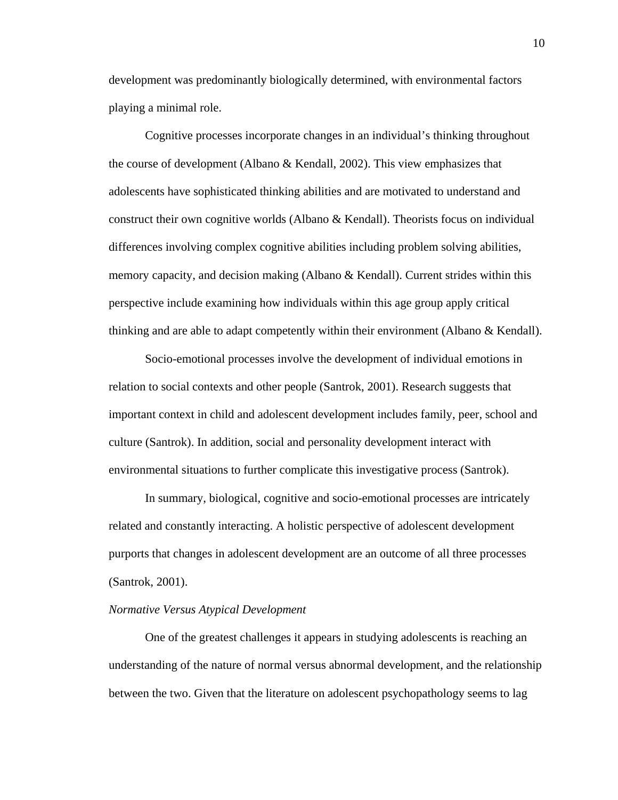development was predominantly biologically determined, with environmental factors playing a minimal role.

Cognitive processes incorporate changes in an individual's thinking throughout the course of development (Albano & Kendall, 2002). This view emphasizes that adolescents have sophisticated thinking abilities and are motivated to understand and construct their own cognitive worlds (Albano & Kendall). Theorists focus on individual differences involving complex cognitive abilities including problem solving abilities, memory capacity, and decision making (Albano & Kendall). Current strides within this perspective include examining how individuals within this age group apply critical thinking and are able to adapt competently within their environment (Albano & Kendall).

Socio-emotional processes involve the development of individual emotions in relation to social contexts and other people (Santrok, 2001). Research suggests that important context in child and adolescent development includes family, peer, school and culture (Santrok). In addition, social and personality development interact with environmental situations to further complicate this investigative process (Santrok).

In summary, biological, cognitive and socio-emotional processes are intricately related and constantly interacting. A holistic perspective of adolescent development purports that changes in adolescent development are an outcome of all three processes (Santrok, 2001).

### *Normative Versus Atypical Development*

 One of the greatest challenges it appears in studying adolescents is reaching an understanding of the nature of normal versus abnormal development, and the relationship between the two. Given that the literature on adolescent psychopathology seems to lag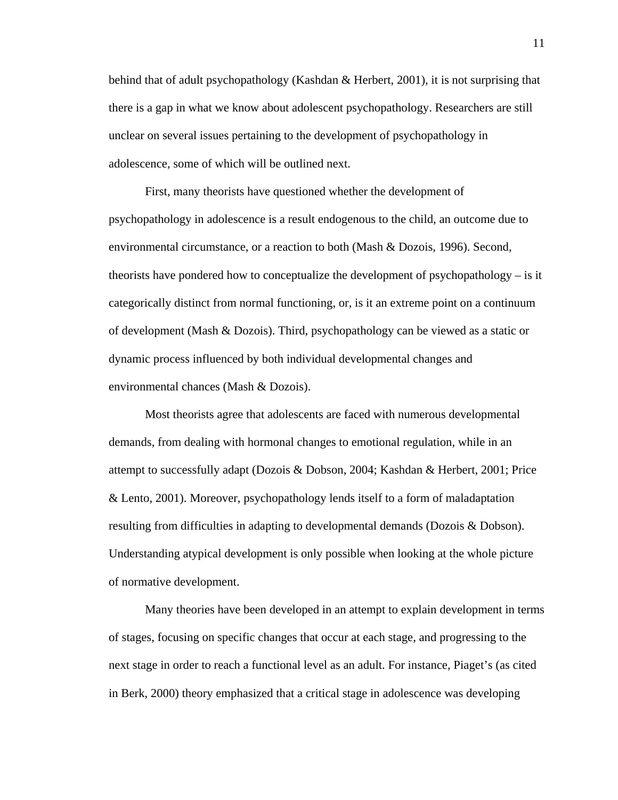behind that of adult psychopathology (Kashdan & Herbert, 2001), it is not surprising that there is a gap in what we know about adolescent psychopathology. Researchers are still unclear on several issues pertaining to the development of psychopathology in adolescence, some of which will be outlined next.

 First, many theorists have questioned whether the development of psychopathology in adolescence is a result endogenous to the child, an outcome due to environmental circumstance, or a reaction to both (Mash & Dozois, 1996). Second, theorists have pondered how to conceptualize the development of psychopathology – is it categorically distinct from normal functioning, or, is it an extreme point on a continuum of development (Mash & Dozois). Third, psychopathology can be viewed as a static or dynamic process influenced by both individual developmental changes and environmental chances (Mash & Dozois).

Most theorists agree that adolescents are faced with numerous developmental demands, from dealing with hormonal changes to emotional regulation, while in an attempt to successfully adapt (Dozois & Dobson, 2004; Kashdan & Herbert, 2001; Price & Lento, 2001). Moreover, psychopathology lends itself to a form of maladaptation resulting from difficulties in adapting to developmental demands (Dozois & Dobson). Understanding atypical development is only possible when looking at the whole picture of normative development.

Many theories have been developed in an attempt to explain development in terms of stages, focusing on specific changes that occur at each stage, and progressing to the next stage in order to reach a functional level as an adult. For instance, Piaget's (as cited in Berk, 2000) theory emphasized that a critical stage in adolescence was developing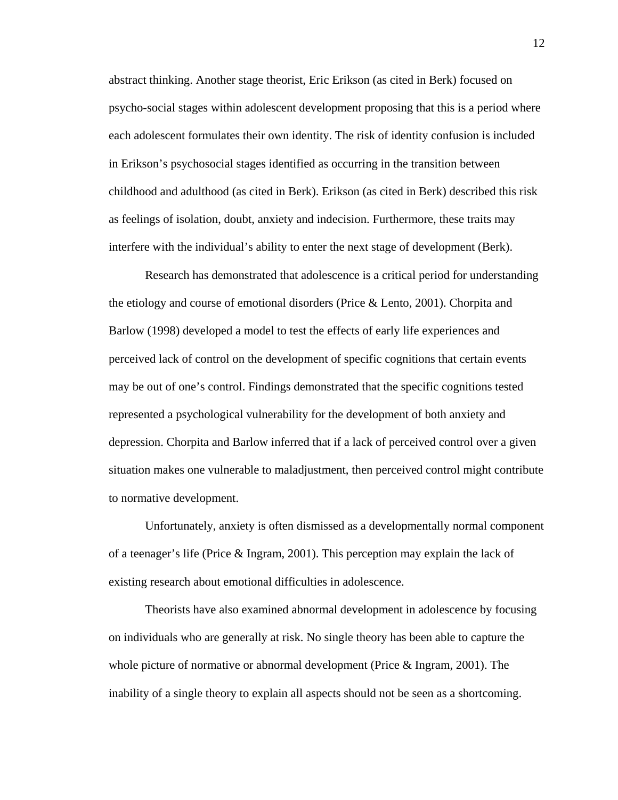abstract thinking. Another stage theorist, Eric Erikson (as cited in Berk) focused on psycho-social stages within adolescent development proposing that this is a period where each adolescent formulates their own identity. The risk of identity confusion is included in Erikson's psychosocial stages identified as occurring in the transition between childhood and adulthood (as cited in Berk). Erikson (as cited in Berk) described this risk as feelings of isolation, doubt, anxiety and indecision. Furthermore, these traits may interfere with the individual's ability to enter the next stage of development (Berk).

Research has demonstrated that adolescence is a critical period for understanding the etiology and course of emotional disorders (Price & Lento, 2001). Chorpita and Barlow (1998) developed a model to test the effects of early life experiences and perceived lack of control on the development of specific cognitions that certain events may be out of one's control. Findings demonstrated that the specific cognitions tested represented a psychological vulnerability for the development of both anxiety and depression. Chorpita and Barlow inferred that if a lack of perceived control over a given situation makes one vulnerable to maladjustment, then perceived control might contribute to normative development.

Unfortunately, anxiety is often dismissed as a developmentally normal component of a teenager's life (Price & Ingram, 2001). This perception may explain the lack of existing research about emotional difficulties in adolescence.

Theorists have also examined abnormal development in adolescence by focusing on individuals who are generally at risk. No single theory has been able to capture the whole picture of normative or abnormal development (Price & Ingram, 2001). The inability of a single theory to explain all aspects should not be seen as a shortcoming.

12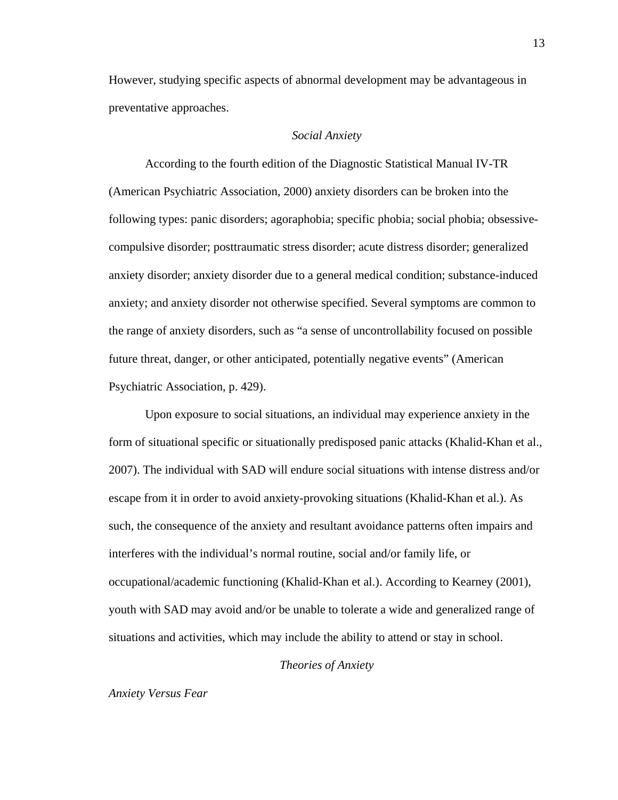However, studying specific aspects of abnormal development may be advantageous in preventative approaches.

### *Social Anxiety*

According to the fourth edition of the Diagnostic Statistical Manual IV-TR (American Psychiatric Association, 2000) anxiety disorders can be broken into the following types: panic disorders; agoraphobia; specific phobia; social phobia; obsessivecompulsive disorder; posttraumatic stress disorder; acute distress disorder; generalized anxiety disorder; anxiety disorder due to a general medical condition; substance-induced anxiety; and anxiety disorder not otherwise specified. Several symptoms are common to the range of anxiety disorders, such as "a sense of uncontrollability focused on possible future threat, danger, or other anticipated, potentially negative events" (American Psychiatric Association, p. 429).

Upon exposure to social situations, an individual may experience anxiety in the form of situational specific or situationally predisposed panic attacks (Khalid-Khan et al., 2007). The individual with SAD will endure social situations with intense distress and/or escape from it in order to avoid anxiety-provoking situations (Khalid-Khan et al.). As such, the consequence of the anxiety and resultant avoidance patterns often impairs and interferes with the individual's normal routine, social and/or family life, or occupational/academic functioning (Khalid-Khan et al.). According to Kearney (2001), youth with SAD may avoid and/or be unable to tolerate a wide and generalized range of situations and activities, which may include the ability to attend or stay in school.

# *Theories of Anxiety*

#### *Anxiety Versus Fear*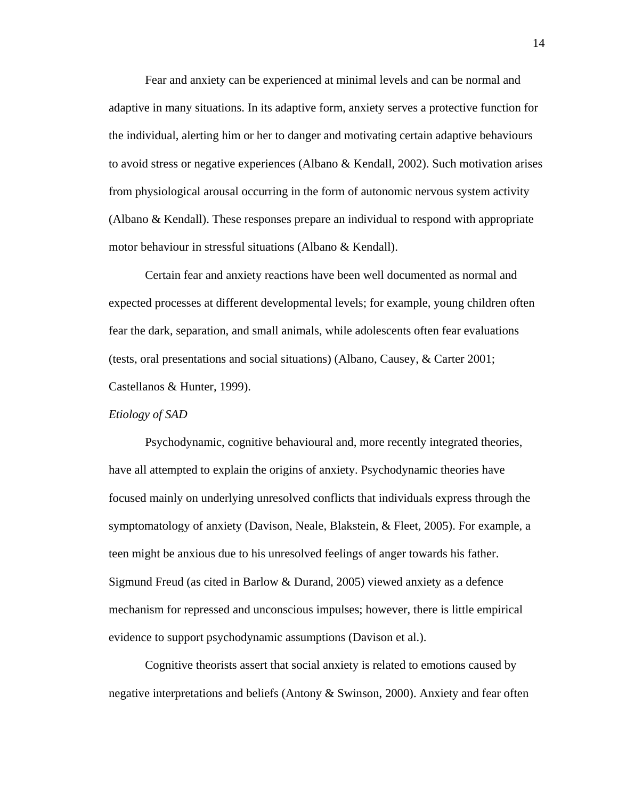Fear and anxiety can be experienced at minimal levels and can be normal and adaptive in many situations. In its adaptive form, anxiety serves a protective function for the individual, alerting him or her to danger and motivating certain adaptive behaviours to avoid stress or negative experiences (Albano & Kendall, 2002). Such motivation arises from physiological arousal occurring in the form of autonomic nervous system activity (Albano & Kendall). These responses prepare an individual to respond with appropriate motor behaviour in stressful situations (Albano & Kendall).

Certain fear and anxiety reactions have been well documented as normal and expected processes at different developmental levels; for example, young children often fear the dark, separation, and small animals, while adolescents often fear evaluations (tests, oral presentations and social situations) (Albano, Causey, & Carter 2001; Castellanos & Hunter, 1999).

### *Etiology of SAD*

Psychodynamic, cognitive behavioural and, more recently integrated theories, have all attempted to explain the origins of anxiety. Psychodynamic theories have focused mainly on underlying unresolved conflicts that individuals express through the symptomatology of anxiety (Davison, Neale, Blakstein, & Fleet, 2005). For example, a teen might be anxious due to his unresolved feelings of anger towards his father. Sigmund Freud (as cited in Barlow & Durand, 2005) viewed anxiety as a defence mechanism for repressed and unconscious impulses; however, there is little empirical evidence to support psychodynamic assumptions (Davison et al.).

 Cognitive theorists assert that social anxiety is related to emotions caused by negative interpretations and beliefs (Antony & Swinson, 2000). Anxiety and fear often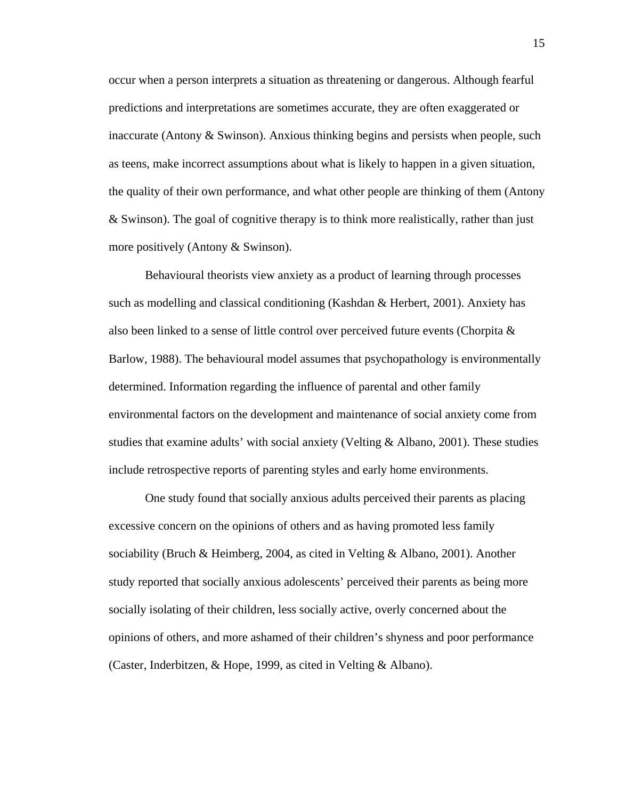occur when a person interprets a situation as threatening or dangerous. Although fearful predictions and interpretations are sometimes accurate, they are often exaggerated or inaccurate (Antony & Swinson). Anxious thinking begins and persists when people, such as teens, make incorrect assumptions about what is likely to happen in a given situation, the quality of their own performance, and what other people are thinking of them (Antony & Swinson). The goal of cognitive therapy is to think more realistically, rather than just more positively (Antony & Swinson).

Behavioural theorists view anxiety as a product of learning through processes such as modelling and classical conditioning (Kashdan & Herbert, 2001). Anxiety has also been linked to a sense of little control over perceived future events (Chorpita & Barlow, 1988). The behavioural model assumes that psychopathology is environmentally determined. Information regarding the influence of parental and other family environmental factors on the development and maintenance of social anxiety come from studies that examine adults' with social anxiety (Velting  $\&$  Albano, 2001). These studies include retrospective reports of parenting styles and early home environments.

One study found that socially anxious adults perceived their parents as placing excessive concern on the opinions of others and as having promoted less family sociability (Bruch & Heimberg, 2004, as cited in Velting & Albano, 2001). Another study reported that socially anxious adolescents' perceived their parents as being more socially isolating of their children, less socially active, overly concerned about the opinions of others, and more ashamed of their children's shyness and poor performance (Caster, Inderbitzen, & Hope, 1999, as cited in Velting & Albano).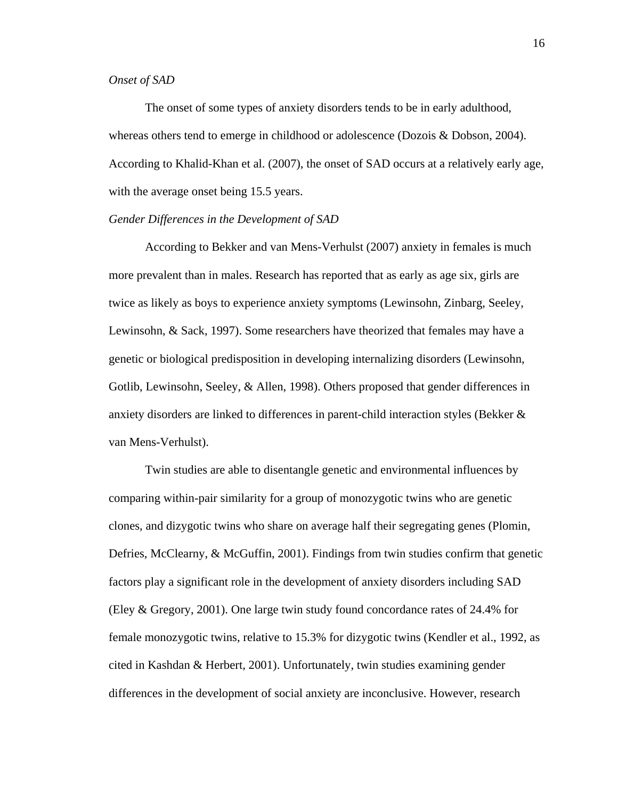# *Onset of SAD*

The onset of some types of anxiety disorders tends to be in early adulthood, whereas others tend to emerge in childhood or adolescence (Dozois & Dobson, 2004). According to Khalid-Khan et al. (2007), the onset of SAD occurs at a relatively early age, with the average onset being 15.5 years.

## *Gender Differences in the Development of SAD*

According to Bekker and van Mens-Verhulst (2007) anxiety in females is much more prevalent than in males. Research has reported that as early as age six, girls are twice as likely as boys to experience anxiety symptoms (Lewinsohn, Zinbarg, Seeley, Lewinsohn, & Sack, 1997). Some researchers have theorized that females may have a genetic or biological predisposition in developing internalizing disorders (Lewinsohn, Gotlib, Lewinsohn, Seeley, & Allen, 1998). Others proposed that gender differences in anxiety disorders are linked to differences in parent-child interaction styles (Bekker & van Mens-Verhulst).

Twin studies are able to disentangle genetic and environmental influences by comparing within-pair similarity for a group of monozygotic twins who are genetic clones, and dizygotic twins who share on average half their segregating genes (Plomin, Defries, McClearny, & McGuffin, 2001). Findings from twin studies confirm that genetic factors play a significant role in the development of anxiety disorders including SAD (Eley & Gregory, 2001). One large twin study found concordance rates of 24.4% for female monozygotic twins, relative to 15.3% for dizygotic twins (Kendler et al., 1992, as cited in Kashdan & Herbert, 2001). Unfortunately, twin studies examining gender differences in the development of social anxiety are inconclusive. However, research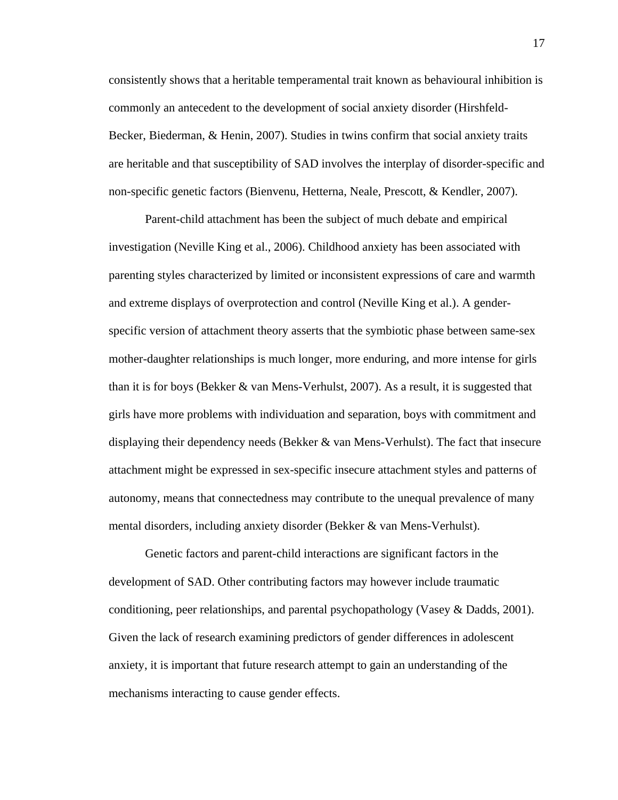consistently shows that a heritable temperamental trait known as behavioural inhibition is commonly an antecedent to the development of social anxiety disorder (Hirshfeld-Becker, Biederman, & Henin, 2007). Studies in twins confirm that social anxiety traits are heritable and that susceptibility of SAD involves the interplay of disorder-specific and non-specific genetic factors (Bienvenu, Hetterna, Neale, Prescott, & Kendler, 2007).

Parent-child attachment has been the subject of much debate and empirical investigation (Neville King et al., 2006). Childhood anxiety has been associated with parenting styles characterized by limited or inconsistent expressions of care and warmth and extreme displays of overprotection and control (Neville King et al.). A genderspecific version of attachment theory asserts that the symbiotic phase between same-sex mother-daughter relationships is much longer, more enduring, and more intense for girls than it is for boys (Bekker & van Mens-Verhulst, 2007). As a result, it is suggested that girls have more problems with individuation and separation, boys with commitment and displaying their dependency needs (Bekker & van Mens-Verhulst). The fact that insecure attachment might be expressed in sex-specific insecure attachment styles and patterns of autonomy, means that connectedness may contribute to the unequal prevalence of many mental disorders, including anxiety disorder (Bekker & van Mens-Verhulst).

 Genetic factors and parent-child interactions are significant factors in the development of SAD. Other contributing factors may however include traumatic conditioning, peer relationships, and parental psychopathology (Vasey & Dadds, 2001). Given the lack of research examining predictors of gender differences in adolescent anxiety, it is important that future research attempt to gain an understanding of the mechanisms interacting to cause gender effects.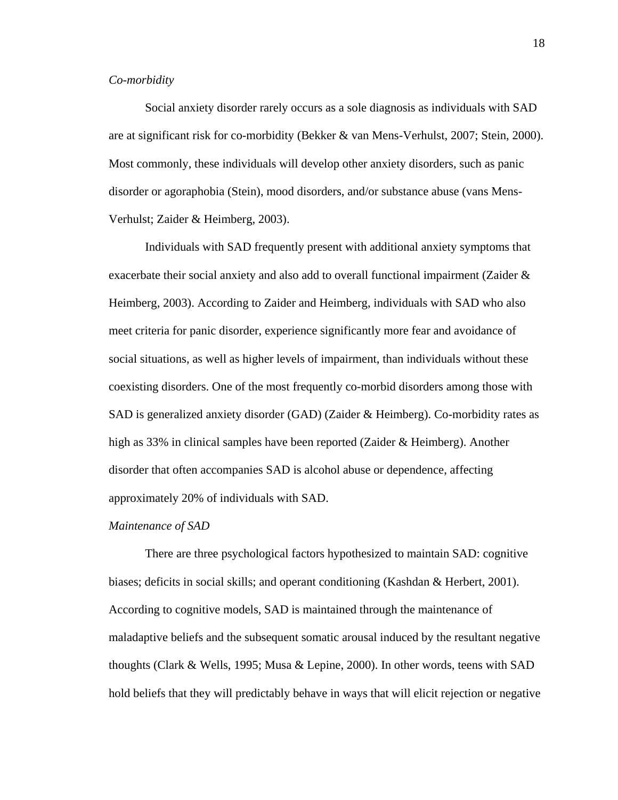### *Co-morbidity*

Social anxiety disorder rarely occurs as a sole diagnosis as individuals with SAD are at significant risk for co-morbidity (Bekker & van Mens-Verhulst, 2007; Stein, 2000). Most commonly, these individuals will develop other anxiety disorders, such as panic disorder or agoraphobia (Stein), mood disorders, and/or substance abuse (vans Mens-Verhulst; Zaider & Heimberg, 2003).

Individuals with SAD frequently present with additional anxiety symptoms that exacerbate their social anxiety and also add to overall functional impairment (Zaider & Heimberg, 2003). According to Zaider and Heimberg, individuals with SAD who also meet criteria for panic disorder, experience significantly more fear and avoidance of social situations, as well as higher levels of impairment, than individuals without these coexisting disorders. One of the most frequently co-morbid disorders among those with SAD is generalized anxiety disorder (GAD) (Zaider & Heimberg). Co-morbidity rates as high as 33% in clinical samples have been reported (Zaider & Heimberg). Another disorder that often accompanies SAD is alcohol abuse or dependence, affecting approximately 20% of individuals with SAD.

#### *Maintenance of SAD*

 There are three psychological factors hypothesized to maintain SAD: cognitive biases; deficits in social skills; and operant conditioning (Kashdan & Herbert, 2001). According to cognitive models, SAD is maintained through the maintenance of maladaptive beliefs and the subsequent somatic arousal induced by the resultant negative thoughts (Clark & Wells, 1995; Musa & Lepine, 2000). In other words, teens with SAD hold beliefs that they will predictably behave in ways that will elicit rejection or negative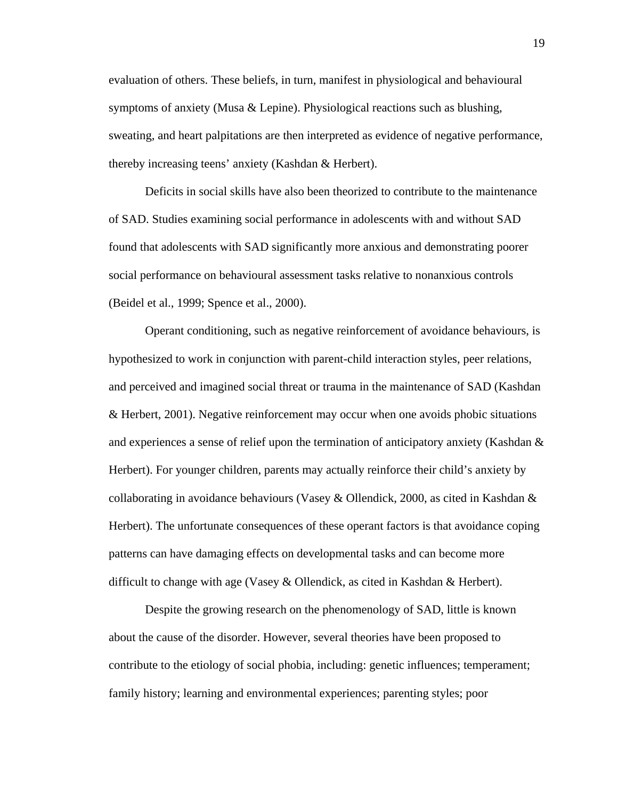evaluation of others. These beliefs, in turn, manifest in physiological and behavioural symptoms of anxiety (Musa & Lepine). Physiological reactions such as blushing, sweating, and heart palpitations are then interpreted as evidence of negative performance, thereby increasing teens' anxiety (Kashdan & Herbert).

 Deficits in social skills have also been theorized to contribute to the maintenance of SAD. Studies examining social performance in adolescents with and without SAD found that adolescents with SAD significantly more anxious and demonstrating poorer social performance on behavioural assessment tasks relative to nonanxious controls (Beidel et al., 1999; Spence et al., 2000).

 Operant conditioning, such as negative reinforcement of avoidance behaviours, is hypothesized to work in conjunction with parent-child interaction styles, peer relations, and perceived and imagined social threat or trauma in the maintenance of SAD (Kashdan & Herbert, 2001). Negative reinforcement may occur when one avoids phobic situations and experiences a sense of relief upon the termination of anticipatory anxiety (Kashdan & Herbert). For younger children, parents may actually reinforce their child's anxiety by collaborating in avoidance behaviours (Vasey & Ollendick, 2000, as cited in Kashdan & Herbert). The unfortunate consequences of these operant factors is that avoidance coping patterns can have damaging effects on developmental tasks and can become more difficult to change with age (Vasey & Ollendick, as cited in Kashdan & Herbert).

Despite the growing research on the phenomenology of SAD, little is known about the cause of the disorder. However, several theories have been proposed to contribute to the etiology of social phobia, including: genetic influences; temperament; family history; learning and environmental experiences; parenting styles; poor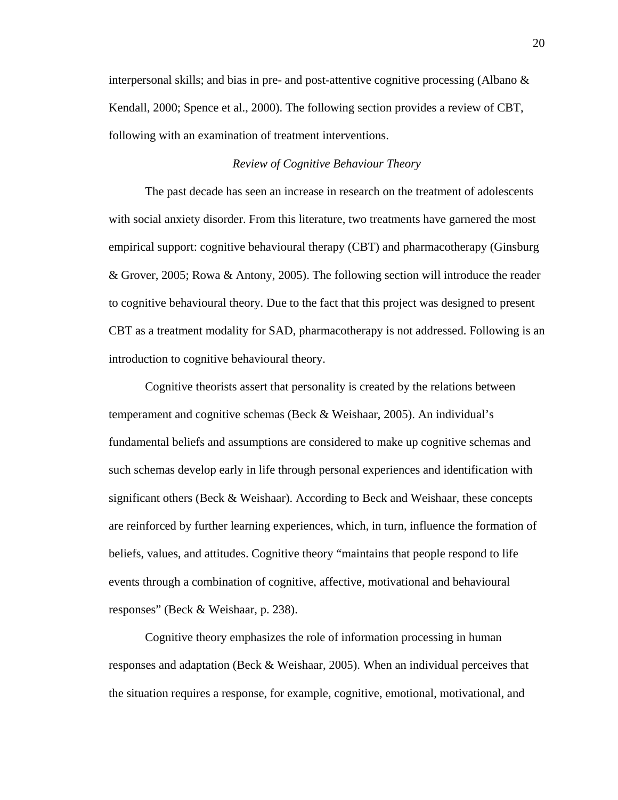interpersonal skills; and bias in pre- and post-attentive cognitive processing (Albano & Kendall, 2000; Spence et al., 2000). The following section provides a review of CBT, following with an examination of treatment interventions.

### *Review of Cognitive Behaviour Theory*

 The past decade has seen an increase in research on the treatment of adolescents with social anxiety disorder. From this literature, two treatments have garnered the most empirical support: cognitive behavioural therapy (CBT) and pharmacotherapy (Ginsburg & Grover, 2005; Rowa & Antony, 2005). The following section will introduce the reader to cognitive behavioural theory. Due to the fact that this project was designed to present CBT as a treatment modality for SAD, pharmacotherapy is not addressed. Following is an introduction to cognitive behavioural theory.

Cognitive theorists assert that personality is created by the relations between temperament and cognitive schemas (Beck & Weishaar, 2005). An individual's fundamental beliefs and assumptions are considered to make up cognitive schemas and such schemas develop early in life through personal experiences and identification with significant others (Beck & Weishaar). According to Beck and Weishaar, these concepts are reinforced by further learning experiences, which, in turn, influence the formation of beliefs, values, and attitudes. Cognitive theory "maintains that people respond to life events through a combination of cognitive, affective, motivational and behavioural responses" (Beck & Weishaar, p. 238).

Cognitive theory emphasizes the role of information processing in human responses and adaptation (Beck & Weishaar, 2005). When an individual perceives that the situation requires a response, for example, cognitive, emotional, motivational, and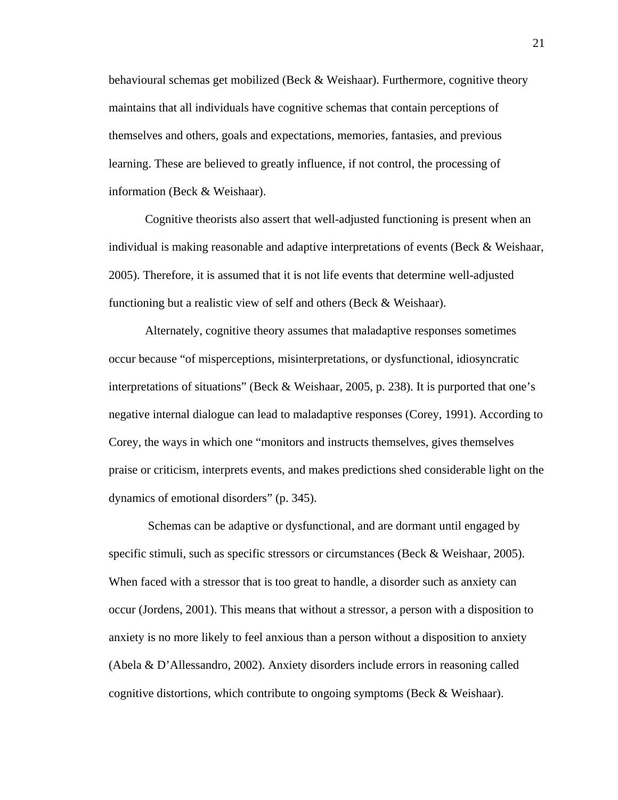behavioural schemas get mobilized (Beck & Weishaar). Furthermore, cognitive theory maintains that all individuals have cognitive schemas that contain perceptions of themselves and others, goals and expectations, memories, fantasies, and previous learning. These are believed to greatly influence, if not control, the processing of information (Beck & Weishaar).

Cognitive theorists also assert that well-adjusted functioning is present when an individual is making reasonable and adaptive interpretations of events (Beck & Weishaar, 2005). Therefore, it is assumed that it is not life events that determine well-adjusted functioning but a realistic view of self and others (Beck & Weishaar).

Alternately, cognitive theory assumes that maladaptive responses sometimes occur because "of misperceptions, misinterpretations, or dysfunctional, idiosyncratic interpretations of situations" (Beck & Weishaar, 2005, p. 238). It is purported that one's negative internal dialogue can lead to maladaptive responses (Corey, 1991). According to Corey, the ways in which one "monitors and instructs themselves, gives themselves praise or criticism, interprets events, and makes predictions shed considerable light on the dynamics of emotional disorders" (p. 345).

 Schemas can be adaptive or dysfunctional, and are dormant until engaged by specific stimuli, such as specific stressors or circumstances (Beck & Weishaar, 2005). When faced with a stressor that is too great to handle, a disorder such as anxiety can occur (Jordens, 2001). This means that without a stressor, a person with a disposition to anxiety is no more likely to feel anxious than a person without a disposition to anxiety (Abela & D'Allessandro, 2002). Anxiety disorders include errors in reasoning called cognitive distortions*,* which contribute to ongoing symptoms (Beck & Weishaar).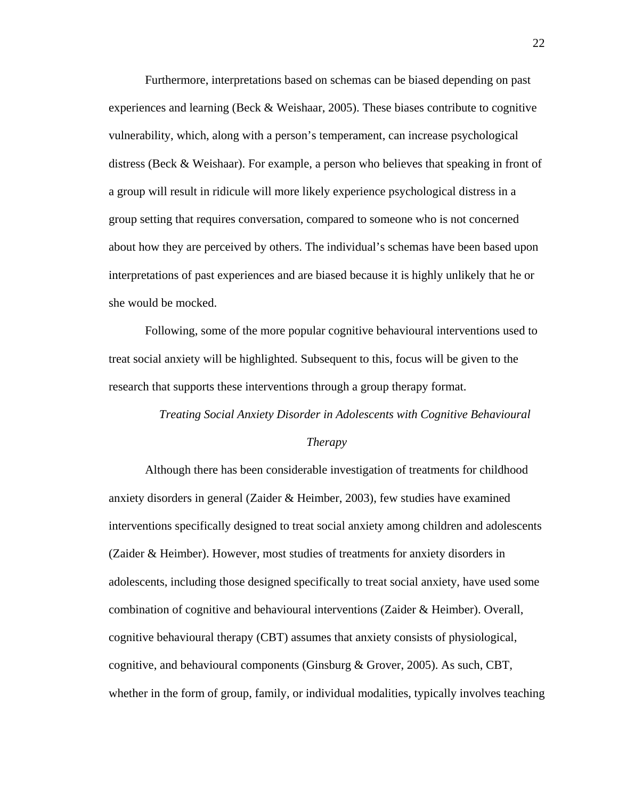Furthermore, interpretations based on schemas can be biased depending on past experiences and learning (Beck  $&$  Weishaar, 2005). These biases contribute to cognitive vulnerability, which, along with a person's temperament, can increase psychological distress (Beck & Weishaar). For example, a person who believes that speaking in front of a group will result in ridicule will more likely experience psychological distress in a group setting that requires conversation, compared to someone who is not concerned about how they are perceived by others. The individual's schemas have been based upon interpretations of past experiences and are biased because it is highly unlikely that he or she would be mocked.

Following, some of the more popular cognitive behavioural interventions used to treat social anxiety will be highlighted. Subsequent to this, focus will be given to the research that supports these interventions through a group therapy format.

# *Treating Social Anxiety Disorder in Adolescents with Cognitive Behavioural*

#### *Therapy*

Although there has been considerable investigation of treatments for childhood anxiety disorders in general (Zaider & Heimber, 2003), few studies have examined interventions specifically designed to treat social anxiety among children and adolescents (Zaider & Heimber). However, most studies of treatments for anxiety disorders in adolescents, including those designed specifically to treat social anxiety, have used some combination of cognitive and behavioural interventions (Zaider & Heimber). Overall, cognitive behavioural therapy (CBT) assumes that anxiety consists of physiological, cognitive, and behavioural components (Ginsburg & Grover, 2005). As such, CBT, whether in the form of group, family, or individual modalities, typically involves teaching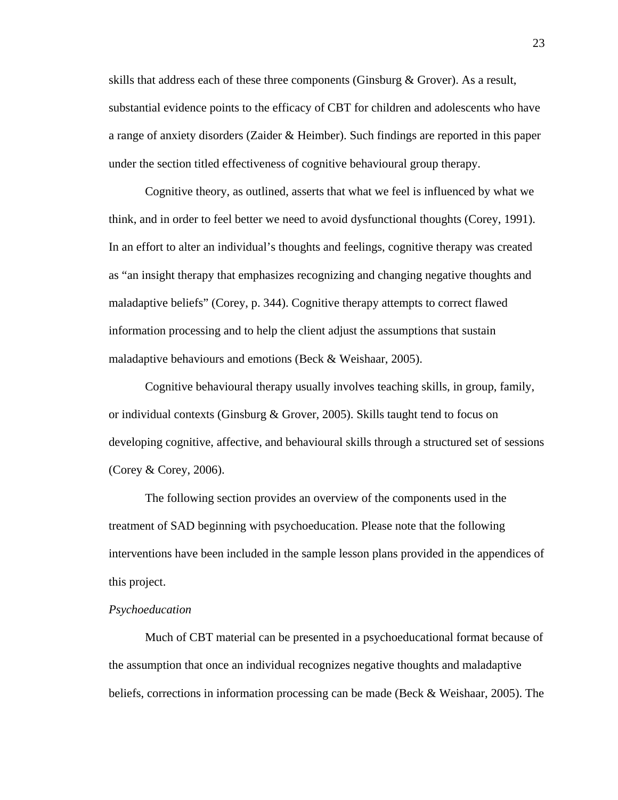skills that address each of these three components (Ginsburg & Grover). As a result, substantial evidence points to the efficacy of CBT for children and adolescents who have a range of anxiety disorders (Zaider & Heimber). Such findings are reported in this paper under the section titled effectiveness of cognitive behavioural group therapy.

Cognitive theory, as outlined, asserts that what we feel is influenced by what we think, and in order to feel better we need to avoid dysfunctional thoughts (Corey, 1991). In an effort to alter an individual's thoughts and feelings, cognitive therapy was created as "an insight therapy that emphasizes recognizing and changing negative thoughts and maladaptive beliefs" (Corey, p. 344). Cognitive therapy attempts to correct flawed information processing and to help the client adjust the assumptions that sustain maladaptive behaviours and emotions (Beck & Weishaar, 2005).

Cognitive behavioural therapy usually involves teaching skills, in group, family, or individual contexts (Ginsburg & Grover, 2005). Skills taught tend to focus on developing cognitive, affective, and behavioural skills through a structured set of sessions (Corey & Corey, 2006).

The following section provides an overview of the components used in the treatment of SAD beginning with psychoeducation. Please note that the following interventions have been included in the sample lesson plans provided in the appendices of this project.

### *Psychoeducation*

Much of CBT material can be presented in a psychoeducational format because of the assumption that once an individual recognizes negative thoughts and maladaptive beliefs, corrections in information processing can be made (Beck & Weishaar, 2005). The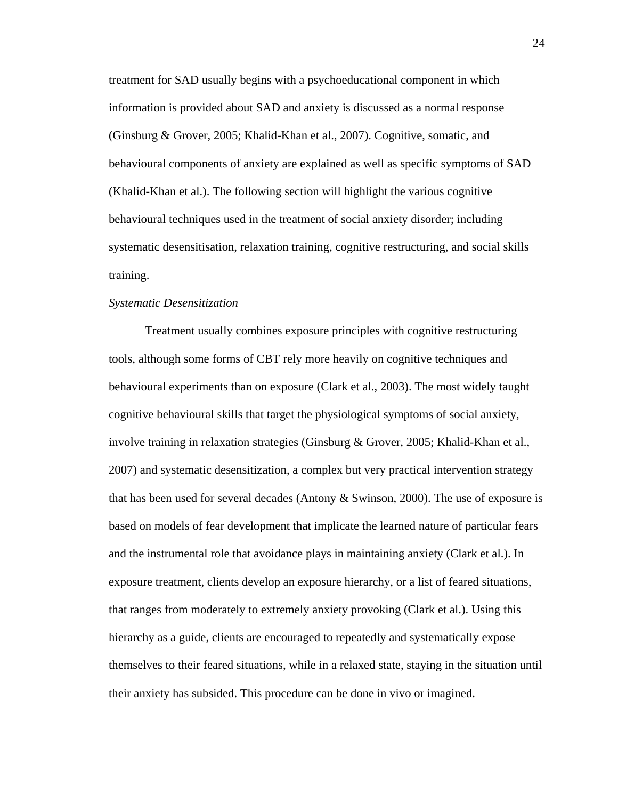treatment for SAD usually begins with a psychoeducational component in which information is provided about SAD and anxiety is discussed as a normal response (Ginsburg & Grover, 2005; Khalid-Khan et al., 2007). Cognitive, somatic, and behavioural components of anxiety are explained as well as specific symptoms of SAD (Khalid-Khan et al.). The following section will highlight the various cognitive behavioural techniques used in the treatment of social anxiety disorder; including systematic desensitisation, relaxation training, cognitive restructuring, and social skills training.

### *Systematic Desensitization*

Treatment usually combines exposure principles with cognitive restructuring tools, although some forms of CBT rely more heavily on cognitive techniques and behavioural experiments than on exposure (Clark et al., 2003). The most widely taught cognitive behavioural skills that target the physiological symptoms of social anxiety, involve training in relaxation strategies (Ginsburg & Grover, 2005; Khalid-Khan et al., 2007) and systematic desensitization, a complex but very practical intervention strategy that has been used for several decades (Antony & Swinson, 2000). The use of exposure is based on models of fear development that implicate the learned nature of particular fears and the instrumental role that avoidance plays in maintaining anxiety (Clark et al.). In exposure treatment, clients develop an exposure hierarchy, or a list of feared situations, that ranges from moderately to extremely anxiety provoking (Clark et al.). Using this hierarchy as a guide, clients are encouraged to repeatedly and systematically expose themselves to their feared situations, while in a relaxed state, staying in the situation until their anxiety has subsided. This procedure can be done in vivo or imagined.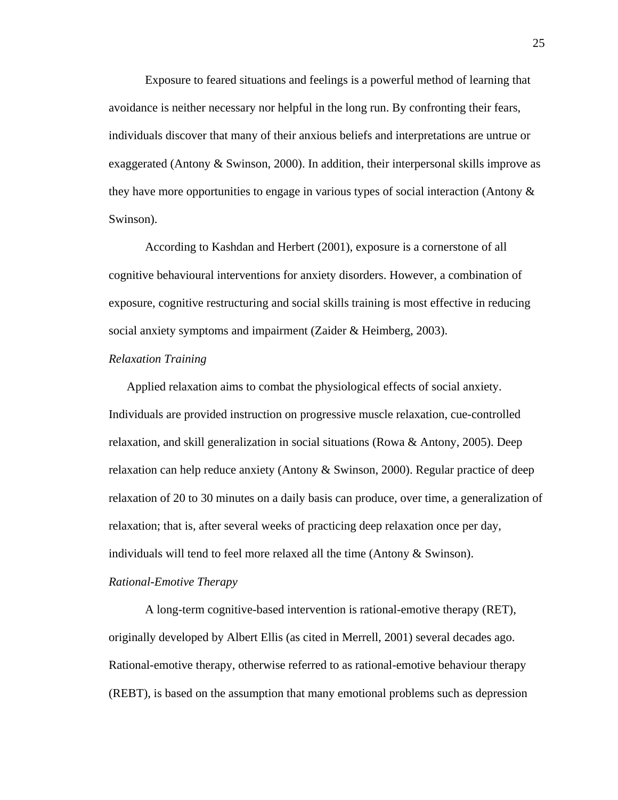Exposure to feared situations and feelings is a powerful method of learning that avoidance is neither necessary nor helpful in the long run. By confronting their fears, individuals discover that many of their anxious beliefs and interpretations are untrue or exaggerated (Antony  $&$  Swinson, 2000). In addition, their interpersonal skills improve as they have more opportunities to engage in various types of social interaction (Antony  $\&$ Swinson).

According to Kashdan and Herbert (2001), exposure is a cornerstone of all cognitive behavioural interventions for anxiety disorders. However, a combination of exposure, cognitive restructuring and social skills training is most effective in reducing social anxiety symptoms and impairment (Zaider & Heimberg, 2003).

#### *Relaxation Training*

Applied relaxation aims to combat the physiological effects of social anxiety. Individuals are provided instruction on progressive muscle relaxation, cue-controlled relaxation, and skill generalization in social situations (Rowa & Antony, 2005). Deep relaxation can help reduce anxiety (Antony & Swinson, 2000). Regular practice of deep relaxation of 20 to 30 minutes on a daily basis can produce, over time, a generalization of relaxation; that is, after several weeks of practicing deep relaxation once per day, individuals will tend to feel more relaxed all the time (Antony & Swinson).

### *Rational-Emotive Therapy*

 A long-term cognitive-based intervention is rational-emotive therapy (RET), originally developed by Albert Ellis (as cited in Merrell, 2001) several decades ago. Rational-emotive therapy, otherwise referred to as rational-emotive behaviour therapy (REBT), is based on the assumption that many emotional problems such as depression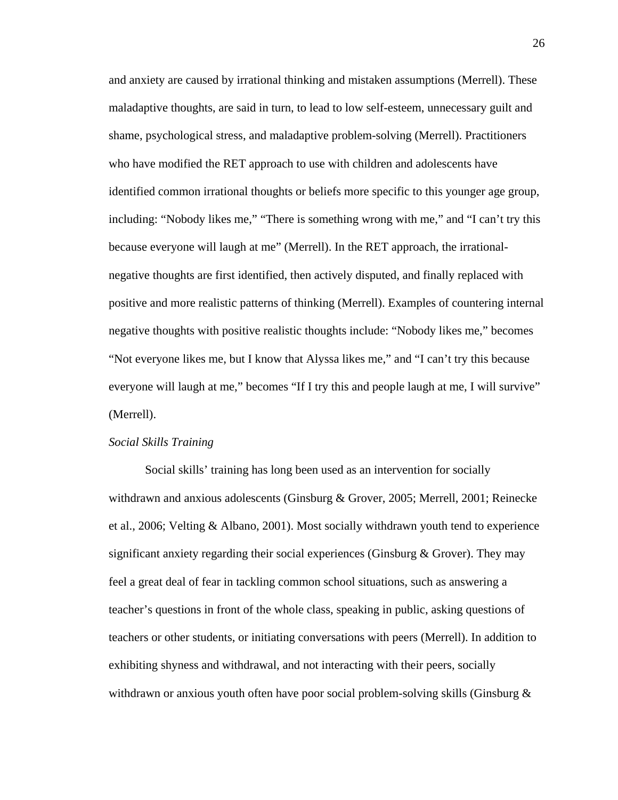and anxiety are caused by irrational thinking and mistaken assumptions (Merrell). These maladaptive thoughts, are said in turn, to lead to low self-esteem, unnecessary guilt and shame, psychological stress, and maladaptive problem-solving (Merrell). Practitioners who have modified the RET approach to use with children and adolescents have identified common irrational thoughts or beliefs more specific to this younger age group, including: "Nobody likes me," "There is something wrong with me," and "I can't try this because everyone will laugh at me" (Merrell). In the RET approach, the irrationalnegative thoughts are first identified, then actively disputed, and finally replaced with positive and more realistic patterns of thinking (Merrell). Examples of countering internal negative thoughts with positive realistic thoughts include: "Nobody likes me," becomes "Not everyone likes me, but I know that Alyssa likes me," and "I can't try this because everyone will laugh at me," becomes "If I try this and people laugh at me, I will survive" (Merrell).

### *Social Skills Training*

Social skills' training has long been used as an intervention for socially withdrawn and anxious adolescents (Ginsburg & Grover, 2005; Merrell, 2001; Reinecke et al., 2006; Velting & Albano, 2001). Most socially withdrawn youth tend to experience significant anxiety regarding their social experiences (Ginsburg & Grover). They may feel a great deal of fear in tackling common school situations, such as answering a teacher's questions in front of the whole class, speaking in public, asking questions of teachers or other students, or initiating conversations with peers (Merrell). In addition to exhibiting shyness and withdrawal, and not interacting with their peers, socially withdrawn or anxious youth often have poor social problem-solving skills (Ginsburg  $\&$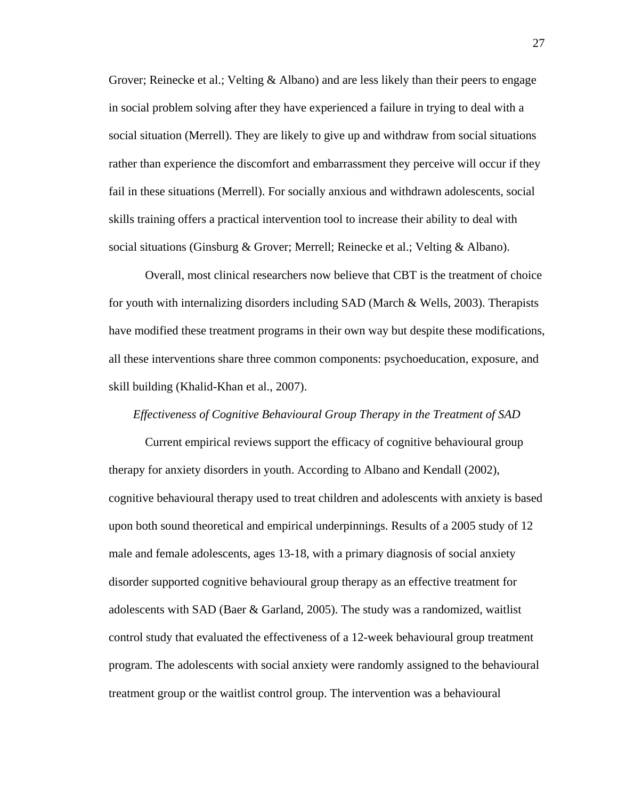Grover; Reinecke et al.; Velting & Albano) and are less likely than their peers to engage in social problem solving after they have experienced a failure in trying to deal with a social situation (Merrell). They are likely to give up and withdraw from social situations rather than experience the discomfort and embarrassment they perceive will occur if they fail in these situations (Merrell). For socially anxious and withdrawn adolescents, social skills training offers a practical intervention tool to increase their ability to deal with social situations (Ginsburg & Grover; Merrell; Reinecke et al.; Velting & Albano).

Overall, most clinical researchers now believe that CBT is the treatment of choice for youth with internalizing disorders including SAD (March & Wells, 2003). Therapists have modified these treatment programs in their own way but despite these modifications, all these interventions share three common components: psychoeducation, exposure, and skill building (Khalid-Khan et al., 2007).

# *Effectiveness of Cognitive Behavioural Group Therapy in the Treatment of SAD*

Current empirical reviews support the efficacy of cognitive behavioural group therapy for anxiety disorders in youth. According to Albano and Kendall (2002), cognitive behavioural therapy used to treat children and adolescents with anxiety is based upon both sound theoretical and empirical underpinnings. Results of a 2005 study of 12 male and female adolescents, ages 13-18, with a primary diagnosis of social anxiety disorder supported cognitive behavioural group therapy as an effective treatment for adolescents with SAD (Baer & Garland, 2005). The study was a randomized, waitlist control study that evaluated the effectiveness of a 12-week behavioural group treatment program. The adolescents with social anxiety were randomly assigned to the behavioural treatment group or the waitlist control group. The intervention was a behavioural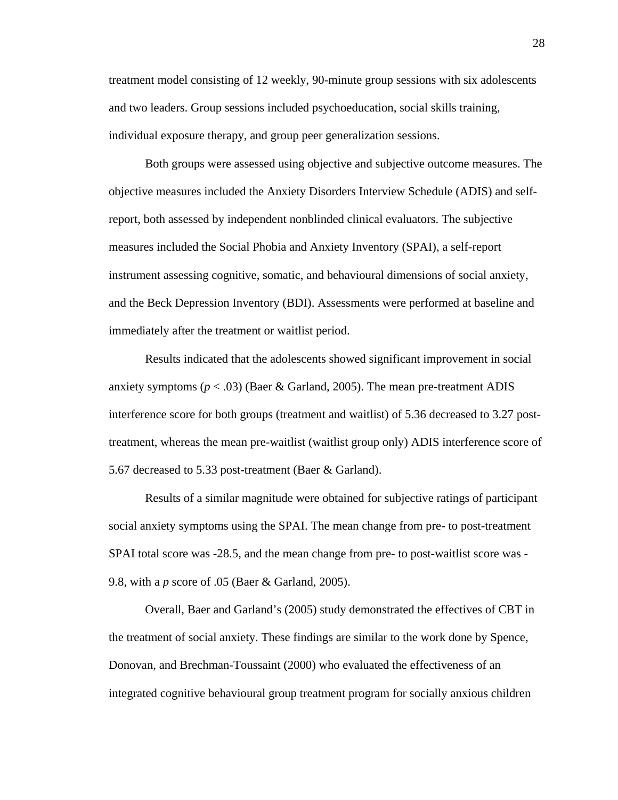treatment model consisting of 12 weekly, 90-minute group sessions with six adolescents and two leaders. Group sessions included psychoeducation, social skills training, individual exposure therapy, and group peer generalization sessions.

Both groups were assessed using objective and subjective outcome measures. The objective measures included the Anxiety Disorders Interview Schedule (ADIS) and selfreport, both assessed by independent nonblinded clinical evaluators. The subjective measures included the Social Phobia and Anxiety Inventory (SPAI), a self-report instrument assessing cognitive, somatic, and behavioural dimensions of social anxiety, and the Beck Depression Inventory (BDI). Assessments were performed at baseline and immediately after the treatment or waitlist period.

Results indicated that the adolescents showed significant improvement in social anxiety symptoms  $(p < .03)$  (Baer & Garland, 2005). The mean pre-treatment ADIS interference score for both groups (treatment and waitlist) of 5.36 decreased to 3.27 posttreatment, whereas the mean pre-waitlist (waitlist group only) ADIS interference score of 5.67 decreased to 5.33 post-treatment (Baer & Garland).

Results of a similar magnitude were obtained for subjective ratings of participant social anxiety symptoms using the SPAI. The mean change from pre- to post-treatment SPAI total score was -28.5, and the mean change from pre- to post-waitlist score was - 9.8, with a *p* score of .05 (Baer & Garland, 2005).

Overall, Baer and Garland's (2005) study demonstrated the effectives of CBT in the treatment of social anxiety. These findings are similar to the work done by Spence, Donovan, and Brechman-Toussaint (2000) who evaluated the effectiveness of an integrated cognitive behavioural group treatment program for socially anxious children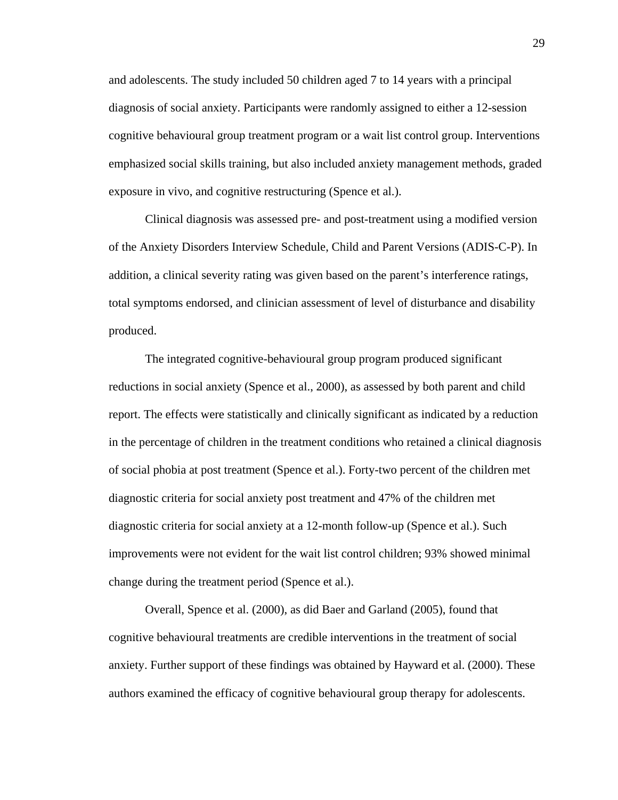and adolescents. The study included 50 children aged 7 to 14 years with a principal diagnosis of social anxiety. Participants were randomly assigned to either a 12-session cognitive behavioural group treatment program or a wait list control group. Interventions emphasized social skills training, but also included anxiety management methods, graded exposure in vivo, and cognitive restructuring (Spence et al.).

Clinical diagnosis was assessed pre- and post-treatment using a modified version of the Anxiety Disorders Interview Schedule, Child and Parent Versions (ADIS-C-P). In addition, a clinical severity rating was given based on the parent's interference ratings, total symptoms endorsed, and clinician assessment of level of disturbance and disability produced.

The integrated cognitive-behavioural group program produced significant reductions in social anxiety (Spence et al., 2000), as assessed by both parent and child report. The effects were statistically and clinically significant as indicated by a reduction in the percentage of children in the treatment conditions who retained a clinical diagnosis of social phobia at post treatment (Spence et al.). Forty-two percent of the children met diagnostic criteria for social anxiety post treatment and 47% of the children met diagnostic criteria for social anxiety at a 12-month follow-up (Spence et al.). Such improvements were not evident for the wait list control children; 93% showed minimal change during the treatment period (Spence et al.).

 Overall, Spence et al. (2000), as did Baer and Garland (2005), found that cognitive behavioural treatments are credible interventions in the treatment of social anxiety. Further support of these findings was obtained by Hayward et al. (2000). These authors examined the efficacy of cognitive behavioural group therapy for adolescents.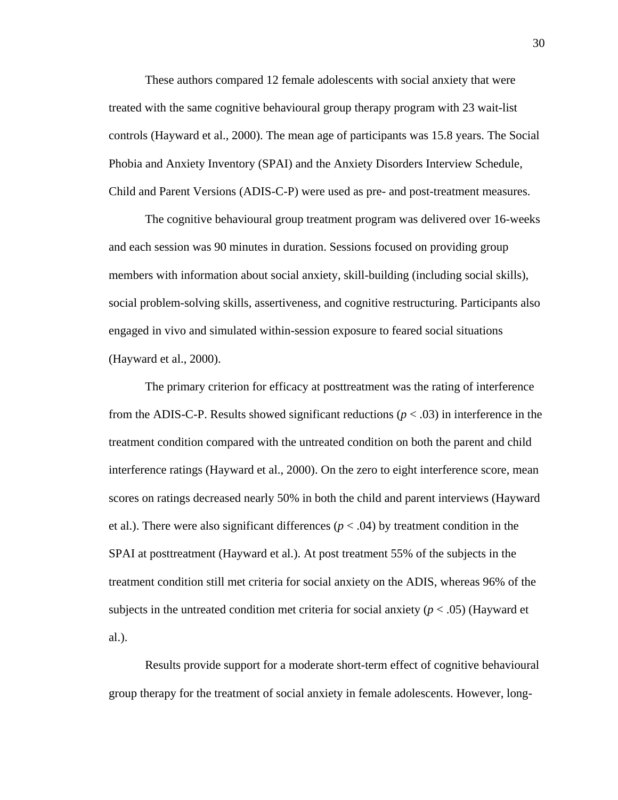These authors compared 12 female adolescents with social anxiety that were treated with the same cognitive behavioural group therapy program with 23 wait-list controls (Hayward et al., 2000). The mean age of participants was 15.8 years. The Social Phobia and Anxiety Inventory (SPAI) and the Anxiety Disorders Interview Schedule, Child and Parent Versions (ADIS-C-P) were used as pre- and post-treatment measures.

 The cognitive behavioural group treatment program was delivered over 16-weeks and each session was 90 minutes in duration. Sessions focused on providing group members with information about social anxiety, skill-building (including social skills), social problem-solving skills, assertiveness, and cognitive restructuring. Participants also engaged in vivo and simulated within-session exposure to feared social situations (Hayward et al., 2000).

 The primary criterion for efficacy at posttreatment was the rating of interference from the ADIS-C-P. Results showed significant reductions  $(p < .03)$  in interference in the treatment condition compared with the untreated condition on both the parent and child interference ratings (Hayward et al., 2000). On the zero to eight interference score, mean scores on ratings decreased nearly 50% in both the child and parent interviews (Hayward et al.). There were also significant differences  $(p < .04)$  by treatment condition in the SPAI at posttreatment (Hayward et al.). At post treatment 55% of the subjects in the treatment condition still met criteria for social anxiety on the ADIS, whereas 96% of the subjects in the untreated condition met criteria for social anxiety  $(p < .05)$  (Hayward et al.).

Results provide support for a moderate short-term effect of cognitive behavioural group therapy for the treatment of social anxiety in female adolescents. However, long-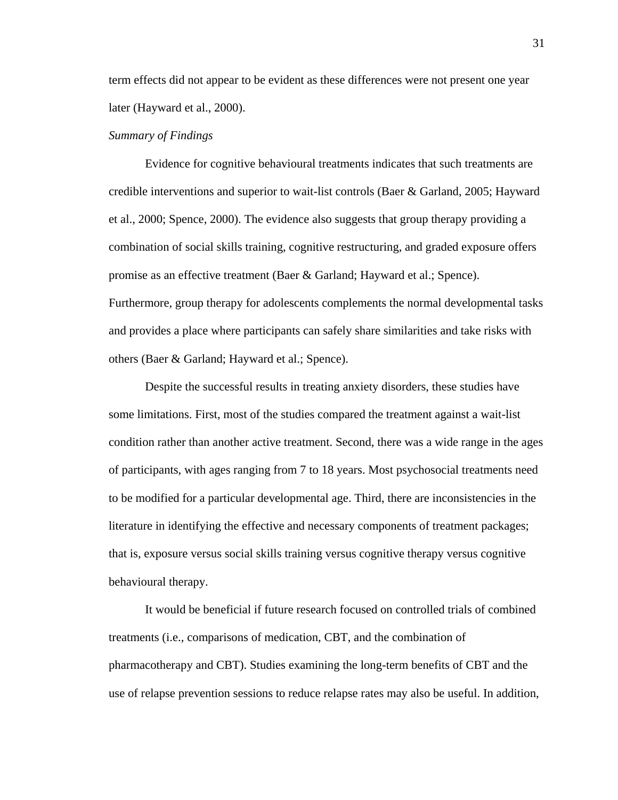term effects did not appear to be evident as these differences were not present one year later (Hayward et al., 2000).

### *Summary of Findings*

Evidence for cognitive behavioural treatments indicates that such treatments are credible interventions and superior to wait-list controls (Baer & Garland, 2005; Hayward et al., 2000; Spence, 2000). The evidence also suggests that group therapy providing a combination of social skills training, cognitive restructuring, and graded exposure offers promise as an effective treatment (Baer & Garland; Hayward et al.; Spence). Furthermore, group therapy for adolescents complements the normal developmental tasks and provides a place where participants can safely share similarities and take risks with others (Baer & Garland; Hayward et al.; Spence).

Despite the successful results in treating anxiety disorders, these studies have some limitations. First, most of the studies compared the treatment against a wait-list condition rather than another active treatment. Second, there was a wide range in the ages of participants, with ages ranging from 7 to 18 years. Most psychosocial treatments need to be modified for a particular developmental age. Third, there are inconsistencies in the literature in identifying the effective and necessary components of treatment packages; that is, exposure versus social skills training versus cognitive therapy versus cognitive behavioural therapy.

It would be beneficial if future research focused on controlled trials of combined treatments (i.e., comparisons of medication, CBT, and the combination of pharmacotherapy and CBT). Studies examining the long-term benefits of CBT and the use of relapse prevention sessions to reduce relapse rates may also be useful. In addition,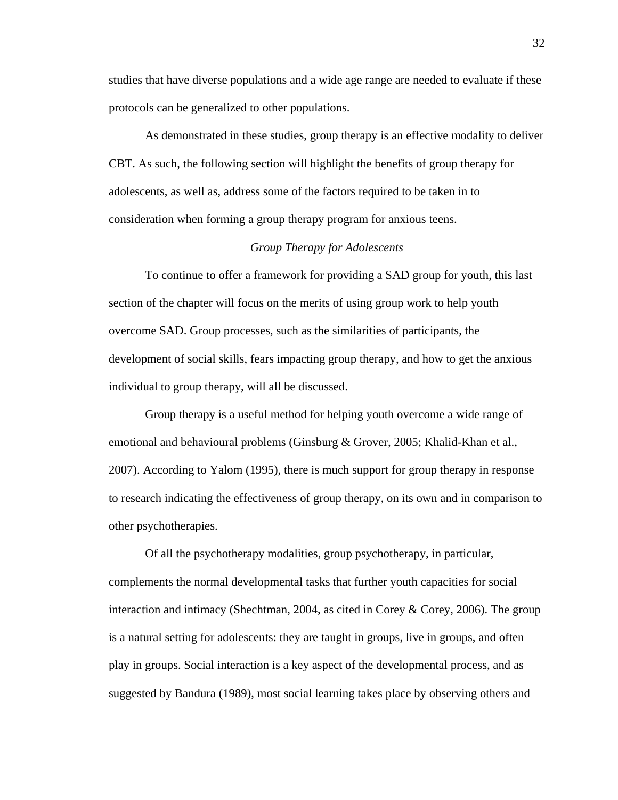studies that have diverse populations and a wide age range are needed to evaluate if these protocols can be generalized to other populations.

As demonstrated in these studies, group therapy is an effective modality to deliver CBT. As such, the following section will highlight the benefits of group therapy for adolescents, as well as, address some of the factors required to be taken in to consideration when forming a group therapy program for anxious teens.

# *Group Therapy for Adolescents*

To continue to offer a framework for providing a SAD group for youth, this last section of the chapter will focus on the merits of using group work to help youth overcome SAD. Group processes, such as the similarities of participants, the development of social skills, fears impacting group therapy, and how to get the anxious individual to group therapy, will all be discussed.

Group therapy is a useful method for helping youth overcome a wide range of emotional and behavioural problems (Ginsburg & Grover, 2005; Khalid-Khan et al., 2007). According to Yalom (1995), there is much support for group therapy in response to research indicating the effectiveness of group therapy, on its own and in comparison to other psychotherapies.

Of all the psychotherapy modalities, group psychotherapy, in particular, complements the normal developmental tasks that further youth capacities for social interaction and intimacy (Shechtman, 2004, as cited in Corey & Corey, 2006). The group is a natural setting for adolescents: they are taught in groups, live in groups, and often play in groups. Social interaction is a key aspect of the developmental process, and as suggested by Bandura (1989), most social learning takes place by observing others and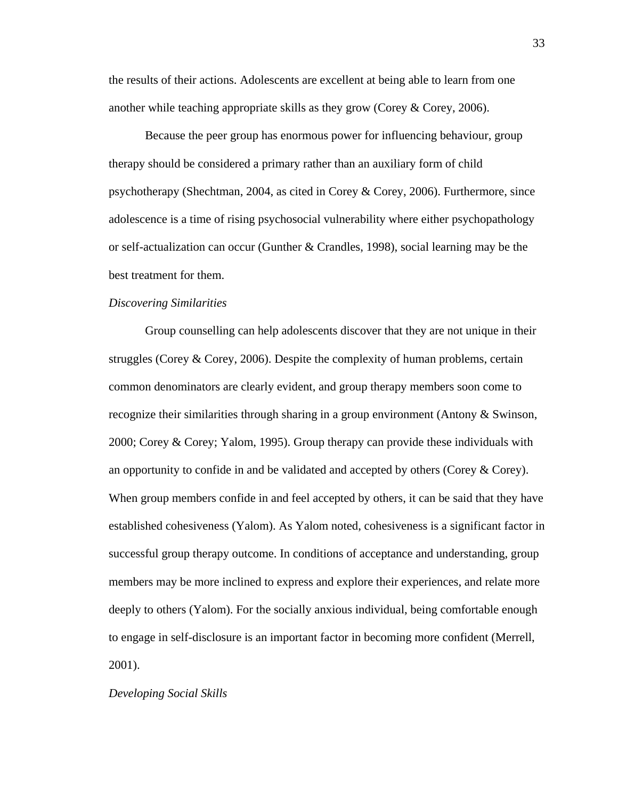the results of their actions. Adolescents are excellent at being able to learn from one another while teaching appropriate skills as they grow (Corey & Corey, 2006).

Because the peer group has enormous power for influencing behaviour, group therapy should be considered a primary rather than an auxiliary form of child psychotherapy (Shechtman, 2004, as cited in Corey & Corey, 2006). Furthermore, since adolescence is a time of rising psychosocial vulnerability where either psychopathology or self-actualization can occur (Gunther & Crandles, 1998), social learning may be the best treatment for them.

#### *Discovering Similarities*

Group counselling can help adolescents discover that they are not unique in their struggles (Corey & Corey, 2006). Despite the complexity of human problems, certain common denominators are clearly evident, and group therapy members soon come to recognize their similarities through sharing in a group environment (Antony & Swinson, 2000; Corey & Corey; Yalom, 1995). Group therapy can provide these individuals with an opportunity to confide in and be validated and accepted by others (Corey & Corey). When group members confide in and feel accepted by others, it can be said that they have established cohesiveness (Yalom). As Yalom noted, cohesiveness is a significant factor in successful group therapy outcome. In conditions of acceptance and understanding, group members may be more inclined to express and explore their experiences, and relate more deeply to others (Yalom). For the socially anxious individual, being comfortable enough to engage in self-disclosure is an important factor in becoming more confident (Merrell, 2001).

#### *Developing Social Skills*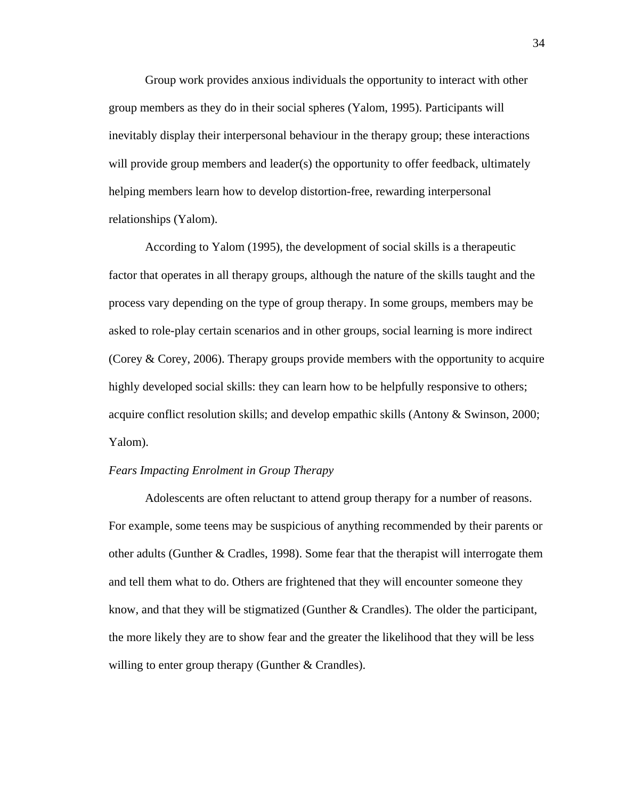Group work provides anxious individuals the opportunity to interact with other group members as they do in their social spheres (Yalom, 1995). Participants will inevitably display their interpersonal behaviour in the therapy group; these interactions will provide group members and leader(s) the opportunity to offer feedback, ultimately helping members learn how to develop distortion-free, rewarding interpersonal relationships (Yalom).

According to Yalom (1995), the development of social skills is a therapeutic factor that operates in all therapy groups, although the nature of the skills taught and the process vary depending on the type of group therapy. In some groups, members may be asked to role-play certain scenarios and in other groups, social learning is more indirect (Corey & Corey, 2006). Therapy groups provide members with the opportunity to acquire highly developed social skills: they can learn how to be helpfully responsive to others; acquire conflict resolution skills; and develop empathic skills (Antony & Swinson, 2000; Yalom).

# *Fears Impacting Enrolment in Group Therapy*

Adolescents are often reluctant to attend group therapy for a number of reasons. For example, some teens may be suspicious of anything recommended by their parents or other adults (Gunther  $& Cradles, 1998$ ). Some fear that the therapist will interrogate them and tell them what to do. Others are frightened that they will encounter someone they know, and that they will be stigmatized (Gunther & Crandles). The older the participant, the more likely they are to show fear and the greater the likelihood that they will be less willing to enter group therapy (Gunther  $&$  Crandles).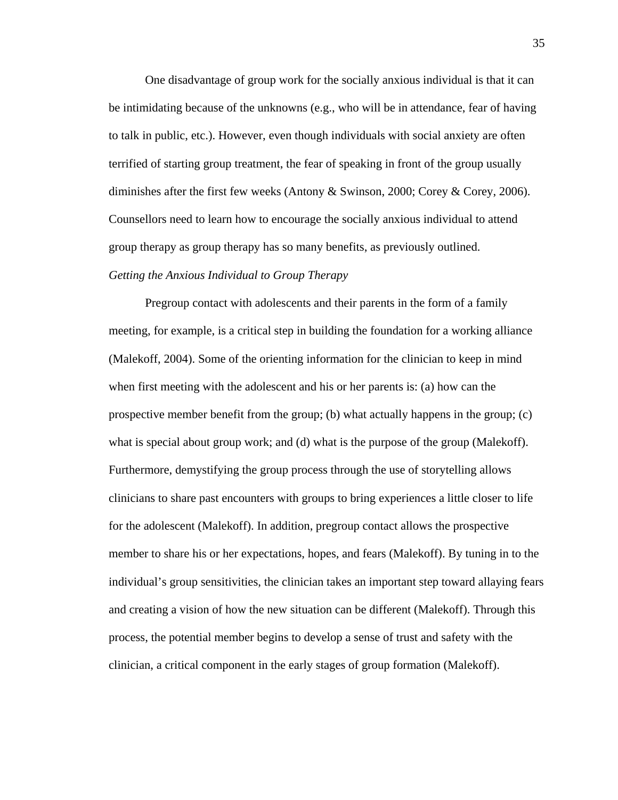One disadvantage of group work for the socially anxious individual is that it can be intimidating because of the unknowns (e.g., who will be in attendance, fear of having to talk in public, etc.). However, even though individuals with social anxiety are often terrified of starting group treatment, the fear of speaking in front of the group usually diminishes after the first few weeks (Antony & Swinson, 2000; Corey & Corey, 2006). Counsellors need to learn how to encourage the socially anxious individual to attend group therapy as group therapy has so many benefits, as previously outlined. *Getting the Anxious Individual to Group Therapy* 

 Pregroup contact with adolescents and their parents in the form of a family meeting, for example, is a critical step in building the foundation for a working alliance (Malekoff, 2004). Some of the orienting information for the clinician to keep in mind when first meeting with the adolescent and his or her parents is: (a) how can the prospective member benefit from the group; (b) what actually happens in the group;  $(c)$ what is special about group work; and (d) what is the purpose of the group (Malekoff). Furthermore, demystifying the group process through the use of storytelling allows clinicians to share past encounters with groups to bring experiences a little closer to life for the adolescent (Malekoff). In addition, pregroup contact allows the prospective member to share his or her expectations, hopes, and fears (Malekoff). By tuning in to the individual's group sensitivities, the clinician takes an important step toward allaying fears and creating a vision of how the new situation can be different (Malekoff). Through this process, the potential member begins to develop a sense of trust and safety with the clinician, a critical component in the early stages of group formation (Malekoff).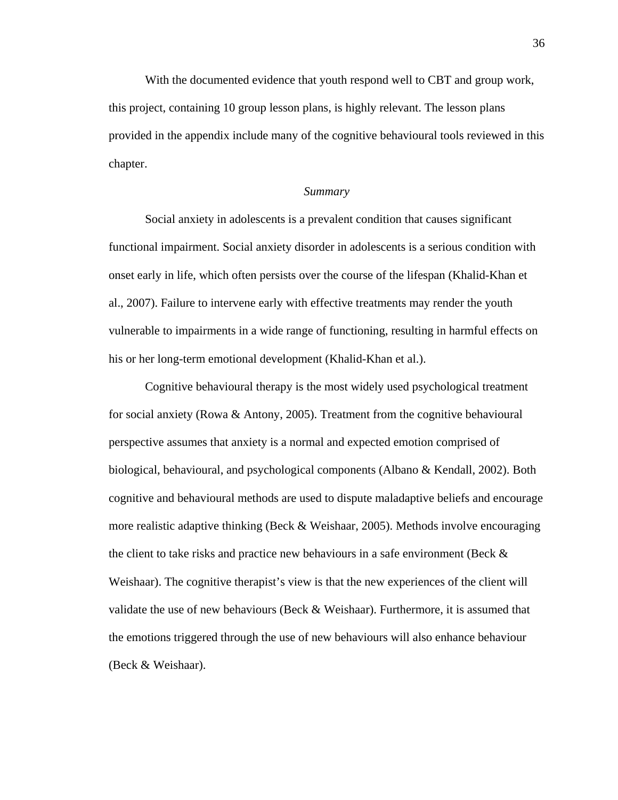With the documented evidence that youth respond well to CBT and group work, this project, containing 10 group lesson plans, is highly relevant. The lesson plans provided in the appendix include many of the cognitive behavioural tools reviewed in this chapter.

#### *Summary*

 Social anxiety in adolescents is a prevalent condition that causes significant functional impairment. Social anxiety disorder in adolescents is a serious condition with onset early in life, which often persists over the course of the lifespan (Khalid-Khan et al., 2007). Failure to intervene early with effective treatments may render the youth vulnerable to impairments in a wide range of functioning, resulting in harmful effects on his or her long-term emotional development (Khalid-Khan et al.).

Cognitive behavioural therapy is the most widely used psychological treatment for social anxiety (Rowa & Antony, 2005). Treatment from the cognitive behavioural perspective assumes that anxiety is a normal and expected emotion comprised of biological, behavioural, and psychological components (Albano & Kendall, 2002). Both cognitive and behavioural methods are used to dispute maladaptive beliefs and encourage more realistic adaptive thinking (Beck & Weishaar, 2005). Methods involve encouraging the client to take risks and practice new behaviours in a safe environment (Beck  $\&$ Weishaar). The cognitive therapist's view is that the new experiences of the client will validate the use of new behaviours (Beck & Weishaar). Furthermore, it is assumed that the emotions triggered through the use of new behaviours will also enhance behaviour (Beck & Weishaar).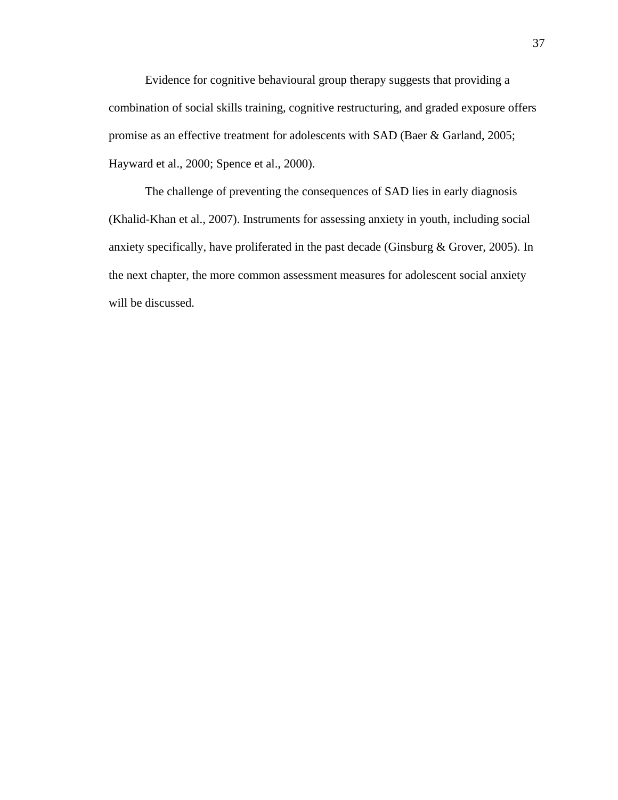Evidence for cognitive behavioural group therapy suggests that providing a combination of social skills training, cognitive restructuring, and graded exposure offers promise as an effective treatment for adolescents with SAD (Baer & Garland, 2005; Hayward et al., 2000; Spence et al., 2000).

The challenge of preventing the consequences of SAD lies in early diagnosis (Khalid-Khan et al., 2007). Instruments for assessing anxiety in youth, including social anxiety specifically, have proliferated in the past decade (Ginsburg & Grover, 2005). In the next chapter, the more common assessment measures for adolescent social anxiety will be discussed.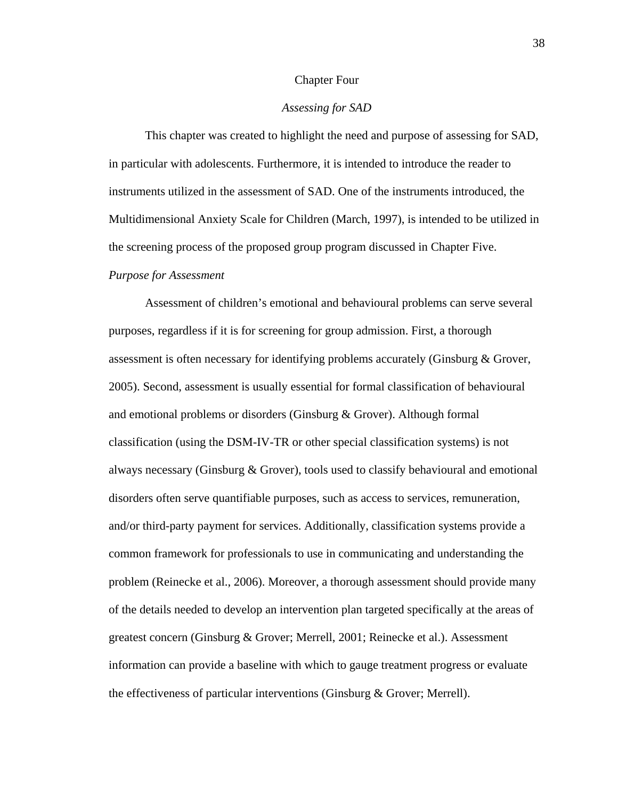#### Chapter Four

# *Assessing for SAD*

This chapter was created to highlight the need and purpose of assessing for SAD, in particular with adolescents. Furthermore, it is intended to introduce the reader to instruments utilized in the assessment of SAD. One of the instruments introduced, the Multidimensional Anxiety Scale for Children (March, 1997), is intended to be utilized in the screening process of the proposed group program discussed in Chapter Five. *Purpose for Assessment* 

Assessment of children's emotional and behavioural problems can serve several purposes, regardless if it is for screening for group admission. First, a thorough assessment is often necessary for identifying problems accurately (Ginsburg & Grover, 2005). Second, assessment is usually essential for formal classification of behavioural and emotional problems or disorders (Ginsburg & Grover). Although formal classification (using the DSM-IV-TR or other special classification systems) is not always necessary (Ginsburg & Grover), tools used to classify behavioural and emotional disorders often serve quantifiable purposes, such as access to services, remuneration, and/or third-party payment for services. Additionally, classification systems provide a common framework for professionals to use in communicating and understanding the problem (Reinecke et al., 2006). Moreover, a thorough assessment should provide many of the details needed to develop an intervention plan targeted specifically at the areas of greatest concern (Ginsburg & Grover; Merrell, 2001; Reinecke et al.). Assessment information can provide a baseline with which to gauge treatment progress or evaluate the effectiveness of particular interventions (Ginsburg & Grover; Merrell).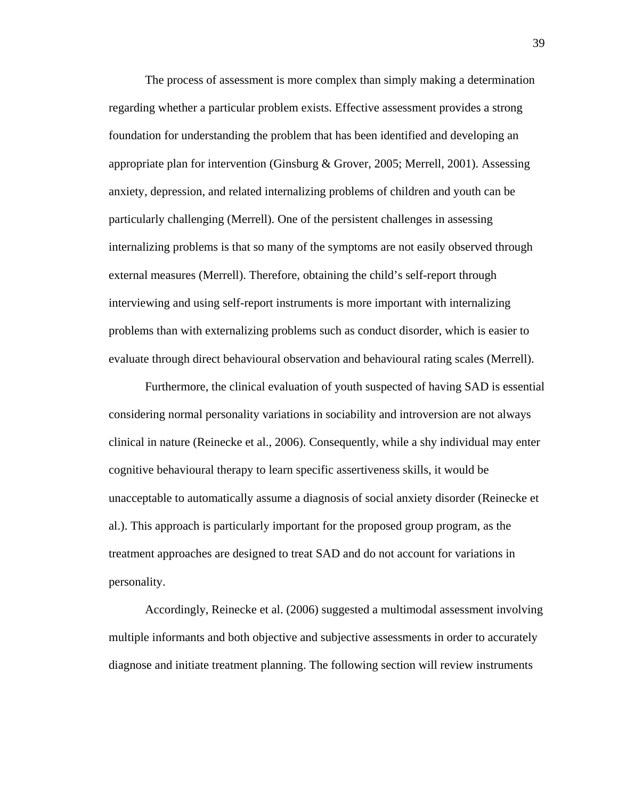The process of assessment is more complex than simply making a determination regarding whether a particular problem exists. Effective assessment provides a strong foundation for understanding the problem that has been identified and developing an appropriate plan for intervention (Ginsburg & Grover, 2005; Merrell, 2001). Assessing anxiety, depression, and related internalizing problems of children and youth can be particularly challenging (Merrell). One of the persistent challenges in assessing internalizing problems is that so many of the symptoms are not easily observed through external measures (Merrell). Therefore, obtaining the child's self-report through interviewing and using self-report instruments is more important with internalizing problems than with externalizing problems such as conduct disorder, which is easier to evaluate through direct behavioural observation and behavioural rating scales (Merrell).

Furthermore, the clinical evaluation of youth suspected of having SAD is essential considering normal personality variations in sociability and introversion are not always clinical in nature (Reinecke et al., 2006). Consequently, while a shy individual may enter cognitive behavioural therapy to learn specific assertiveness skills, it would be unacceptable to automatically assume a diagnosis of social anxiety disorder (Reinecke et al.). This approach is particularly important for the proposed group program, as the treatment approaches are designed to treat SAD and do not account for variations in personality.

Accordingly, Reinecke et al. (2006) suggested a multimodal assessment involving multiple informants and both objective and subjective assessments in order to accurately diagnose and initiate treatment planning. The following section will review instruments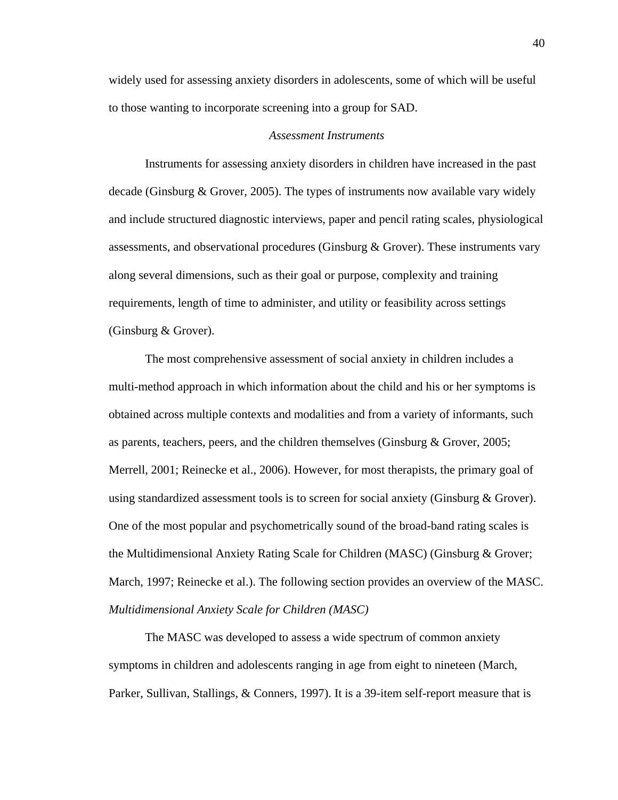widely used for assessing anxiety disorders in adolescents, some of which will be useful to those wanting to incorporate screening into a group for SAD.

#### *Assessment Instruments*

Instruments for assessing anxiety disorders in children have increased in the past decade (Ginsburg & Grover, 2005). The types of instruments now available vary widely and include structured diagnostic interviews, paper and pencil rating scales, physiological assessments, and observational procedures (Ginsburg & Grover). These instruments vary along several dimensions, such as their goal or purpose, complexity and training requirements, length of time to administer, and utility or feasibility across settings (Ginsburg & Grover).

The most comprehensive assessment of social anxiety in children includes a multi-method approach in which information about the child and his or her symptoms is obtained across multiple contexts and modalities and from a variety of informants, such as parents, teachers, peers, and the children themselves (Ginsburg & Grover, 2005; Merrell, 2001; Reinecke et al., 2006). However, for most therapists, the primary goal of using standardized assessment tools is to screen for social anxiety (Ginsburg  $\&$  Grover). One of the most popular and psychometrically sound of the broad-band rating scales is the Multidimensional Anxiety Rating Scale for Children (MASC) (Ginsburg & Grover; March, 1997; Reinecke et al.). The following section provides an overview of the MASC. *Multidimensional Anxiety Scale for Children (MASC)* 

The MASC was developed to assess a wide spectrum of common anxiety symptoms in children and adolescents ranging in age from eight to nineteen (March, Parker, Sullivan, Stallings, & Conners, 1997). It is a 39-item self-report measure that is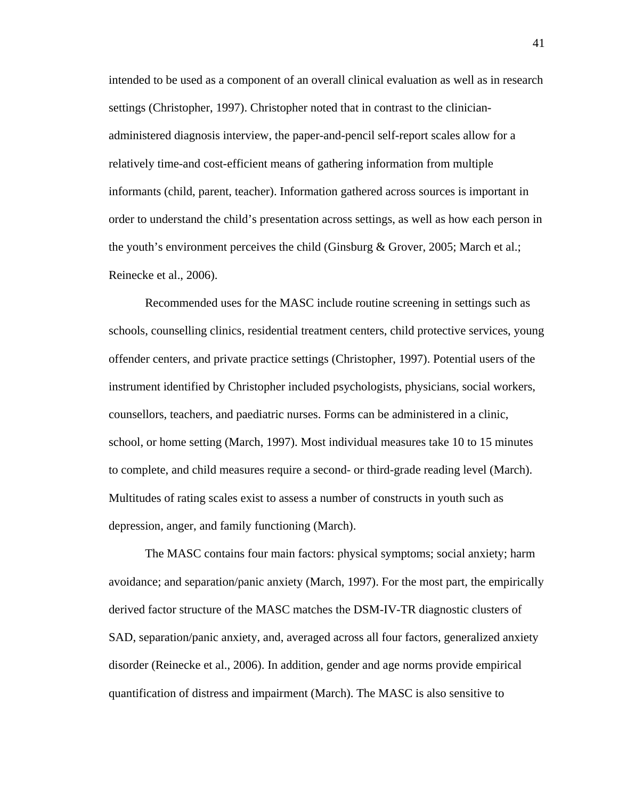intended to be used as a component of an overall clinical evaluation as well as in research settings (Christopher, 1997). Christopher noted that in contrast to the clinicianadministered diagnosis interview, the paper-and-pencil self-report scales allow for a relatively time-and cost-efficient means of gathering information from multiple informants (child, parent, teacher). Information gathered across sources is important in order to understand the child's presentation across settings, as well as how each person in the youth's environment perceives the child (Ginsburg & Grover, 2005; March et al.; Reinecke et al., 2006).

Recommended uses for the MASC include routine screening in settings such as schools, counselling clinics, residential treatment centers, child protective services, young offender centers, and private practice settings (Christopher, 1997). Potential users of the instrument identified by Christopher included psychologists, physicians, social workers, counsellors, teachers, and paediatric nurses. Forms can be administered in a clinic, school, or home setting (March, 1997). Most individual measures take 10 to 15 minutes to complete, and child measures require a second- or third-grade reading level (March). Multitudes of rating scales exist to assess a number of constructs in youth such as depression, anger, and family functioning (March).

The MASC contains four main factors: physical symptoms; social anxiety; harm avoidance; and separation/panic anxiety (March, 1997). For the most part, the empirically derived factor structure of the MASC matches the DSM-IV-TR diagnostic clusters of SAD, separation/panic anxiety, and, averaged across all four factors, generalized anxiety disorder (Reinecke et al., 2006). In addition, gender and age norms provide empirical quantification of distress and impairment (March). The MASC is also sensitive to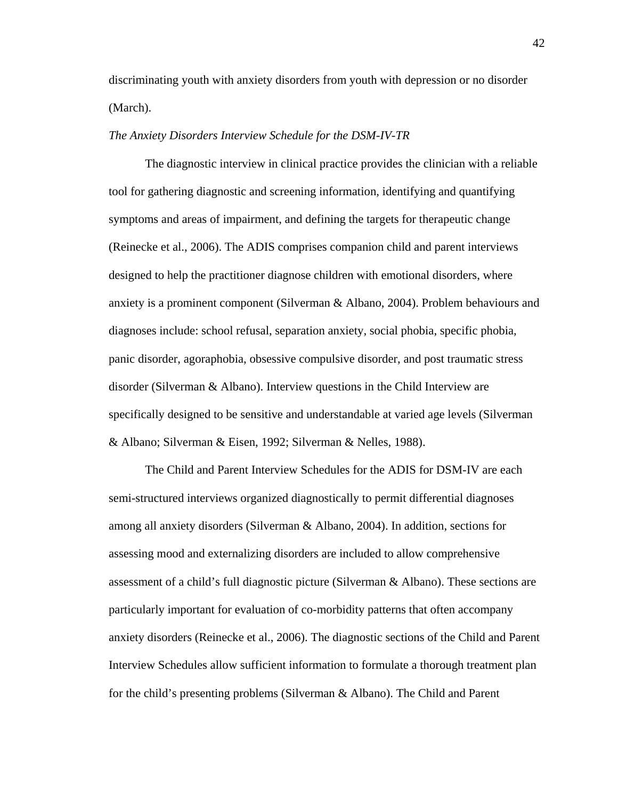discriminating youth with anxiety disorders from youth with depression or no disorder (March).

# *The Anxiety Disorders Interview Schedule for the DSM-IV-TR*

The diagnostic interview in clinical practice provides the clinician with a reliable tool for gathering diagnostic and screening information, identifying and quantifying symptoms and areas of impairment, and defining the targets for therapeutic change (Reinecke et al., 2006). The ADIS comprises companion child and parent interviews designed to help the practitioner diagnose children with emotional disorders, where anxiety is a prominent component (Silverman & Albano, 2004). Problem behaviours and diagnoses include: school refusal, separation anxiety, social phobia, specific phobia, panic disorder, agoraphobia, obsessive compulsive disorder, and post traumatic stress disorder (Silverman & Albano). Interview questions in the Child Interview are specifically designed to be sensitive and understandable at varied age levels (Silverman & Albano; Silverman & Eisen, 1992; Silverman & Nelles, 1988).

The Child and Parent Interview Schedules for the ADIS for DSM-IV are each semi-structured interviews organized diagnostically to permit differential diagnoses among all anxiety disorders (Silverman & Albano, 2004). In addition, sections for assessing mood and externalizing disorders are included to allow comprehensive assessment of a child's full diagnostic picture (Silverman & Albano). These sections are particularly important for evaluation of co-morbidity patterns that often accompany anxiety disorders (Reinecke et al., 2006). The diagnostic sections of the Child and Parent Interview Schedules allow sufficient information to formulate a thorough treatment plan for the child's presenting problems (Silverman & Albano). The Child and Parent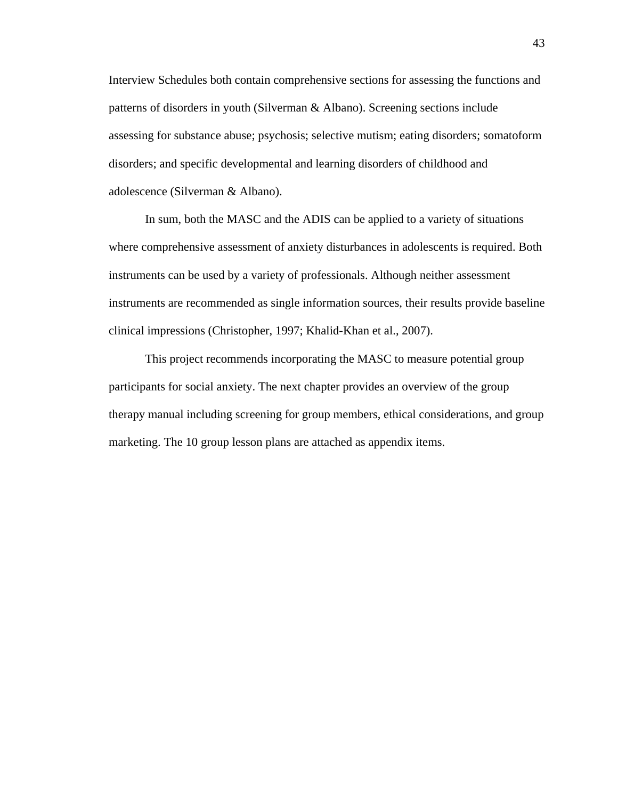Interview Schedules both contain comprehensive sections for assessing the functions and patterns of disorders in youth (Silverman & Albano). Screening sections include assessing for substance abuse; psychosis; selective mutism; eating disorders; somatoform disorders; and specific developmental and learning disorders of childhood and adolescence (Silverman & Albano).

In sum, both the MASC and the ADIS can be applied to a variety of situations where comprehensive assessment of anxiety disturbances in adolescents is required. Both instruments can be used by a variety of professionals. Although neither assessment instruments are recommended as single information sources, their results provide baseline clinical impressions (Christopher, 1997; Khalid-Khan et al., 2007).

This project recommends incorporating the MASC to measure potential group participants for social anxiety. The next chapter provides an overview of the group therapy manual including screening for group members, ethical considerations, and group marketing. The 10 group lesson plans are attached as appendix items.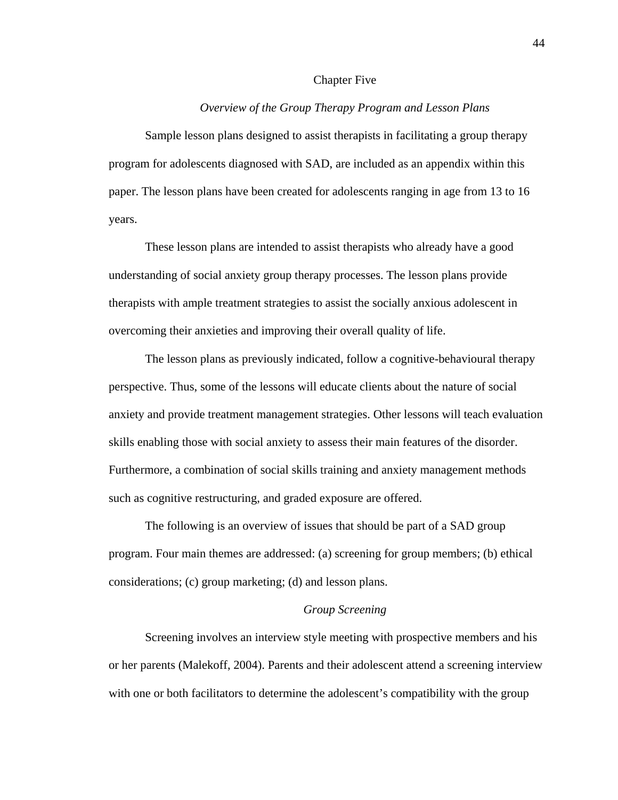#### Chapter Five

# *Overview of the Group Therapy Program and Lesson Plans*

Sample lesson plans designed to assist therapists in facilitating a group therapy program for adolescents diagnosed with SAD, are included as an appendix within this paper. The lesson plans have been created for adolescents ranging in age from 13 to 16 years.

These lesson plans are intended to assist therapists who already have a good understanding of social anxiety group therapy processes. The lesson plans provide therapists with ample treatment strategies to assist the socially anxious adolescent in overcoming their anxieties and improving their overall quality of life.

The lesson plans as previously indicated, follow a cognitive-behavioural therapy perspective. Thus, some of the lessons will educate clients about the nature of social anxiety and provide treatment management strategies. Other lessons will teach evaluation skills enabling those with social anxiety to assess their main features of the disorder. Furthermore, a combination of social skills training and anxiety management methods such as cognitive restructuring, and graded exposure are offered.

The following is an overview of issues that should be part of a SAD group program. Four main themes are addressed: (a) screening for group members; (b) ethical considerations; (c) group marketing; (d) and lesson plans.

# *Group Screening*

Screening involves an interview style meeting with prospective members and his or her parents (Malekoff, 2004). Parents and their adolescent attend a screening interview with one or both facilitators to determine the adolescent's compatibility with the group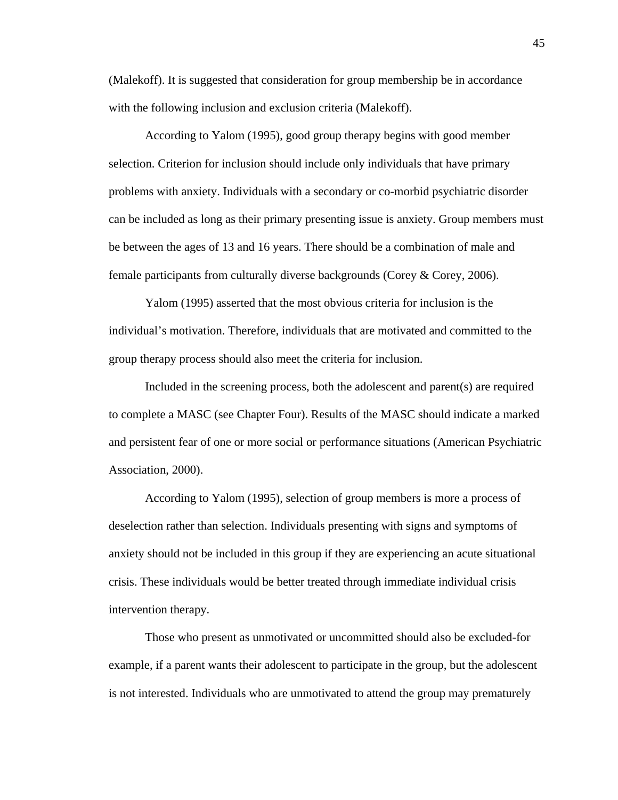(Malekoff). It is suggested that consideration for group membership be in accordance with the following inclusion and exclusion criteria (Malekoff).

According to Yalom (1995), good group therapy begins with good member selection. Criterion for inclusion should include only individuals that have primary problems with anxiety. Individuals with a secondary or co-morbid psychiatric disorder can be included as long as their primary presenting issue is anxiety. Group members must be between the ages of 13 and 16 years. There should be a combination of male and female participants from culturally diverse backgrounds (Corey & Corey, 2006).

Yalom (1995) asserted that the most obvious criteria for inclusion is the individual's motivation. Therefore, individuals that are motivated and committed to the group therapy process should also meet the criteria for inclusion.

Included in the screening process, both the adolescent and parent(s) are required to complete a MASC (see Chapter Four). Results of the MASC should indicate a marked and persistent fear of one or more social or performance situations (American Psychiatric Association, 2000).

According to Yalom (1995), selection of group members is more a process of deselection rather than selection. Individuals presenting with signs and symptoms of anxiety should not be included in this group if they are experiencing an acute situational crisis. These individuals would be better treated through immediate individual crisis intervention therapy.

Those who present as unmotivated or uncommitted should also be excluded-for example, if a parent wants their adolescent to participate in the group, but the adolescent is not interested. Individuals who are unmotivated to attend the group may prematurely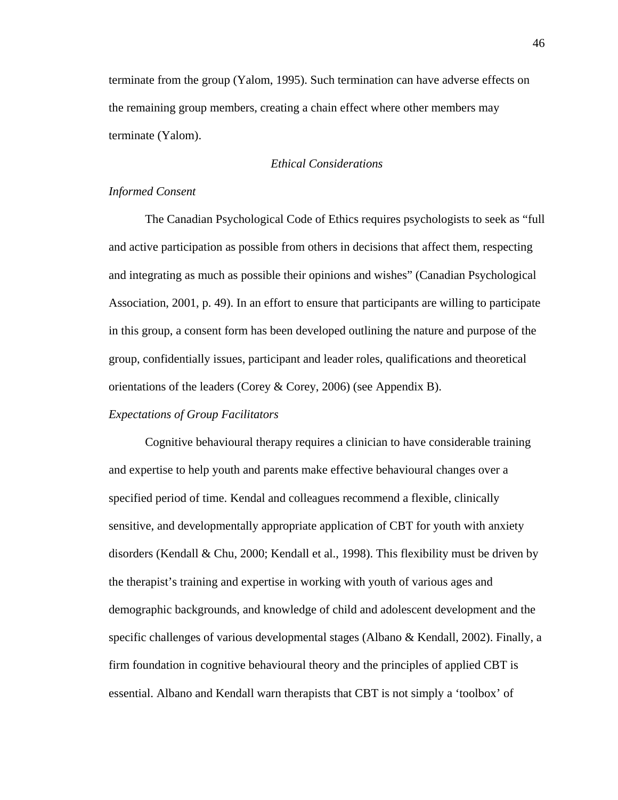terminate from the group (Yalom, 1995). Such termination can have adverse effects on the remaining group members, creating a chain effect where other members may terminate (Yalom).

# *Ethical Considerations*

# *Informed Consent*

The Canadian Psychological Code of Ethics requires psychologists to seek as "full and active participation as possible from others in decisions that affect them, respecting and integrating as much as possible their opinions and wishes" (Canadian Psychological Association, 2001, p. 49). In an effort to ensure that participants are willing to participate in this group, a consent form has been developed outlining the nature and purpose of the group, confidentially issues, participant and leader roles, qualifications and theoretical orientations of the leaders (Corey & Corey, 2006) (see Appendix B).

# *Expectations of Group Facilitators*

Cognitive behavioural therapy requires a clinician to have considerable training and expertise to help youth and parents make effective behavioural changes over a specified period of time. Kendal and colleagues recommend a flexible, clinically sensitive, and developmentally appropriate application of CBT for youth with anxiety disorders (Kendall & Chu, 2000; Kendall et al., 1998). This flexibility must be driven by the therapist's training and expertise in working with youth of various ages and demographic backgrounds, and knowledge of child and adolescent development and the specific challenges of various developmental stages (Albano & Kendall, 2002). Finally, a firm foundation in cognitive behavioural theory and the principles of applied CBT is essential. Albano and Kendall warn therapists that CBT is not simply a 'toolbox' of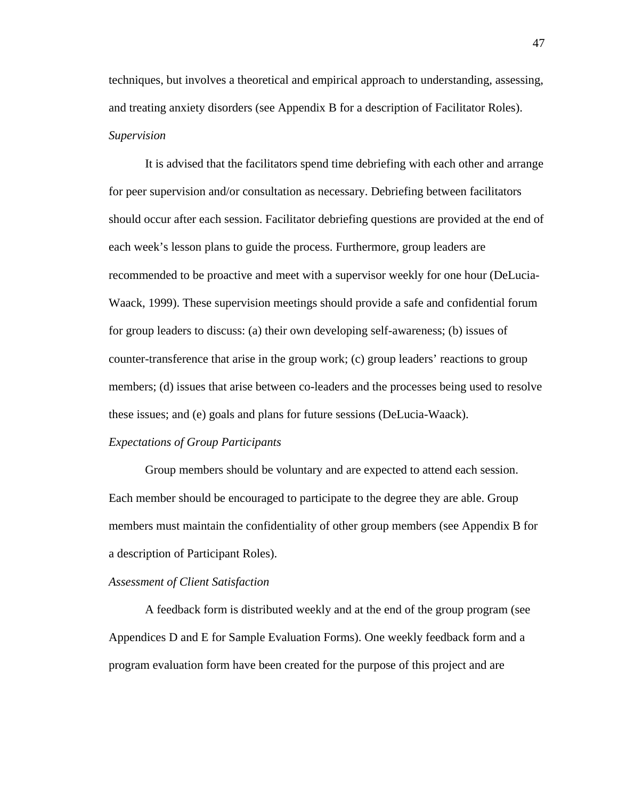techniques, but involves a theoretical and empirical approach to understanding, assessing, and treating anxiety disorders (see Appendix B for a description of Facilitator Roles). *Supervision* 

It is advised that the facilitators spend time debriefing with each other and arrange for peer supervision and/or consultation as necessary. Debriefing between facilitators should occur after each session. Facilitator debriefing questions are provided at the end of each week's lesson plans to guide the process. Furthermore, group leaders are recommended to be proactive and meet with a supervisor weekly for one hour (DeLucia-Waack, 1999). These supervision meetings should provide a safe and confidential forum for group leaders to discuss: (a) their own developing self-awareness; (b) issues of counter-transference that arise in the group work; (c) group leaders' reactions to group members; (d) issues that arise between co-leaders and the processes being used to resolve these issues; and (e) goals and plans for future sessions (DeLucia-Waack).

## *Expectations of Group Participants*

Group members should be voluntary and are expected to attend each session. Each member should be encouraged to participate to the degree they are able. Group members must maintain the confidentiality of other group members (see Appendix B for a description of Participant Roles).

#### *Assessment of Client Satisfaction*

A feedback form is distributed weekly and at the end of the group program (see Appendices D and E for Sample Evaluation Forms). One weekly feedback form and a program evaluation form have been created for the purpose of this project and are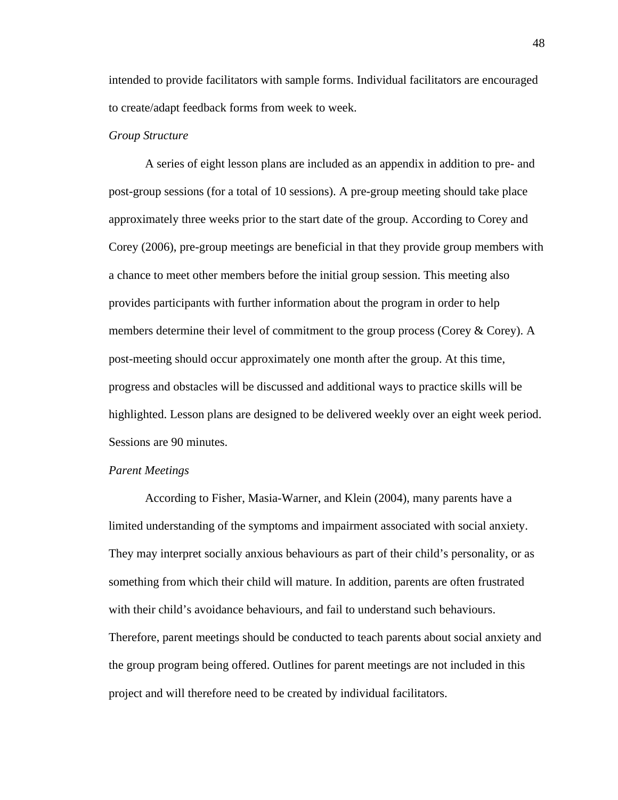intended to provide facilitators with sample forms. Individual facilitators are encouraged to create/adapt feedback forms from week to week.

# *Group Structure*

A series of eight lesson plans are included as an appendix in addition to pre- and post-group sessions (for a total of 10 sessions). A pre-group meeting should take place approximately three weeks prior to the start date of the group. According to Corey and Corey (2006), pre-group meetings are beneficial in that they provide group members with a chance to meet other members before the initial group session. This meeting also provides participants with further information about the program in order to help members determine their level of commitment to the group process (Corey & Corey). A post-meeting should occur approximately one month after the group. At this time, progress and obstacles will be discussed and additional ways to practice skills will be highlighted. Lesson plans are designed to be delivered weekly over an eight week period. Sessions are 90 minutes.

# *Parent Meetings*

According to Fisher, Masia-Warner, and Klein (2004), many parents have a limited understanding of the symptoms and impairment associated with social anxiety. They may interpret socially anxious behaviours as part of their child's personality, or as something from which their child will mature. In addition, parents are often frustrated with their child's avoidance behaviours, and fail to understand such behaviours. Therefore, parent meetings should be conducted to teach parents about social anxiety and the group program being offered. Outlines for parent meetings are not included in this project and will therefore need to be created by individual facilitators.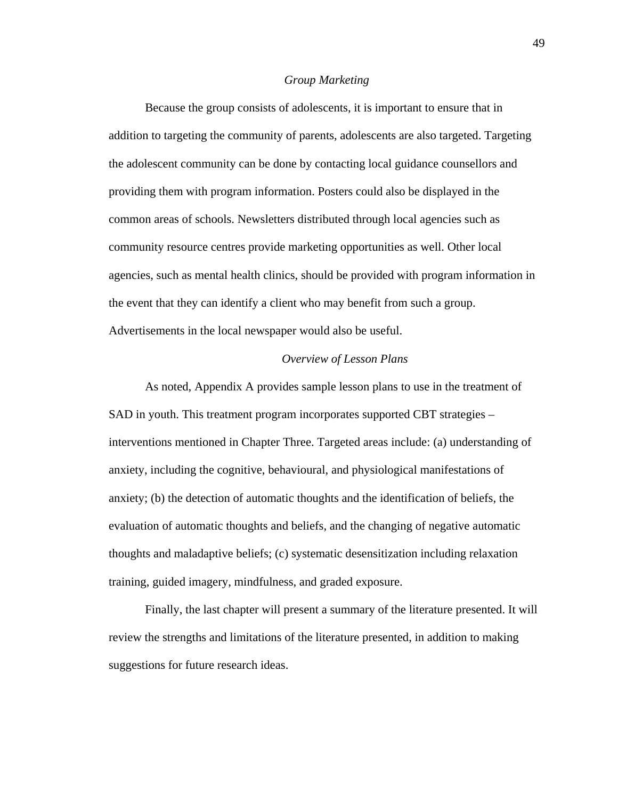#### *Group Marketing*

Because the group consists of adolescents, it is important to ensure that in addition to targeting the community of parents, adolescents are also targeted. Targeting the adolescent community can be done by contacting local guidance counsellors and providing them with program information. Posters could also be displayed in the common areas of schools. Newsletters distributed through local agencies such as community resource centres provide marketing opportunities as well. Other local agencies, such as mental health clinics, should be provided with program information in the event that they can identify a client who may benefit from such a group. Advertisements in the local newspaper would also be useful.

#### *Overview of Lesson Plans*

As noted, Appendix A provides sample lesson plans to use in the treatment of SAD in youth. This treatment program incorporates supported CBT strategies – interventions mentioned in Chapter Three. Targeted areas include: (a) understanding of anxiety, including the cognitive, behavioural, and physiological manifestations of anxiety; (b) the detection of automatic thoughts and the identification of beliefs, the evaluation of automatic thoughts and beliefs, and the changing of negative automatic thoughts and maladaptive beliefs; (c) systematic desensitization including relaxation training, guided imagery, mindfulness, and graded exposure.

Finally, the last chapter will present a summary of the literature presented. It will review the strengths and limitations of the literature presented, in addition to making suggestions for future research ideas.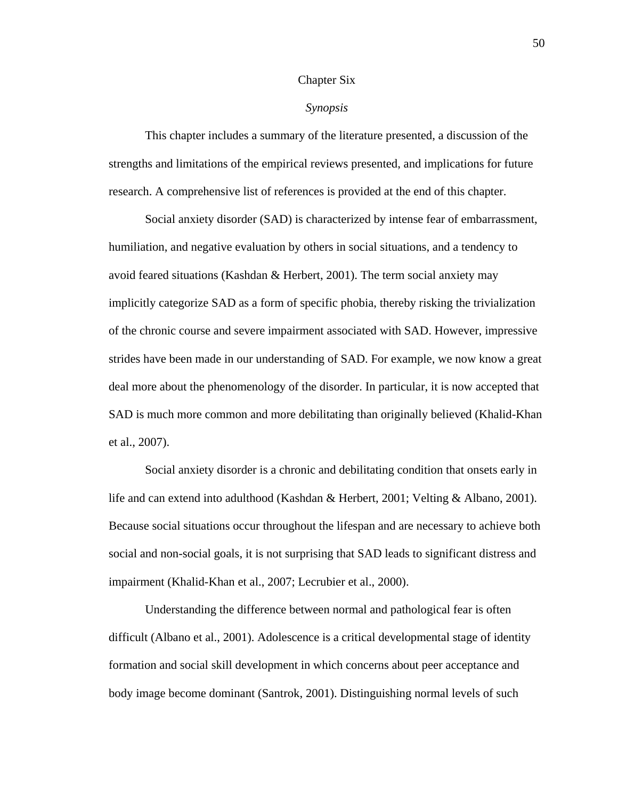#### Chapter Six

# *Synopsis*

This chapter includes a summary of the literature presented, a discussion of the strengths and limitations of the empirical reviews presented, and implications for future research. A comprehensive list of references is provided at the end of this chapter.

Social anxiety disorder (SAD) is characterized by intense fear of embarrassment, humiliation, and negative evaluation by others in social situations, and a tendency to avoid feared situations (Kashdan & Herbert, 2001). The term social anxiety may implicitly categorize SAD as a form of specific phobia, thereby risking the trivialization of the chronic course and severe impairment associated with SAD. However, impressive strides have been made in our understanding of SAD. For example, we now know a great deal more about the phenomenology of the disorder. In particular, it is now accepted that SAD is much more common and more debilitating than originally believed (Khalid-Khan et al., 2007).

Social anxiety disorder is a chronic and debilitating condition that onsets early in life and can extend into adulthood (Kashdan & Herbert, 2001; Velting & Albano, 2001). Because social situations occur throughout the lifespan and are necessary to achieve both social and non-social goals, it is not surprising that SAD leads to significant distress and impairment (Khalid-Khan et al., 2007; Lecrubier et al., 2000).

Understanding the difference between normal and pathological fear is often difficult (Albano et al., 2001). Adolescence is a critical developmental stage of identity formation and social skill development in which concerns about peer acceptance and body image become dominant (Santrok, 2001). Distinguishing normal levels of such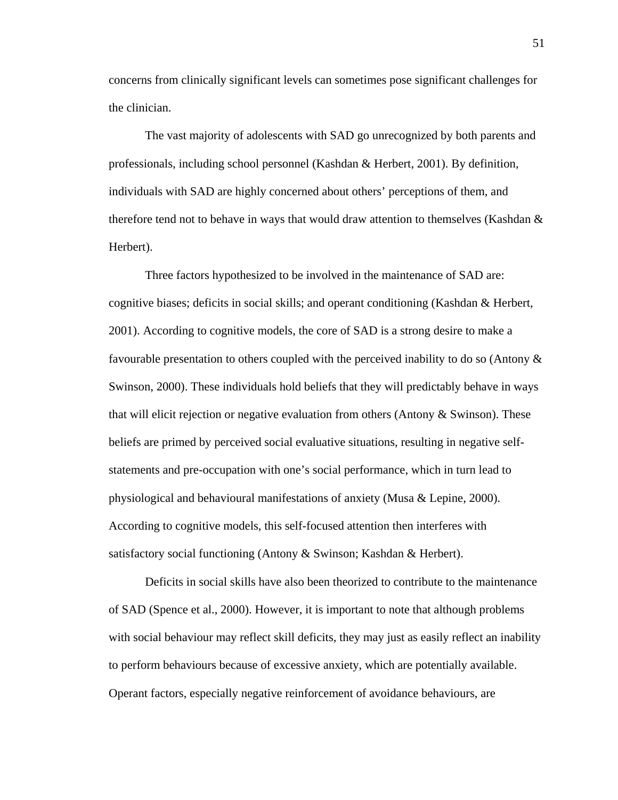concerns from clinically significant levels can sometimes pose significant challenges for the clinician.

The vast majority of adolescents with SAD go unrecognized by both parents and professionals, including school personnel (Kashdan & Herbert, 2001). By definition, individuals with SAD are highly concerned about others' perceptions of them, and therefore tend not to behave in ways that would draw attention to themselves (Kashdan & Herbert).

Three factors hypothesized to be involved in the maintenance of SAD are: cognitive biases; deficits in social skills; and operant conditioning (Kashdan & Herbert, 2001). According to cognitive models, the core of SAD is a strong desire to make a favourable presentation to others coupled with the perceived inability to do so (Antony & Swinson, 2000). These individuals hold beliefs that they will predictably behave in ways that will elicit rejection or negative evaluation from others (Antony  $&$  Swinson). These beliefs are primed by perceived social evaluative situations, resulting in negative selfstatements and pre-occupation with one's social performance, which in turn lead to physiological and behavioural manifestations of anxiety (Musa & Lepine, 2000). According to cognitive models, this self-focused attention then interferes with satisfactory social functioning (Antony & Swinson; Kashdan & Herbert).

Deficits in social skills have also been theorized to contribute to the maintenance of SAD (Spence et al., 2000). However, it is important to note that although problems with social behaviour may reflect skill deficits, they may just as easily reflect an inability to perform behaviours because of excessive anxiety, which are potentially available. Operant factors, especially negative reinforcement of avoidance behaviours, are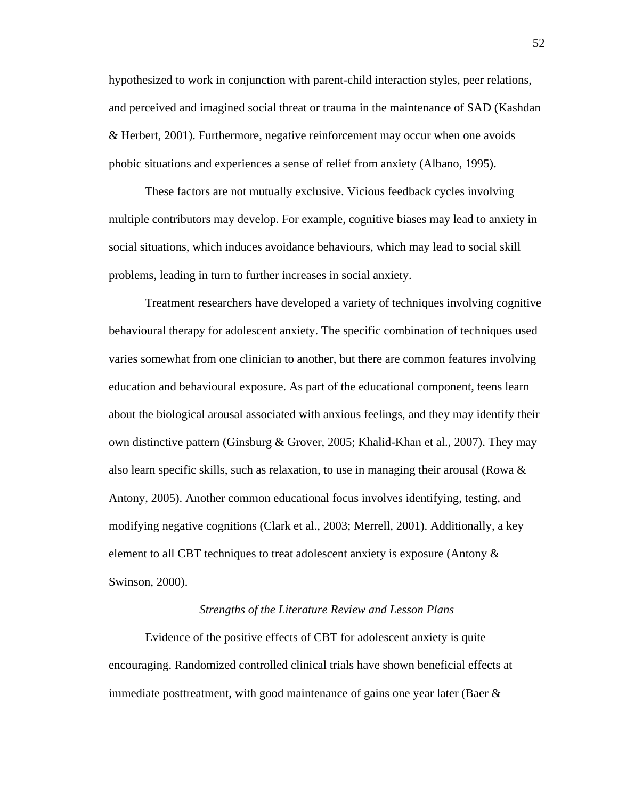hypothesized to work in conjunction with parent-child interaction styles, peer relations, and perceived and imagined social threat or trauma in the maintenance of SAD (Kashdan & Herbert, 2001). Furthermore, negative reinforcement may occur when one avoids phobic situations and experiences a sense of relief from anxiety (Albano, 1995).

These factors are not mutually exclusive. Vicious feedback cycles involving multiple contributors may develop. For example, cognitive biases may lead to anxiety in social situations, which induces avoidance behaviours, which may lead to social skill problems, leading in turn to further increases in social anxiety.

Treatment researchers have developed a variety of techniques involving cognitive behavioural therapy for adolescent anxiety. The specific combination of techniques used varies somewhat from one clinician to another, but there are common features involving education and behavioural exposure. As part of the educational component, teens learn about the biological arousal associated with anxious feelings, and they may identify their own distinctive pattern (Ginsburg & Grover, 2005; Khalid-Khan et al., 2007). They may also learn specific skills, such as relaxation, to use in managing their arousal (Rowa & Antony, 2005). Another common educational focus involves identifying, testing, and modifying negative cognitions (Clark et al., 2003; Merrell, 2001). Additionally, a key element to all CBT techniques to treat adolescent anxiety is exposure (Antony & Swinson, 2000).

## *Strengths of the Literature Review and Lesson Plans*

Evidence of the positive effects of CBT for adolescent anxiety is quite encouraging. Randomized controlled clinical trials have shown beneficial effects at immediate posttreatment, with good maintenance of gains one year later (Baer &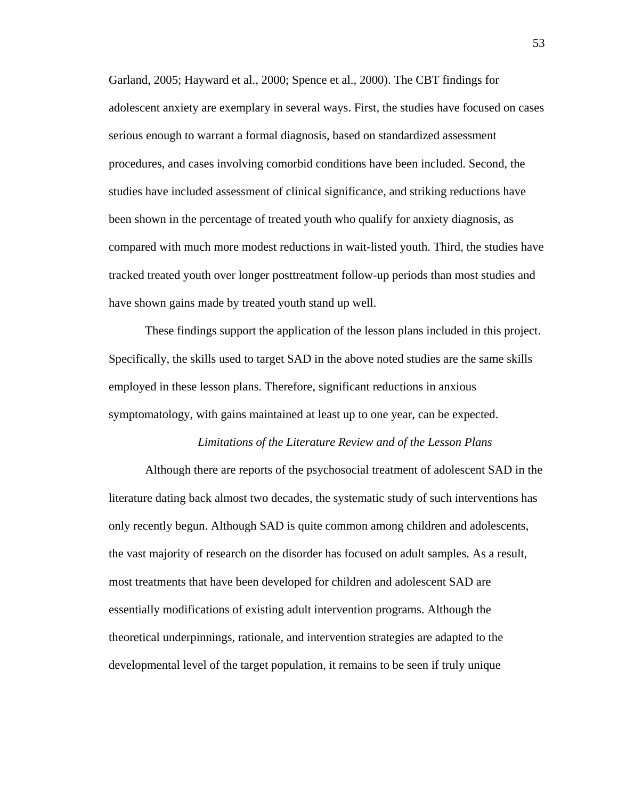Garland, 2005; Hayward et al., 2000; Spence et al., 2000). The CBT findings for adolescent anxiety are exemplary in several ways. First, the studies have focused on cases serious enough to warrant a formal diagnosis, based on standardized assessment procedures, and cases involving comorbid conditions have been included. Second, the studies have included assessment of clinical significance, and striking reductions have been shown in the percentage of treated youth who qualify for anxiety diagnosis, as compared with much more modest reductions in wait-listed youth. Third, the studies have tracked treated youth over longer posttreatment follow-up periods than most studies and have shown gains made by treated youth stand up well.

These findings support the application of the lesson plans included in this project. Specifically, the skills used to target SAD in the above noted studies are the same skills employed in these lesson plans. Therefore, significant reductions in anxious symptomatology, with gains maintained at least up to one year, can be expected.

## *Limitations of the Literature Review and of the Lesson Plans*

 Although there are reports of the psychosocial treatment of adolescent SAD in the literature dating back almost two decades, the systematic study of such interventions has only recently begun. Although SAD is quite common among children and adolescents, the vast majority of research on the disorder has focused on adult samples. As a result, most treatments that have been developed for children and adolescent SAD are essentially modifications of existing adult intervention programs. Although the theoretical underpinnings, rationale, and intervention strategies are adapted to the developmental level of the target population, it remains to be seen if truly unique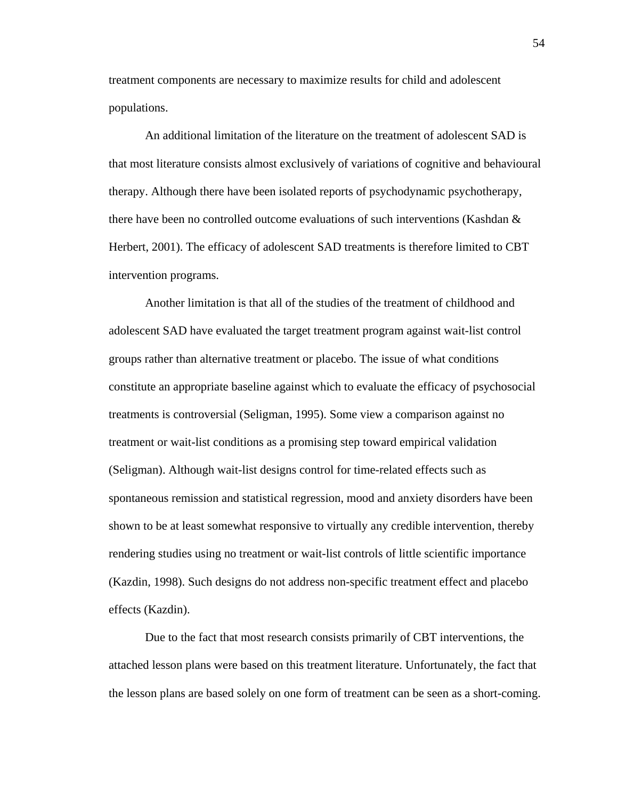treatment components are necessary to maximize results for child and adolescent populations.

An additional limitation of the literature on the treatment of adolescent SAD is that most literature consists almost exclusively of variations of cognitive and behavioural therapy. Although there have been isolated reports of psychodynamic psychotherapy, there have been no controlled outcome evaluations of such interventions (Kashdan & Herbert, 2001). The efficacy of adolescent SAD treatments is therefore limited to CBT intervention programs.

Another limitation is that all of the studies of the treatment of childhood and adolescent SAD have evaluated the target treatment program against wait-list control groups rather than alternative treatment or placebo. The issue of what conditions constitute an appropriate baseline against which to evaluate the efficacy of psychosocial treatments is controversial (Seligman, 1995). Some view a comparison against no treatment or wait-list conditions as a promising step toward empirical validation (Seligman). Although wait-list designs control for time-related effects such as spontaneous remission and statistical regression, mood and anxiety disorders have been shown to be at least somewhat responsive to virtually any credible intervention, thereby rendering studies using no treatment or wait-list controls of little scientific importance (Kazdin, 1998). Such designs do not address non-specific treatment effect and placebo effects (Kazdin).

Due to the fact that most research consists primarily of CBT interventions, the attached lesson plans were based on this treatment literature. Unfortunately, the fact that the lesson plans are based solely on one form of treatment can be seen as a short-coming.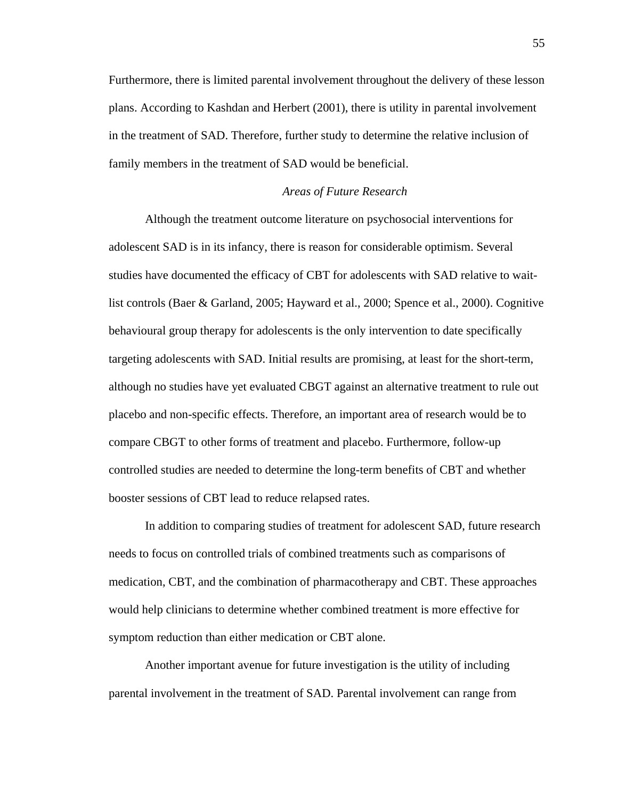Furthermore, there is limited parental involvement throughout the delivery of these lesson plans. According to Kashdan and Herbert (2001), there is utility in parental involvement in the treatment of SAD. Therefore, further study to determine the relative inclusion of family members in the treatment of SAD would be beneficial.

## *Areas of Future Research*

Although the treatment outcome literature on psychosocial interventions for adolescent SAD is in its infancy, there is reason for considerable optimism. Several studies have documented the efficacy of CBT for adolescents with SAD relative to waitlist controls (Baer & Garland, 2005; Hayward et al., 2000; Spence et al., 2000). Cognitive behavioural group therapy for adolescents is the only intervention to date specifically targeting adolescents with SAD. Initial results are promising, at least for the short-term, although no studies have yet evaluated CBGT against an alternative treatment to rule out placebo and non-specific effects. Therefore, an important area of research would be to compare CBGT to other forms of treatment and placebo. Furthermore, follow-up controlled studies are needed to determine the long-term benefits of CBT and whether booster sessions of CBT lead to reduce relapsed rates.

In addition to comparing studies of treatment for adolescent SAD, future research needs to focus on controlled trials of combined treatments such as comparisons of medication, CBT, and the combination of pharmacotherapy and CBT. These approaches would help clinicians to determine whether combined treatment is more effective for symptom reduction than either medication or CBT alone.

Another important avenue for future investigation is the utility of including parental involvement in the treatment of SAD. Parental involvement can range from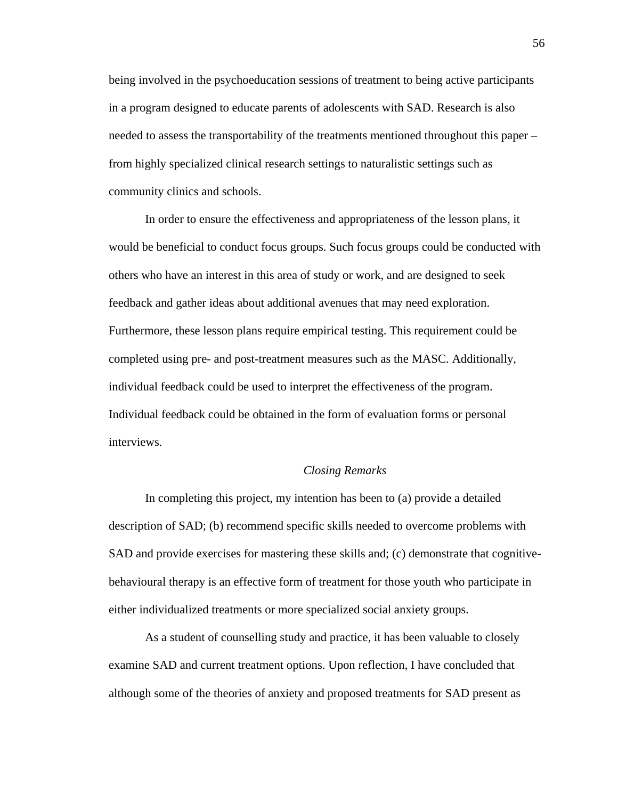being involved in the psychoeducation sessions of treatment to being active participants in a program designed to educate parents of adolescents with SAD. Research is also needed to assess the transportability of the treatments mentioned throughout this paper – from highly specialized clinical research settings to naturalistic settings such as community clinics and schools.

In order to ensure the effectiveness and appropriateness of the lesson plans, it would be beneficial to conduct focus groups. Such focus groups could be conducted with others who have an interest in this area of study or work, and are designed to seek feedback and gather ideas about additional avenues that may need exploration. Furthermore, these lesson plans require empirical testing. This requirement could be completed using pre- and post-treatment measures such as the MASC. Additionally, individual feedback could be used to interpret the effectiveness of the program. Individual feedback could be obtained in the form of evaluation forms or personal interviews.

## *Closing Remarks*

In completing this project, my intention has been to (a) provide a detailed description of SAD; (b) recommend specific skills needed to overcome problems with SAD and provide exercises for mastering these skills and; (c) demonstrate that cognitivebehavioural therapy is an effective form of treatment for those youth who participate in either individualized treatments or more specialized social anxiety groups.

As a student of counselling study and practice, it has been valuable to closely examine SAD and current treatment options. Upon reflection, I have concluded that although some of the theories of anxiety and proposed treatments for SAD present as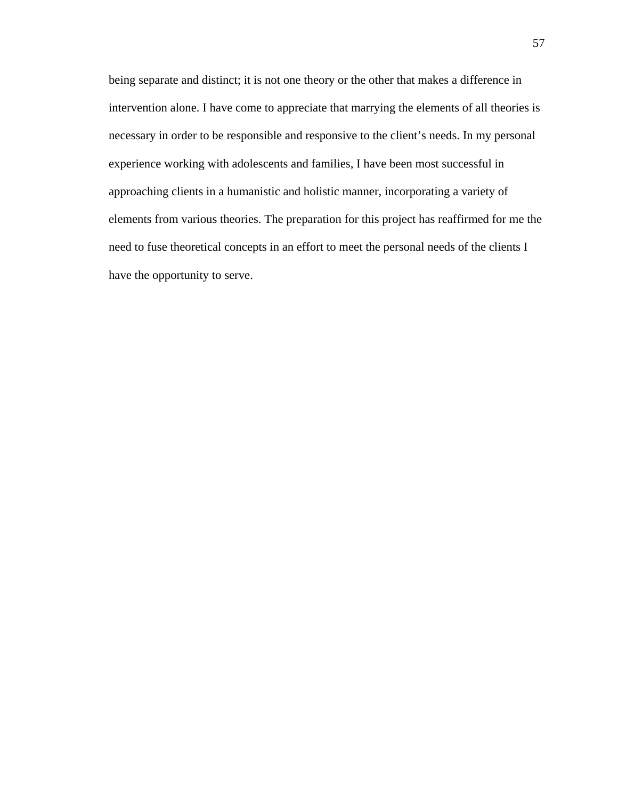being separate and distinct; it is not one theory or the other that makes a difference in intervention alone. I have come to appreciate that marrying the elements of all theories is necessary in order to be responsible and responsive to the client's needs. In my personal experience working with adolescents and families, I have been most successful in approaching clients in a humanistic and holistic manner, incorporating a variety of elements from various theories. The preparation for this project has reaffirmed for me the need to fuse theoretical concepts in an effort to meet the personal needs of the clients I have the opportunity to serve.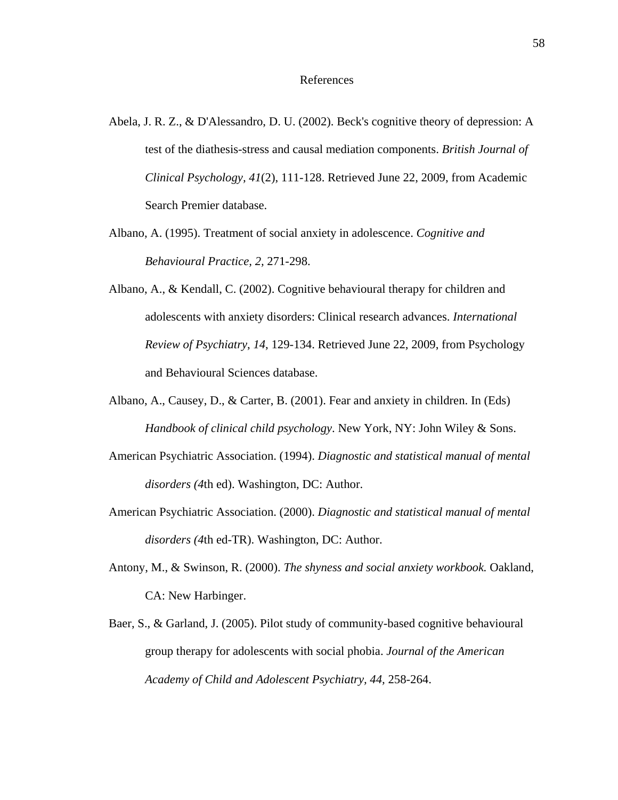- Abela, J. R. Z., & D'Alessandro, D. U. (2002). Beck's cognitive theory of depression: A test of the diathesis-stress and causal mediation components. *British Journal of Clinical Psychology, 41*(2), 111-128. Retrieved June 22, 2009, from Academic Search Premier database.
- Albano, A. (1995). Treatment of social anxiety in adolescence. *Cognitive and Behavioural Practice, 2,* 271-298.
- Albano, A., & Kendall, C. (2002). Cognitive behavioural therapy for children and adolescents with anxiety disorders: Clinical research advances. *International Review of Psychiatry*, *14*, 129-134. Retrieved June 22, 2009, from Psychology and Behavioural Sciences database.
- Albano, A., Causey, D., & Carter, B. (2001). Fear and anxiety in children. In (Eds) *Handbook of clinical child psychology*. New York, NY: John Wiley & Sons.
- American Psychiatric Association. (1994). *Diagnostic and statistical manual of mental disorders (4*th ed). Washington, DC: Author.
- American Psychiatric Association. (2000). *Diagnostic and statistical manual of mental disorders (4*th ed-TR). Washington, DC: Author.
- Antony, M., & Swinson, R. (2000). *The shyness and social anxiety workbook.* Oakland, CA: New Harbinger.
- Baer, S., & Garland, J. (2005). Pilot study of community-based cognitive behavioural group therapy for adolescents with social phobia. *Journal of the American Academy of Child and Adolescent Psychiatry, 44,* 258-264.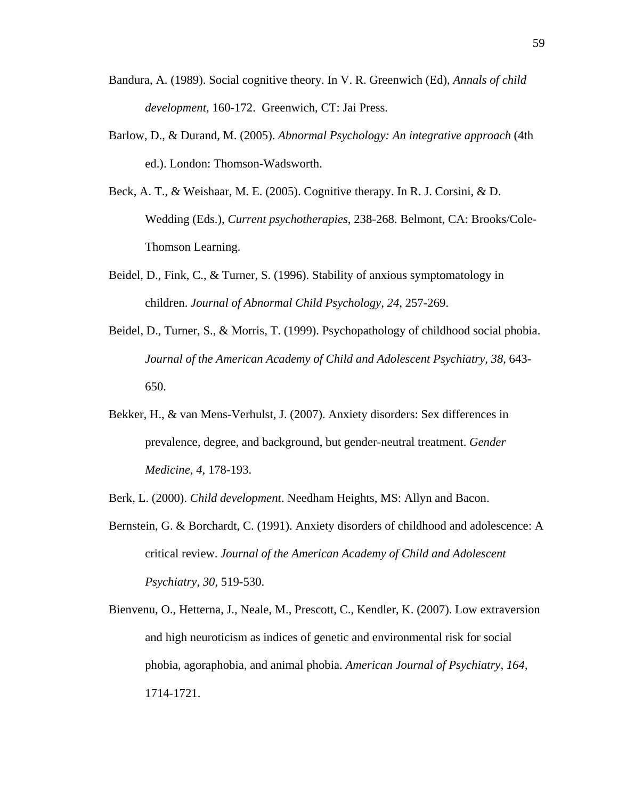- Bandura, A. (1989). Social cognitive theory. In V. R. Greenwich (Ed), *Annals of child development,* 160-172. Greenwich, CT: Jai Press.
- Barlow, D., & Durand, M. (2005). *Abnormal Psychology: An integrative approach* (4th ed.). London: Thomson-Wadsworth.
- Beck, A. T., & Weishaar, M. E. (2005). Cognitive therapy. In R. J. Corsini, & D. Wedding (Eds.), *Current psychotherapies*, 238-268. Belmont, CA: Brooks/Cole-Thomson Learning.
- Beidel, D., Fink, C., & Turner, S. (1996). Stability of anxious symptomatology in children. *Journal of Abnormal Child Psychology, 24*, 257-269.
- Beidel, D., Turner, S., & Morris, T. (1999). Psychopathology of childhood social phobia. *Journal of the American Academy of Child and Adolescent Psychiatry, 38,* 643- 650.
- Bekker, H., & van Mens-Verhulst, J. (2007). Anxiety disorders: Sex differences in prevalence, degree, and background, but gender-neutral treatment. *Gender Medicine, 4*, 178-193.
- Berk, L. (2000). *Child development*. Needham Heights, MS: Allyn and Bacon.
- Bernstein, G. & Borchardt, C. (1991). Anxiety disorders of childhood and adolescence: A critical review. *Journal of the American Academy of Child and Adolescent Psychiatry, 30,* 519-530.
- Bienvenu, O., Hetterna, J., Neale, M., Prescott, C., Kendler, K. (2007). Low extraversion and high neuroticism as indices of genetic and environmental risk for social phobia, agoraphobia, and animal phobia. *American Journal of Psychiatry, 164,* 1714-1721.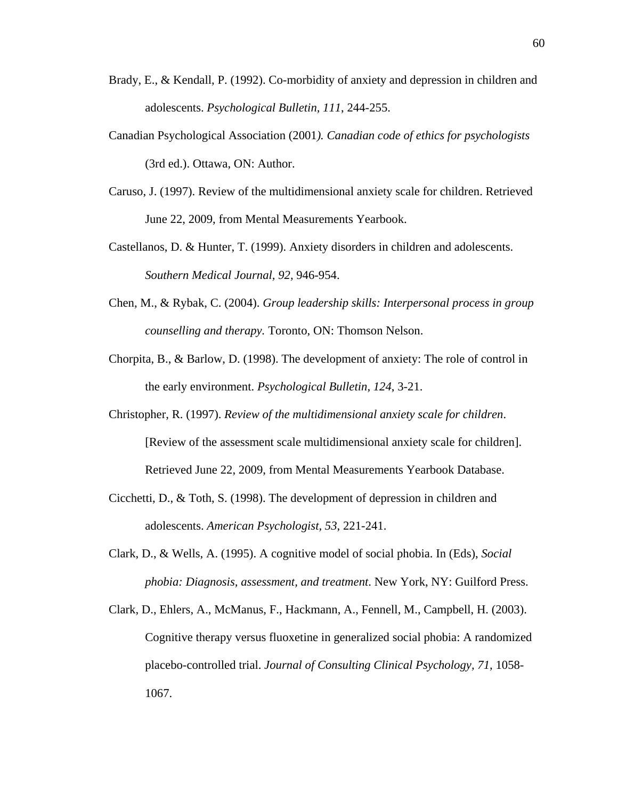- Brady, E., & Kendall, P. (1992). Co-morbidity of anxiety and depression in children and adolescents. *Psychological Bulletin, 111*, 244-255.
- Canadian Psychological Association (2001*). Canadian code of ethics for psychologists*  (3rd ed.). Ottawa, ON: Author.
- Caruso, J. (1997). Review of the multidimensional anxiety scale for children. Retrieved June 22, 2009, from Mental Measurements Yearbook.
- Castellanos, D. & Hunter, T. (1999). Anxiety disorders in children and adolescents. *Southern Medical Journal, 92,* 946-954.
- Chen, M., & Rybak, C. (2004). *Group leadership skills: Interpersonal process in group counselling and therapy.* Toronto, ON: Thomson Nelson.
- Chorpita, B., & Barlow, D. (1998). The development of anxiety: The role of control in the early environment. *Psychological Bulletin, 124*, 3-21.
- Christopher, R. (1997). *Review of the multidimensional anxiety scale for children*. [Review of the assessment scale multidimensional anxiety scale for children]. Retrieved June 22, 2009, from Mental Measurements Yearbook Database.
- Cicchetti, D., & Toth, S. (1998). The development of depression in children and adolescents. *American Psychologist, 53*, 221-241.
- Clark, D., & Wells, A. (1995). A cognitive model of social phobia. In (Eds), *Social phobia: Diagnosis, assessment, and treatment*. New York, NY: Guilford Press.
- Clark, D., Ehlers, A., McManus, F., Hackmann, A., Fennell, M., Campbell, H. (2003). Cognitive therapy versus fluoxetine in generalized social phobia: A randomized placebo-controlled trial. *Journal of Consulting Clinical Psychology, 71,* 1058- 1067.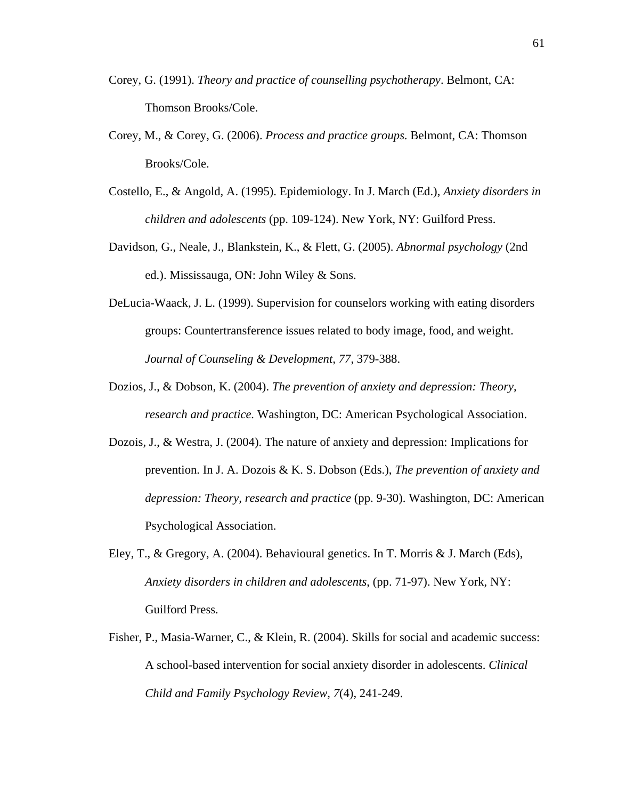- Corey, G. (1991). *Theory and practice of counselling psychotherapy*. Belmont, CA: Thomson Brooks/Cole.
- Corey, M., & Corey, G. (2006). *Process and practice groups*. Belmont, CA: Thomson Brooks/Cole.
- Costello, E., & Angold, A. (1995). Epidemiology. In J. March (Ed.), *Anxiety disorders in children and adolescents* (pp. 109-124). New York, NY: Guilford Press.
- Davidson, G., Neale, J., Blankstein, K., & Flett, G. (2005). *Abnormal psychology* (2nd ed.). Mississauga, ON: John Wiley & Sons.
- DeLucia-Waack, J. L. (1999). Supervision for counselors working with eating disorders groups: Countertransference issues related to body image, food, and weight. *Journal of Counseling & Development, 77*, 379-388.
- Dozios, J., & Dobson, K. (2004). *The prevention of anxiety and depression: Theory, research and practice.* Washington, DC: American Psychological Association.
- Dozois, J., & Westra, J. (2004). The nature of anxiety and depression: Implications for prevention. In J. A. Dozois & K. S. Dobson (Eds.), *The prevention of anxiety and depression: Theory, research and practice* (pp. 9-30). Washington, DC: American Psychological Association.
- Eley, T., & Gregory, A. (2004). Behavioural genetics. In T. Morris & J. March (Eds), *Anxiety disorders in children and adolescents*, (pp. 71-97). New York, NY: Guilford Press.
- Fisher, P., Masia-Warner, C., & Klein, R. (2004). Skills for social and academic success: A school-based intervention for social anxiety disorder in adolescents. *Clinical Child and Family Psychology Review, 7*(4), 241-249.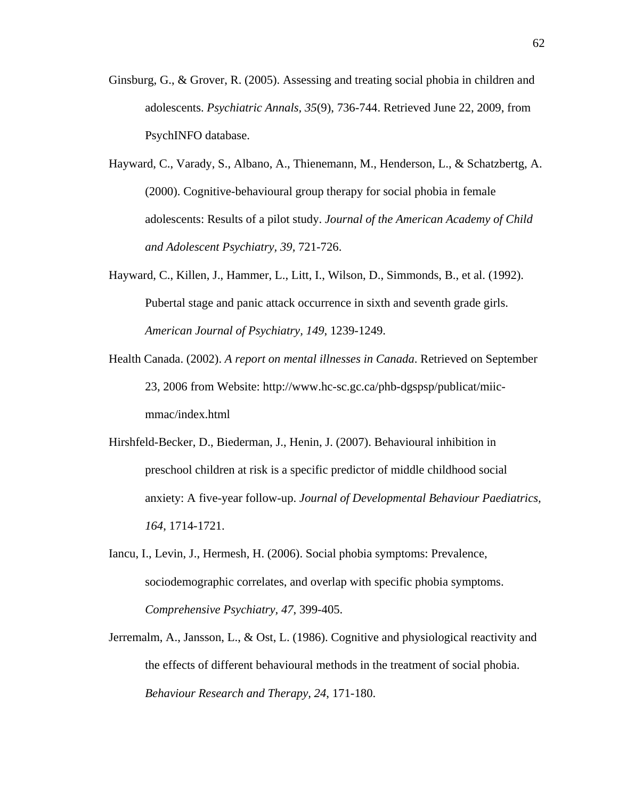- Ginsburg, G., & Grover, R. (2005). Assessing and treating social phobia in children and adolescents. *Psychiatric Annals, 35*(9), 736-744. Retrieved June 22, 2009, from PsychINFO database.
- Hayward, C., Varady, S., Albano, A., Thienemann, M., Henderson, L., & Schatzbertg, A. (2000). Cognitive-behavioural group therapy for social phobia in female adolescents: Results of a pilot study. *Journal of the American Academy of Child and Adolescent Psychiatry, 39,* 721-726.
- Hayward, C., Killen, J., Hammer, L., Litt, I., Wilson, D., Simmonds, B., et al. (1992). Pubertal stage and panic attack occurrence in sixth and seventh grade girls. *American Journal of Psychiatry, 149*, 1239-1249.
- Health Canada. (2002). *A report on mental illnesses in Canada*. Retrieved on September 23, 2006 from Website: http://www.hc-sc.gc.ca/phb-dgspsp/publicat/miicmmac/index.html
- Hirshfeld-Becker, D., Biederman, J., Henin, J. (2007). Behavioural inhibition in preschool children at risk is a specific predictor of middle childhood social anxiety: A five-year follow-up. *Journal of Developmental Behaviour Paediatrics, 164*, 1714-1721.
- Iancu, I., Levin, J., Hermesh, H. (2006). Social phobia symptoms: Prevalence, sociodemographic correlates, and overlap with specific phobia symptoms. *Comprehensive Psychiatry, 47*, 399-405.
- Jerremalm, A., Jansson, L., & Ost, L. (1986). Cognitive and physiological reactivity and the effects of different behavioural methods in the treatment of social phobia. *Behaviour Research and Therapy, 24*, 171-180.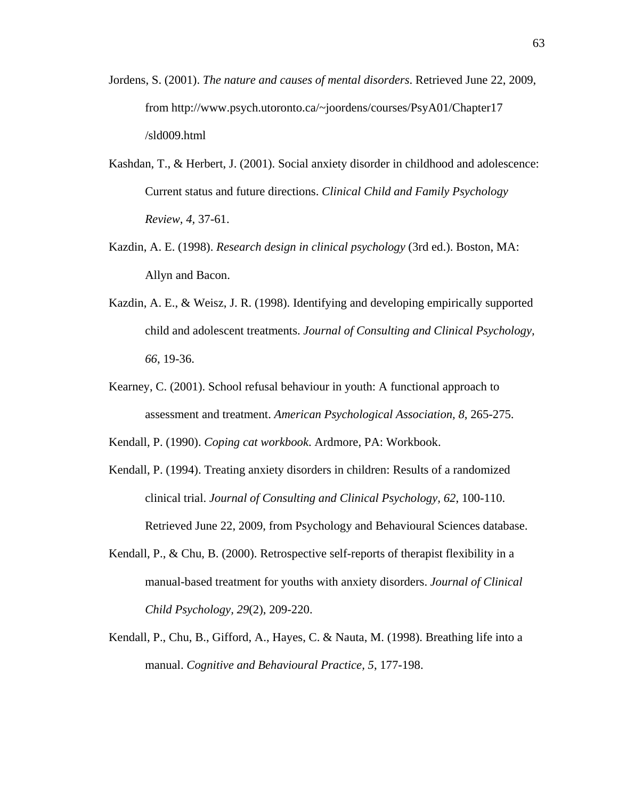- Jordens, S. (2001). *The nature and causes of mental disorders*. Retrieved June 22, 2009, from http://www.psych.utoronto.ca/~joordens/courses/PsyA01/Chapter17 /sld009.html
- Kashdan, T., & Herbert, J. (2001). Social anxiety disorder in childhood and adolescence: Current status and future directions. *Clinical Child and Family Psychology Review, 4,* 37-61.
- Kazdin, A. E. (1998). *Research design in clinical psychology* (3rd ed.). Boston, MA: Allyn and Bacon.
- Kazdin, A. E., & Weisz, J. R. (1998). Identifying and developing empirically supported child and adolescent treatments. *Journal of Consulting and Clinical Psychology, 66*, 19-36.
- Kearney, C. (2001). School refusal behaviour in youth: A functional approach to assessment and treatment. *American Psychological Association, 8*, 265-275.

Kendall, P. (1990). *Coping cat workbook*. Ardmore, PA: Workbook.

- Kendall, P. (1994). Treating anxiety disorders in children: Results of a randomized clinical trial. *Journal of Consulting and Clinical Psychology, 62*, 100-110. Retrieved June 22, 2009, from Psychology and Behavioural Sciences database.
- Kendall, P., & Chu, B. (2000). Retrospective self-reports of therapist flexibility in a manual-based treatment for youths with anxiety disorders. *Journal of Clinical Child Psychology, 29*(2), 209-220.
- Kendall, P., Chu, B., Gifford, A., Hayes, C. & Nauta, M. (1998). Breathing life into a manual. *Cognitive and Behavioural Practice, 5*, 177-198.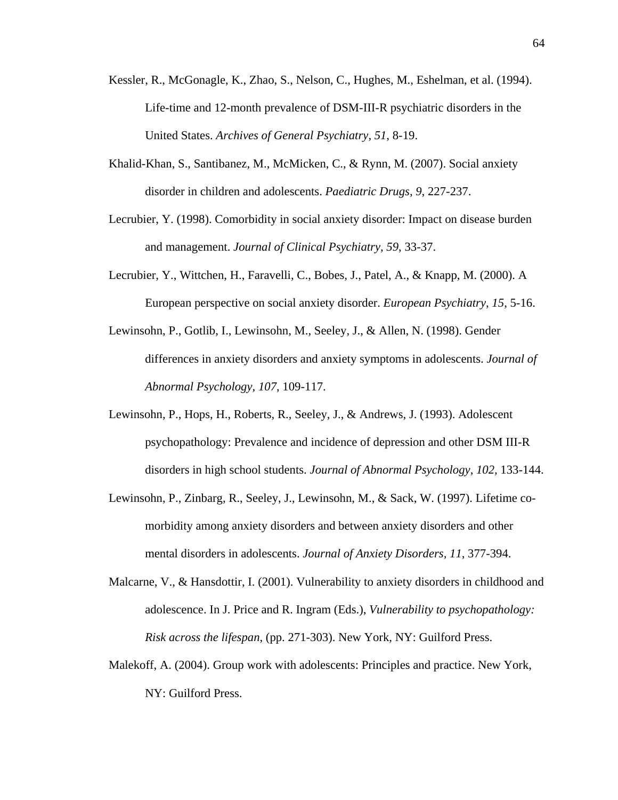- Kessler, R., McGonagle, K., Zhao, S., Nelson, C., Hughes, M., Eshelman, et al. (1994). Life-time and 12-month prevalence of DSM-III-R psychiatric disorders in the United States. *Archives of General Psychiatry, 51*, 8-19.
- Khalid-Khan, S., Santibanez, M., McMicken, C., & Rynn, M. (2007). Social anxiety disorder in children and adolescents. *Paediatric Drugs, 9*, 227-237.
- Lecrubier, Y. (1998). Comorbidity in social anxiety disorder: Impact on disease burden and management. *Journal of Clinical Psychiatry, 59*, 33-37.
- Lecrubier, Y., Wittchen, H., Faravelli, C., Bobes, J., Patel, A., & Knapp, M. (2000). A European perspective on social anxiety disorder. *European Psychiatry, 15*, 5-16.
- Lewinsohn, P., Gotlib, I., Lewinsohn, M., Seeley, J., & Allen, N. (1998). Gender differences in anxiety disorders and anxiety symptoms in adolescents. *Journal of Abnormal Psychology, 107*, 109-117.
- Lewinsohn, P., Hops, H., Roberts, R., Seeley, J., & Andrews, J. (1993). Adolescent psychopathology: Prevalence and incidence of depression and other DSM III-R disorders in high school students. *Journal of Abnormal Psychology, 102,* 133-144.
- Lewinsohn, P., Zinbarg, R., Seeley, J., Lewinsohn, M., & Sack, W. (1997). Lifetime comorbidity among anxiety disorders and between anxiety disorders and other mental disorders in adolescents. *Journal of Anxiety Disorders, 11*, 377-394.
- Malcarne, V., & Hansdottir, I. (2001). Vulnerability to anxiety disorders in childhood and adolescence. In J. Price and R. Ingram (Eds.), *Vulnerability to psychopathology: Risk across the lifespan*, (pp. 271-303). New York, NY: Guilford Press.
- Malekoff, A. (2004). Group work with adolescents: Principles and practice. New York, NY: Guilford Press.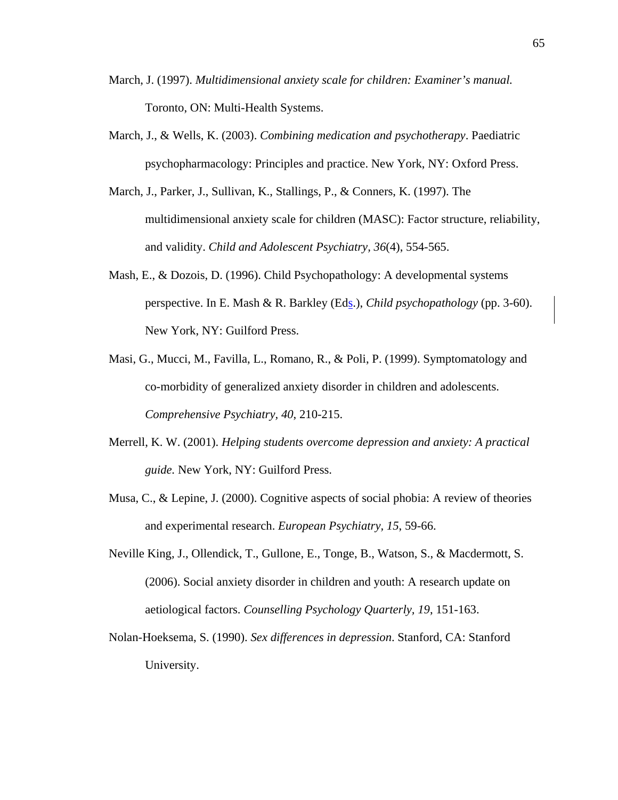- March, J. (1997). *Multidimensional anxiety scale for children: Examiner's manual.* Toronto, ON: Multi-Health Systems.
- March, J., & Wells, K. (2003). *Combining medication and psychotherapy*. Paediatric psychopharmacology: Principles and practice. New York, NY: Oxford Press.
- March, J., Parker, J., Sullivan, K., Stallings, P., & Conners, K. (1997). The multidimensional anxiety scale for children (MASC): Factor structure, reliability, and validity. *Child and Adolescent Psychiatry, 36*(4), 554-565.
- Mash, E., & Dozois, D. (1996). Child Psychopathology: A developmental systems perspective. In E. Mash & R. Barkley (Eds.), *Child psychopathology* (pp. 3-60). New York, NY: Guilford Press.
- Masi, G., Mucci, M., Favilla, L., Romano, R., & Poli, P. (1999). Symptomatology and co-morbidity of generalized anxiety disorder in children and adolescents. *Comprehensive Psychiatry, 40*, 210-215.
- Merrell, K. W. (2001). *Helping students overcome depression and anxiety: A practical guide.* New York, NY: Guilford Press.
- Musa, C., & Lepine, J. (2000). Cognitive aspects of social phobia: A review of theories and experimental research. *European Psychiatry, 15*, 59-66.
- Neville King, J., Ollendick, T., Gullone, E., Tonge, B., Watson, S., & Macdermott, S. (2006). Social anxiety disorder in children and youth: A research update on aetiological factors. *Counselling Psychology Quarterly, 19*, 151-163.
- Nolan-Hoeksema, S. (1990). *Sex differences in depression*. Stanford, CA: Stanford University.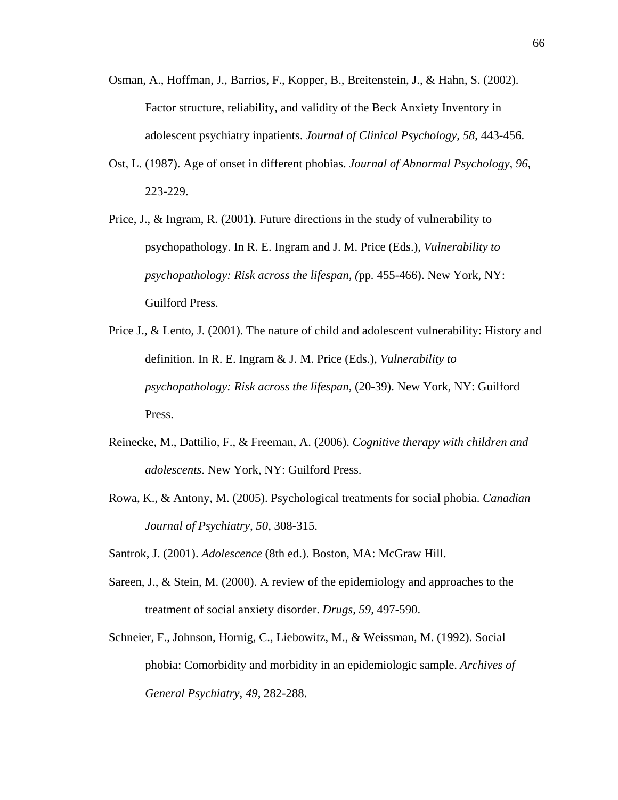- Osman, A., Hoffman, J., Barrios, F., Kopper, B., Breitenstein, J., & Hahn, S. (2002). Factor structure, reliability, and validity of the Beck Anxiety Inventory in adolescent psychiatry inpatients. *Journal of Clinical Psychology, 58*, 443-456.
- Ost, L. (1987). Age of onset in different phobias. *Journal of Abnormal Psychology, 96*, 223-229.
- Price, J., & Ingram, R. (2001). Future directions in the study of vulnerability to psychopathology. In R. E. Ingram and J. M. Price (Eds.), *Vulnerability to psychopathology: Risk across the lifespan, (pp. 455-466). New York, NY:* Guilford Press.
- Price J., & Lento, J. (2001). The nature of child and adolescent vulnerability: History and definition. In R. E. Ingram & J. M. Price (Eds.), *Vulnerability to psychopathology: Risk across the lifespan*, (20-39). New York, NY: Guilford Press.
- Reinecke, M., Dattilio, F., & Freeman, A. (2006). *Cognitive therapy with children and adolescents*. New York, NY: Guilford Press.
- Rowa, K., & Antony, M. (2005). Psychological treatments for social phobia. *Canadian Journal of Psychiatry, 50*, 308-315.
- Santrok, J. (2001). *Adolescence* (8th ed.). Boston, MA: McGraw Hill.
- Sareen, J., & Stein, M. (2000). A review of the epidemiology and approaches to the treatment of social anxiety disorder. *Drugs, 59,* 497-590.
- Schneier, F., Johnson, Hornig, C., Liebowitz, M., & Weissman, M. (1992). Social phobia: Comorbidity and morbidity in an epidemiologic sample. *Archives of General Psychiatry, 49,* 282-288.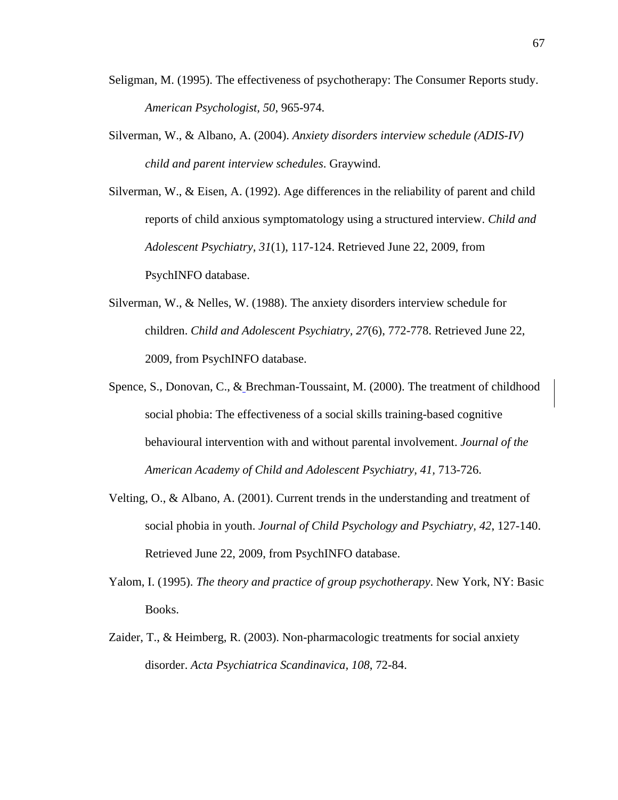- Seligman, M. (1995). The effectiveness of psychotherapy: The Consumer Reports study. *American Psychologist, 50*, 965-974.
- Silverman, W., & Albano, A. (2004). *Anxiety disorders interview schedule (ADIS-IV) child and parent interview schedules*. Graywind.
- Silverman, W.,  $\&$  Eisen, A. (1992). Age differences in the reliability of parent and child reports of child anxious symptomatology using a structured interview. *Child and Adolescent Psychiatry, 31*(1), 117-124. Retrieved June 22, 2009, from PsychINFO database.
- Silverman, W., & Nelles, W. (1988). The anxiety disorders interview schedule for children. *Child and Adolescent Psychiatry, 27*(6), 772-778. Retrieved June 22, 2009, from PsychINFO database.
- Spence, S., Donovan, C., & Brechman-Toussaint, M. (2000). The treatment of childhood social phobia: The effectiveness of a social skills training-based cognitive behavioural intervention with and without parental involvement. *Journal of the American Academy of Child and Adolescent Psychiatry, 41,* 713-726.
- Velting, O., & Albano, A. (2001). Current trends in the understanding and treatment of social phobia in youth. *Journal of Child Psychology and Psychiatry, 42*, 127-140. Retrieved June 22, 2009, from PsychINFO database.
- Yalom, I. (1995). *The theory and practice of group psychotherapy*. New York, NY: Basic Books.
- Zaider, T., & Heimberg, R. (2003). Non-pharmacologic treatments for social anxiety disorder. *Acta Psychiatrica Scandinavica, 108*, 72-84.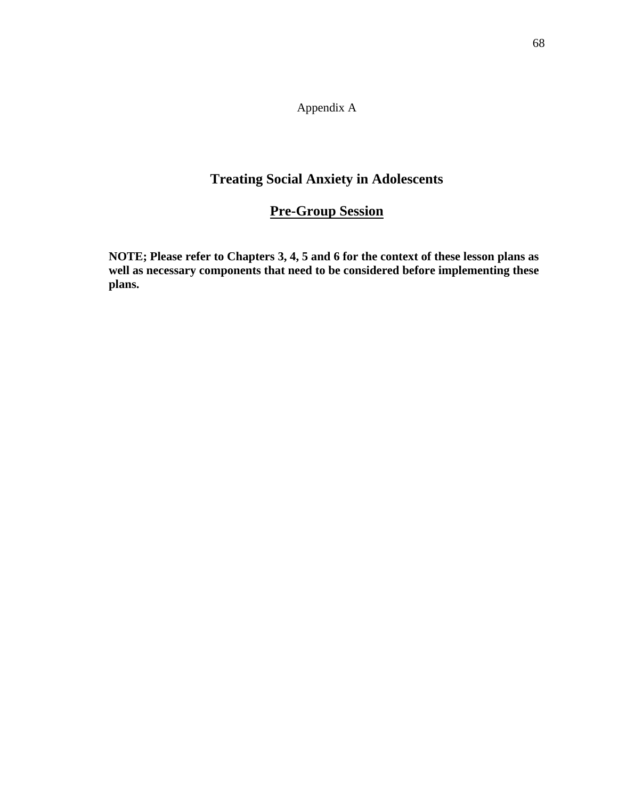Appendix A

# **Treating Social Anxiety in Adolescents**

# **Pre-Group Session**

**NOTE; Please refer to Chapters 3, 4, 5 and 6 for the context of these lesson plans as well as necessary components that need to be considered before implementing these plans.**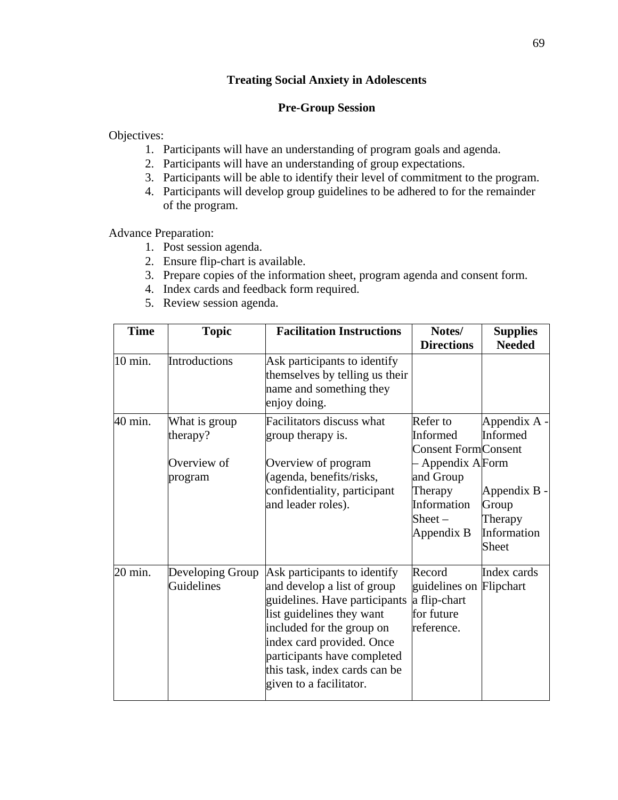# **Pre-Group Session**

Objectives:

- 1. Participants will have an understanding of program goals and agenda.
- 2. Participants will have an understanding of group expectations.
- 3. Participants will be able to identify their level of commitment to the program.
- 4. Participants will develop group guidelines to be adhered to for the remainder of the program.

Advance Preparation:

- 1. Post session agenda.
- 2. Ensure flip-chart is available.
- 3. Prepare copies of the information sheet, program agenda and consent form.
- 4. Index cards and feedback form required.
- 5. Review session agenda.

| <b>Time</b> | <b>Topic</b>                                        | <b>Facilitation Instructions</b>                                                                                                                                                                                                                                               | Notes/<br><b>Directions</b>                                                                                                               | <b>Supplies</b><br><b>Needed</b>                                                     |
|-------------|-----------------------------------------------------|--------------------------------------------------------------------------------------------------------------------------------------------------------------------------------------------------------------------------------------------------------------------------------|-------------------------------------------------------------------------------------------------------------------------------------------|--------------------------------------------------------------------------------------|
| 10 min.     | Introductions                                       | Ask participants to identify<br>themselves by telling us their<br>name and something they<br>enjoy doing.                                                                                                                                                                      |                                                                                                                                           |                                                                                      |
| 40 min.     | What is group<br>therapy?<br>Overview of<br>program | Facilitators discuss what<br>group therapy is.<br>Overview of program<br>(agenda, benefits/risks,<br>confidentiality, participant<br>and leader roles).                                                                                                                        | Refer to<br>Informed<br><b>Consent Form Consent</b><br>- Appendix AForm<br>and Group<br>Therapy<br>Information<br>Sheet $-$<br>Appendix B | Appendix A -<br>Informed<br>Appendix B -<br>Group<br>Therapy<br>Information<br>Sheet |
| 20 min.     | Developing Group<br>Guidelines                      | Ask participants to identify<br>and develop a list of group<br>guidelines. Have participants<br>list guidelines they want<br>included for the group on<br>index card provided. Once<br>participants have completed<br>this task, index cards can be<br>given to a facilitator. | Record<br>guidelines on Flipchart<br>a flip-chart<br>for future<br>reference.                                                             | Index cards                                                                          |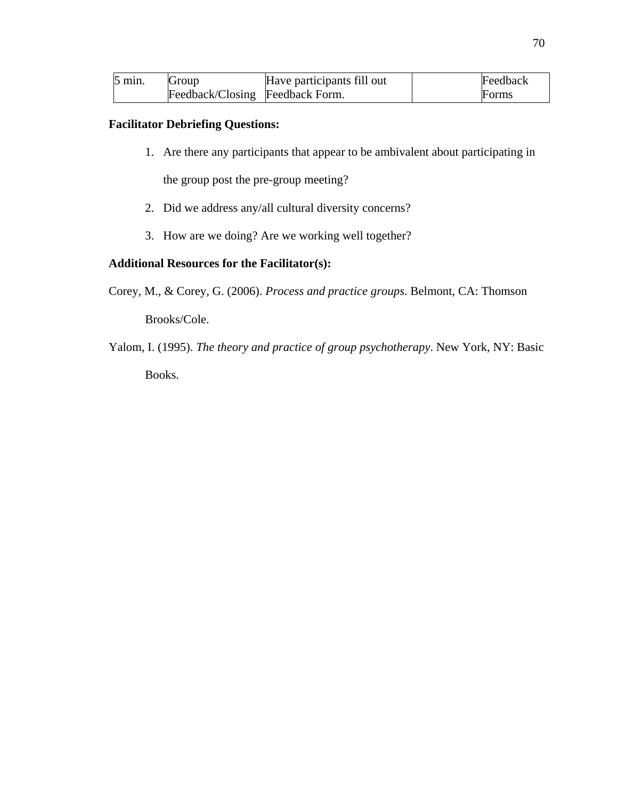| $5 \text{ min.}$ | Group                           | Have participants fill out | Feedback |
|------------------|---------------------------------|----------------------------|----------|
|                  | Feedback/Closing Feedback Form. |                            | Forms    |

# **Facilitator Debriefing Questions:**

1. Are there any participants that appear to be ambivalent about participating in

the group post the pre-group meeting?

- 2. Did we address any/all cultural diversity concerns?
- 3. How are we doing? Are we working well together?

## **Additional Resources for the Facilitator(s):**

Corey, M., & Corey, G. (2006). *Process and practice groups*. Belmont, CA: Thomson

Brooks/Cole.

Yalom, I. (1995). *The theory and practice of group psychotherapy*. New York, NY: Basic Books.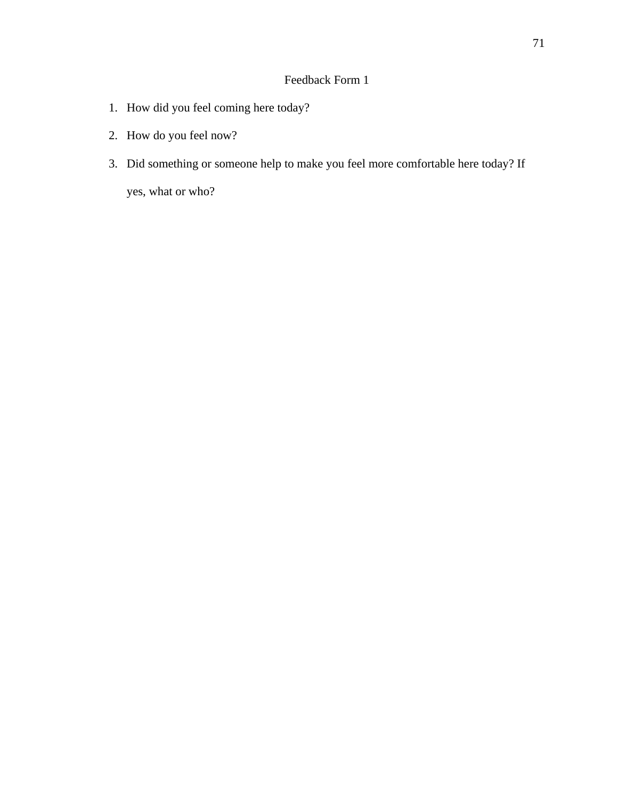# Feedback Form 1

- 1. How did you feel coming here today?
- 2. How do you feel now?
- 3. Did something or someone help to make you feel more comfortable here today? If

yes, what or who?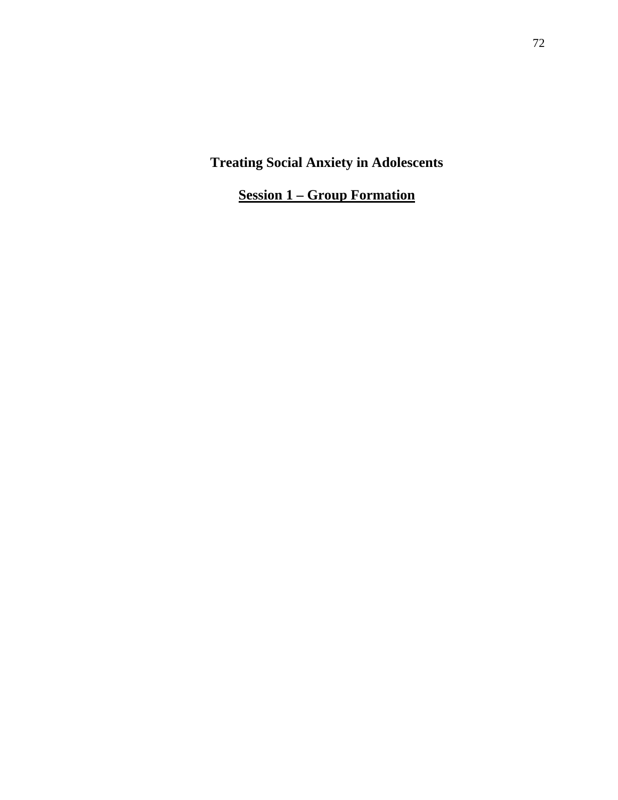**Session 1 – Group Formation**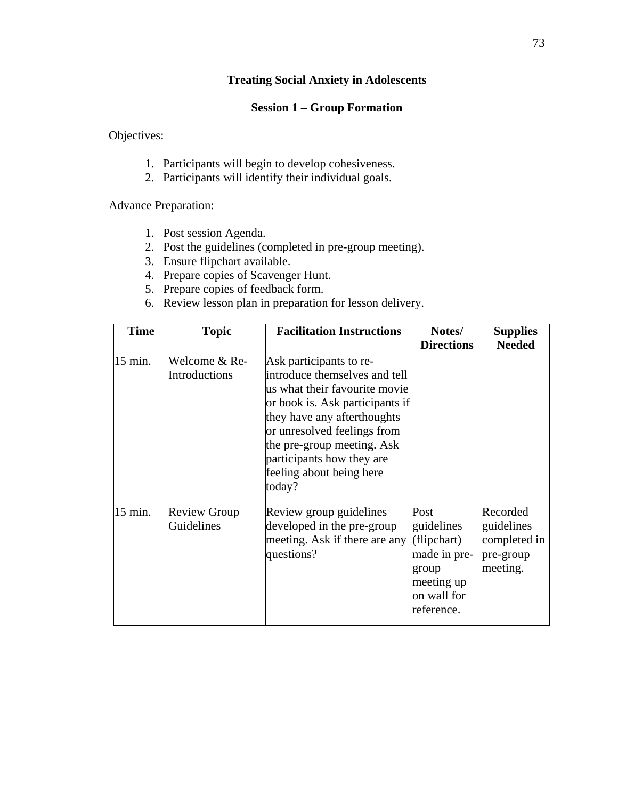# **Session 1 – Group Formation**

Objectives:

- 1. Participants will begin to develop cohesiveness.
- 2. Participants will identify their individual goals.

Advance Preparation:

- 1. Post session Agenda.
- 2. Post the guidelines (completed in pre-group meeting).
- 3. Ensure flipchart available.
- 4. Prepare copies of Scavenger Hunt.
- 5. Prepare copies of feedback form.
- 6. Review lesson plan in preparation for lesson delivery.

| <b>Time</b> | <b>Topic</b>                      | <b>Facilitation Instructions</b>                                                                                                                                                                                                                                                            | Notes/<br><b>Directions</b>                                                                           | <b>Supplies</b><br><b>Needed</b>                                |
|-------------|-----------------------------------|---------------------------------------------------------------------------------------------------------------------------------------------------------------------------------------------------------------------------------------------------------------------------------------------|-------------------------------------------------------------------------------------------------------|-----------------------------------------------------------------|
| 15 min.     | Welcome & Re-<br>Introductions    | Ask participants to re-<br>introduce themselves and tell<br>us what their favourite movie<br>or book is. Ask participants if<br>they have any afterthoughts<br>or unresolved feelings from<br>the pre-group meeting. Ask<br>participants how they are<br>feeling about being here<br>today? |                                                                                                       |                                                                 |
| 15 min.     | <b>Review Group</b><br>Guidelines | Review group guidelines<br>developed in the pre-group<br>meeting. Ask if there are any<br>questions?                                                                                                                                                                                        | Post<br>guidelines<br>(flipchart)<br>made in pre-<br>group<br>meeting up<br>on wall for<br>reference. | Recorded<br>guidelines<br>completed in<br>pre-group<br>meeting. |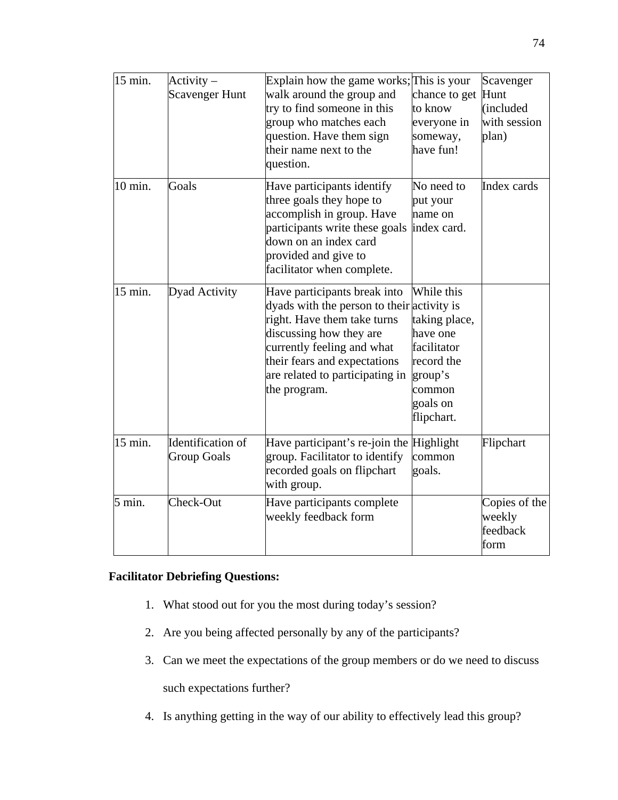| 15 min. | $Activity -$<br><b>Scavenger Hunt</b>   | Explain how the game works; This is your<br>walk around the group and<br>try to find someone in this<br>group who matches each<br>question. Have them sign<br>their name next to the<br>question.                                                     | chance to get<br>to know<br>everyone in<br>someway,<br>have fun!                                                    | Scavenger<br>Hunt<br>(included<br>with session<br>plan) |
|---------|-----------------------------------------|-------------------------------------------------------------------------------------------------------------------------------------------------------------------------------------------------------------------------------------------------------|---------------------------------------------------------------------------------------------------------------------|---------------------------------------------------------|
| 10 min. | Goals                                   | Have participants identify<br>three goals they hope to<br>accomplish in group. Have<br>participants write these goals<br>down on an index card<br>provided and give to<br>facilitator when complete.                                                  | No need to<br>put your<br>name on<br>index card.                                                                    | Index cards                                             |
| 15 min. | <b>Dyad Activity</b>                    | Have participants break into<br>dyads with the person to their activity is<br>right. Have them take turns<br>discussing how they are<br>currently feeling and what<br>their fears and expectations<br>are related to participating in<br>the program. | While this<br>taking place,<br>have one<br>facilitator<br>record the<br>group's<br>common<br>goals on<br>flipchart. |                                                         |
| 15 min. | Identification of<br><b>Group Goals</b> | Have participant's re-join the Highlight<br>group. Facilitator to identify<br>recorded goals on flipchart<br>with group.                                                                                                                              | common<br>goals.                                                                                                    | Flipchart                                               |
| 5 min.  | Check-Out                               | Have participants complete<br>weekly feedback form                                                                                                                                                                                                    |                                                                                                                     | Copies of the<br>weekly<br>feedback<br>form             |

# **Facilitator Debriefing Questions:**

- 1. What stood out for you the most during today's session?
- 2. Are you being affected personally by any of the participants?
- 3. Can we meet the expectations of the group members or do we need to discuss

such expectations further?

4. Is anything getting in the way of our ability to effectively lead this group?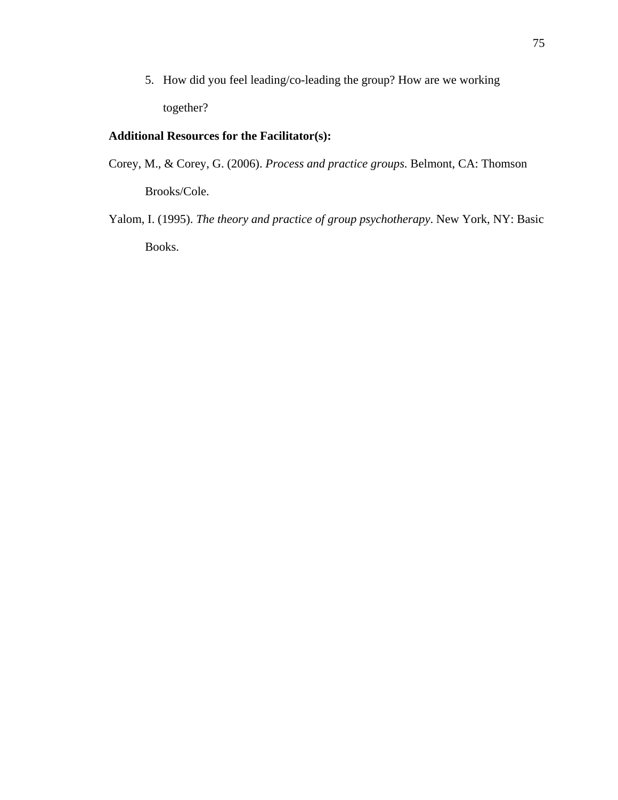5. How did you feel leading/co-leading the group? How are we working together?

# **Additional Resources for the Facilitator(s):**

- Corey, M., & Corey, G. (2006). *Process and practice groups*. Belmont, CA: Thomson Brooks/Cole.
- Yalom, I. (1995). *The theory and practice of group psychotherapy*. New York, NY: Basic Books.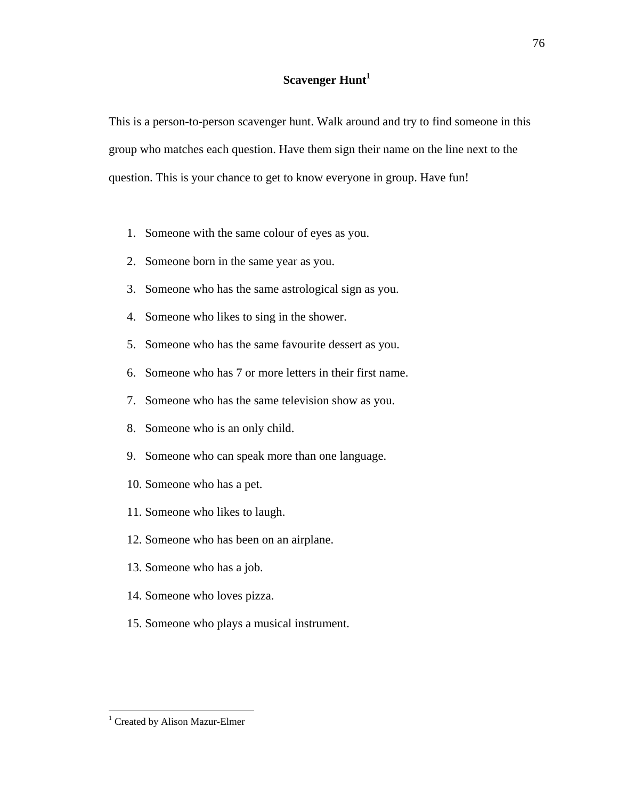# **Scavenger Hunt<sup>1</sup>**

This is a person-to-person scavenger hunt. Walk around and try to find someone in this group who matches each question. Have them sign their name on the line next to the question. This is your chance to get to know everyone in group. Have fun!

- 1. Someone with the same colour of eyes as you.
- 2. Someone born in the same year as you.
- 3. Someone who has the same astrological sign as you.
- 4. Someone who likes to sing in the shower.
- 5. Someone who has the same favourite dessert as you.
- 6. Someone who has 7 or more letters in their first name.
- 7. Someone who has the same television show as you.
- 8. Someone who is an only child.
- 9. Someone who can speak more than one language.
- 10. Someone who has a pet.
- 11. Someone who likes to laugh.
- 12. Someone who has been on an airplane.
- 13. Someone who has a job.
- 14. Someone who loves pizza.
- 15. Someone who plays a musical instrument.

<sup>&</sup>lt;sup>1</sup> Created by Alison Mazur-Elmer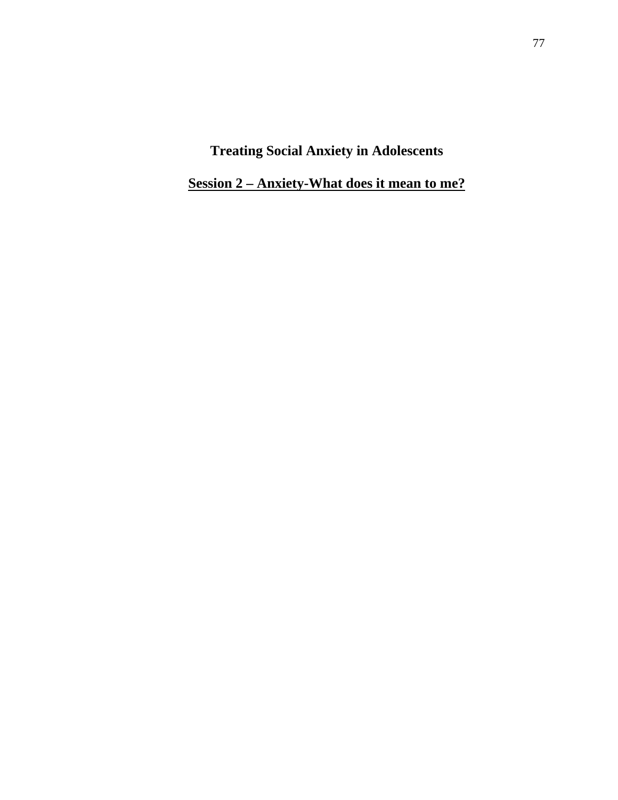**Session 2 – Anxiety-What does it mean to me?**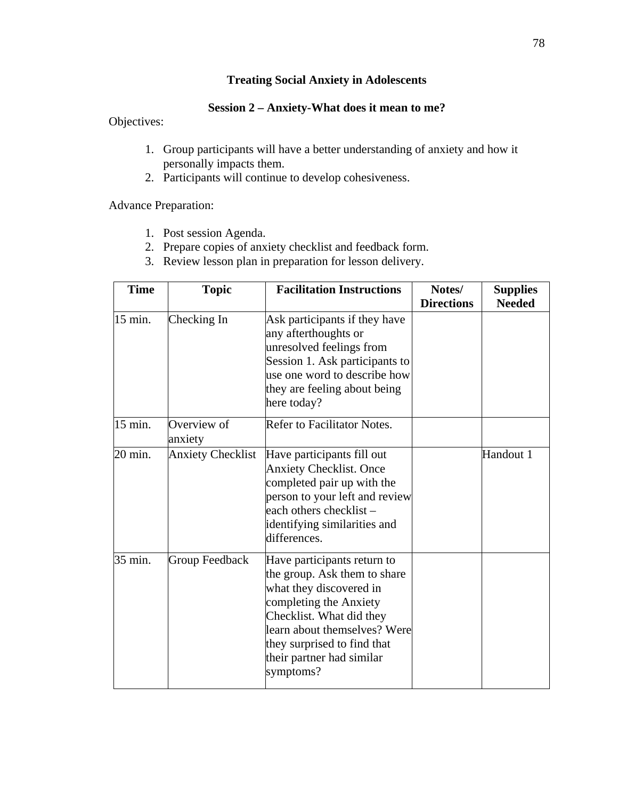# **Session 2 – Anxiety-What does it mean to me?**

Objectives:

- 1. Group participants will have a better understanding of anxiety and how it personally impacts them.
- 2. Participants will continue to develop cohesiveness.

Advance Preparation:

- 1. Post session Agenda.
- 2. Prepare copies of anxiety checklist and feedback form.
- 3. Review lesson plan in preparation for lesson delivery.

| <b>Time</b> | <b>Topic</b>             | <b>Facilitation Instructions</b>                                                                                                                                                                                                                      | Notes/<br><b>Directions</b> | <b>Supplies</b><br><b>Needed</b> |
|-------------|--------------------------|-------------------------------------------------------------------------------------------------------------------------------------------------------------------------------------------------------------------------------------------------------|-----------------------------|----------------------------------|
| 15 min.     | Checking In              | Ask participants if they have<br>any afterthoughts or<br>unresolved feelings from<br>Session 1. Ask participants to<br>use one word to describe how<br>they are feeling about being<br>here today?                                                    |                             |                                  |
| 15 min.     | Overview of<br>anxiety   | Refer to Facilitator Notes.                                                                                                                                                                                                                           |                             |                                  |
| 20 min.     | <b>Anxiety Checklist</b> | Have participants fill out<br><b>Anxiety Checklist. Once</b><br>completed pair up with the<br>person to your left and review<br>each others checklist -<br>identifying similarities and<br>differences.                                               |                             | Handout 1                        |
| 35 min.     | Group Feedback           | Have participants return to<br>the group. Ask them to share<br>what they discovered in<br>completing the Anxiety<br>Checklist. What did they<br>learn about themselves? Were<br>they surprised to find that<br>their partner had similar<br>symptoms? |                             |                                  |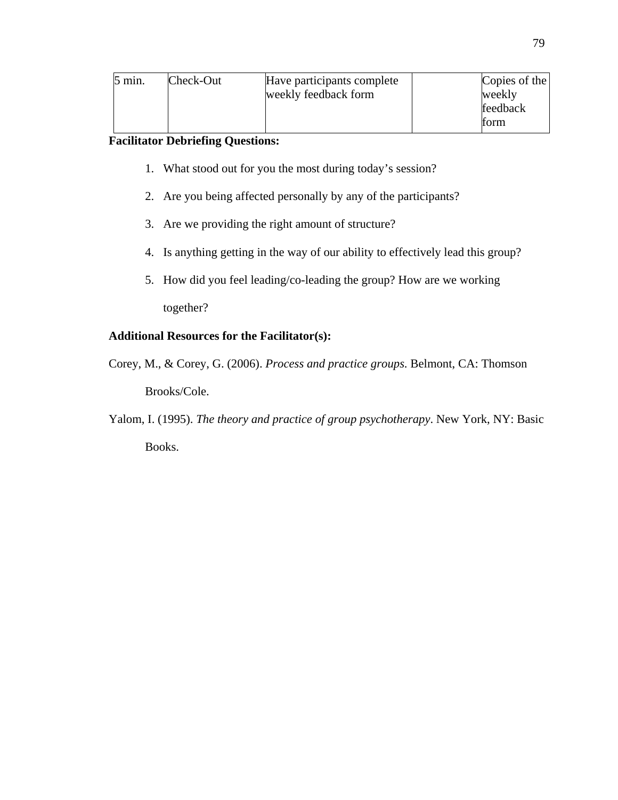| $5 \text{ min.}$ | Check-Out | Have participants complete<br>weekly feedback form | Copies of the<br>weekly<br>feedback<br>form |
|------------------|-----------|----------------------------------------------------|---------------------------------------------|
|------------------|-----------|----------------------------------------------------|---------------------------------------------|

# **Facilitator Debriefing Questions:**

- 1. What stood out for you the most during today's session?
- 2. Are you being affected personally by any of the participants?
- 3. Are we providing the right amount of structure?
- 4. Is anything getting in the way of our ability to effectively lead this group?
- 5. How did you feel leading/co-leading the group? How are we working together?

# **Additional Resources for the Facilitator(s):**

- Corey, M., & Corey, G. (2006). *Process and practice groups*. Belmont, CA: Thomson Brooks/Cole.
- Yalom, I. (1995). *The theory and practice of group psychotherapy*. New York, NY: Basic Books.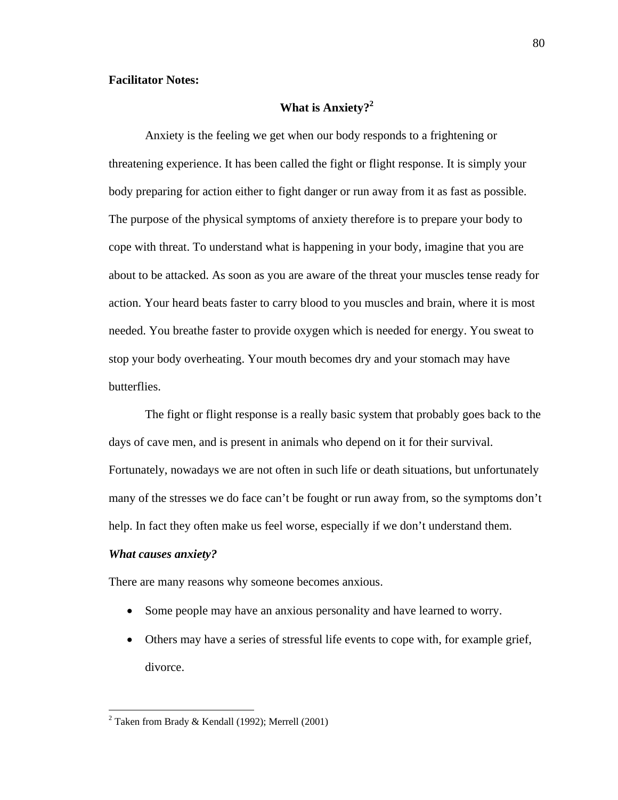### **Facilitator Notes:**

# What is Anxiety?<sup>2</sup>

Anxiety is the feeling we get when our body responds to a frightening or threatening experience. It has been called the fight or flight response. It is simply your body preparing for action either to fight danger or run away from it as fast as possible. The purpose of the physical symptoms of anxiety therefore is to prepare your body to cope with threat. To understand what is happening in your body, imagine that you are about to be attacked. As soon as you are aware of the threat your muscles tense ready for action. Your heard beats faster to carry blood to you muscles and brain, where it is most needed. You breathe faster to provide oxygen which is needed for energy. You sweat to stop your body overheating. Your mouth becomes dry and your stomach may have butterflies.

The fight or flight response is a really basic system that probably goes back to the days of cave men, and is present in animals who depend on it for their survival. Fortunately, nowadays we are not often in such life or death situations, but unfortunately many of the stresses we do face can't be fought or run away from, so the symptoms don't help. In fact they often make us feel worse, especially if we don't understand them.

#### *What causes anxiety?*

 $\overline{a}$ 

There are many reasons why someone becomes anxious.

- Some people may have an anxious personality and have learned to worry.
- Others may have a series of stressful life events to cope with, for example grief, divorce.

<sup>&</sup>lt;sup>2</sup> Taken from Brady & Kendall (1992); Merrell (2001)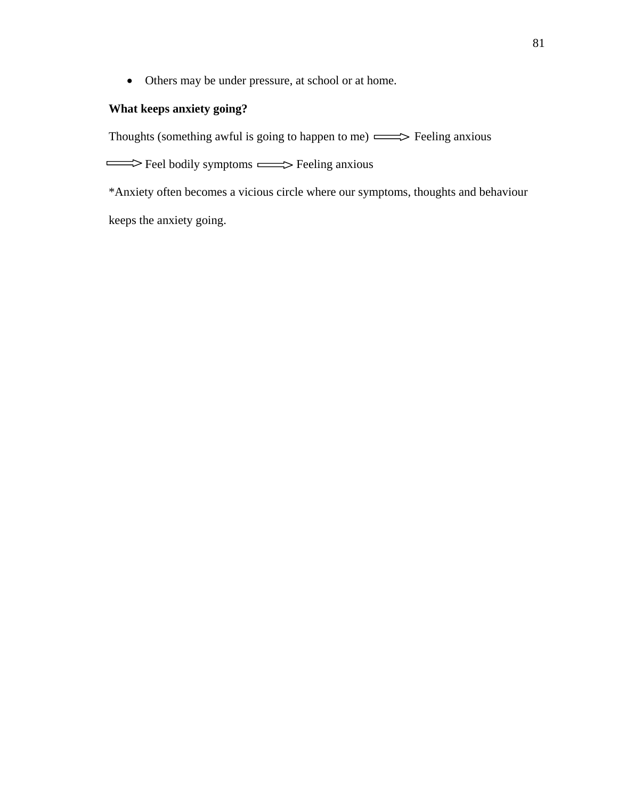Others may be under pressure, at school or at home.

# **What keeps anxiety going?**

Thoughts (something awful is going to happen to me)  $\implies$  Feeling anxious

Feel bodily symptoms  $\implies$  Feeling anxious

\*Anxiety often becomes a vicious circle where our symptoms, thoughts and behaviour

keeps the anxiety going.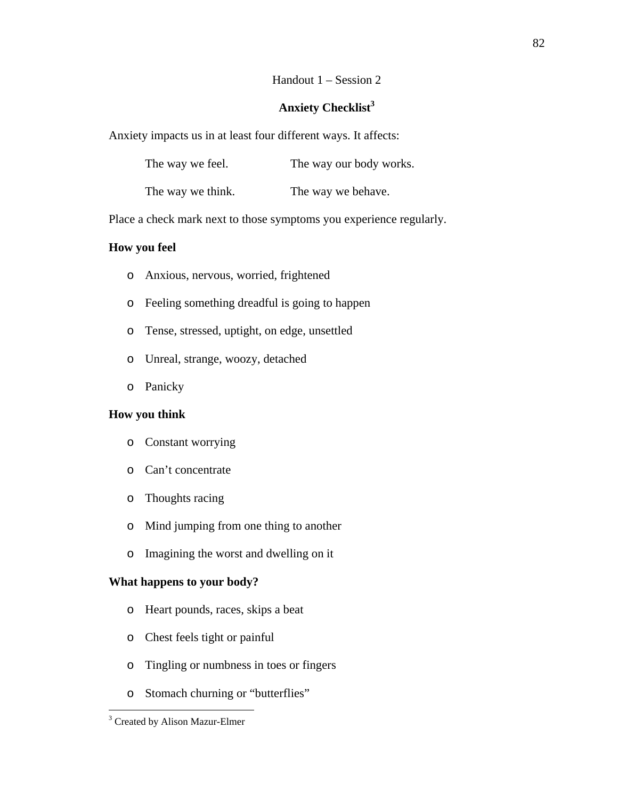### Handout 1 – Session 2

# **Anxiety Checklist<sup>3</sup>**

Anxiety impacts us in at least four different ways. It affects:

| The way our body works. |
|-------------------------|
|                         |

The way we think. The way we behave.

Place a check mark next to those symptoms you experience regularly.

# **How you feel**

- o Anxious, nervous, worried, frightened
- o Feeling something dreadful is going to happen
- o Tense, stressed, uptight, on edge, unsettled
- o Unreal, strange, woozy, detached
- o Panicky

### **How you think**

- o Constant worrying
- o Can't concentrate
- o Thoughts racing
- o Mind jumping from one thing to another
- o Imagining the worst and dwelling on it

### **What happens to your body?**

- o Heart pounds, races, skips a beat
- o Chest feels tight or painful
- o Tingling or numbness in toes or fingers
- o Stomach churning or "butterflies"

<sup>&</sup>lt;sup>3</sup> Created by Alison Mazur-Elmer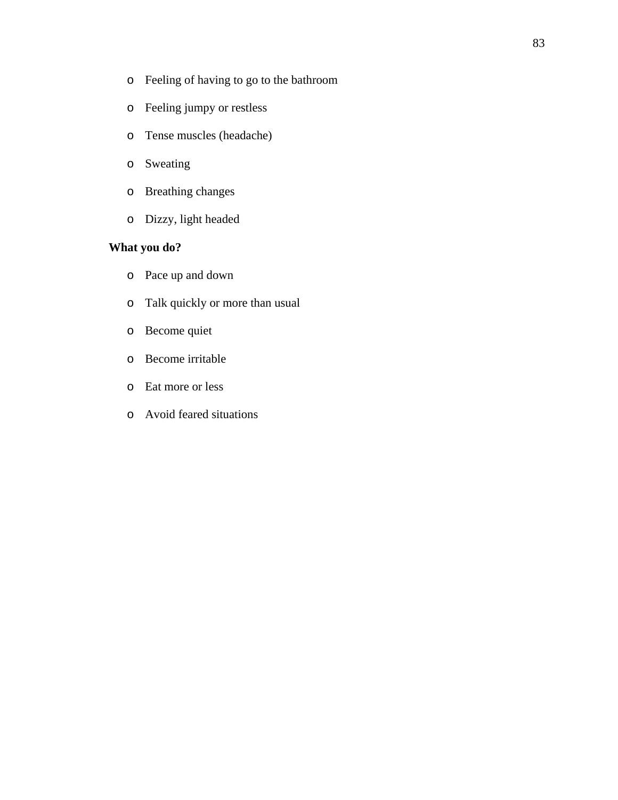- o Feeling of having to go to the bathroom
- o Feeling jumpy or restless
- o Tense muscles (headache)
- o Sweating
- o Breathing changes
- o Dizzy, light headed

# **What you do?**

- o Pace up and down
- o Talk quickly or more than usual
- o Become quiet
- o Become irritable
- o Eat more or less
- o Avoid feared situations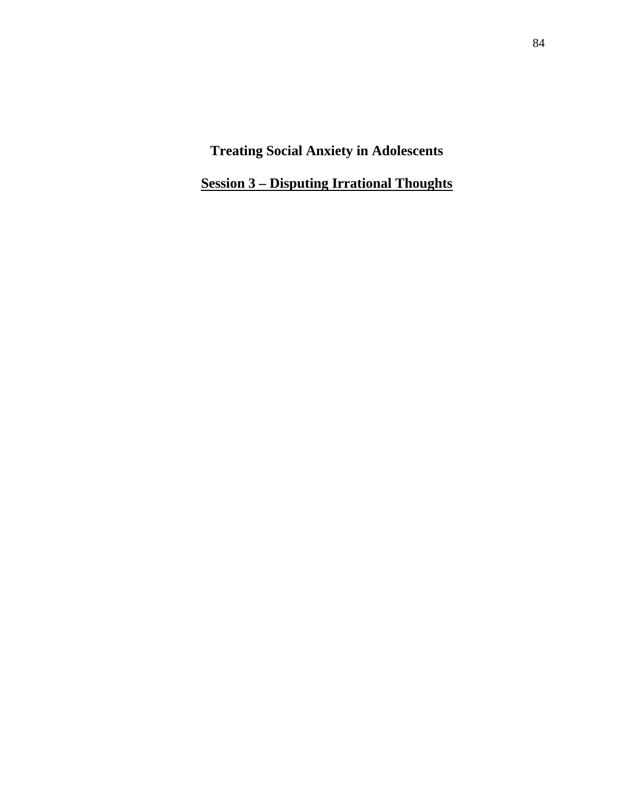**Session 3 – Disputing Irrational Thoughts**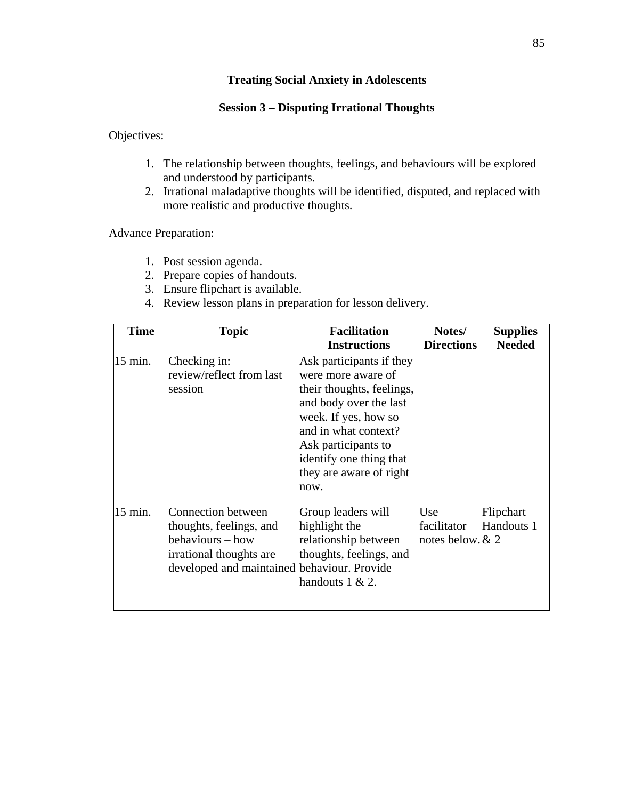# **Session 3 – Disputing Irrational Thoughts**

Objectives:

- 1. The relationship between thoughts, feelings, and behaviours will be explored and understood by participants.
- 2. Irrational maladaptive thoughts will be identified, disputed, and replaced with more realistic and productive thoughts.

Advance Preparation:

- 1. Post session agenda.
- 2. Prepare copies of handouts.
- 3. Ensure flipchart is available.
- 4. Review lesson plans in preparation for lesson delivery.

| <b>Time</b> | <b>Topic</b>                                                                                                                                       | <b>Facilitation</b>                                                                                                                                                                                                                        | Notes/                                   | <b>Supplies</b>         |
|-------------|----------------------------------------------------------------------------------------------------------------------------------------------------|--------------------------------------------------------------------------------------------------------------------------------------------------------------------------------------------------------------------------------------------|------------------------------------------|-------------------------|
|             |                                                                                                                                                    | <b>Instructions</b>                                                                                                                                                                                                                        | <b>Directions</b>                        | <b>Needed</b>           |
| 15 min.     | Checking in:<br>review/reflect from last<br>session                                                                                                | Ask participants if they<br>were more aware of<br>their thoughts, feelings,<br>and body over the last<br>week. If yes, how so<br>and in what context?<br>Ask participants to<br>identify one thing that<br>they are aware of right<br>now. |                                          |                         |
| 15 min.     | <b>Connection between</b><br>thoughts, feelings, and<br>behaviours – how<br>irrational thoughts are<br>developed and maintained behaviour. Provide | Group leaders will<br>highlight the<br>relationship between<br>thoughts, feelings, and<br>handouts $1 & 2$ .                                                                                                                               | Use<br>facilitator<br>notes below. $& 2$ | Flipchart<br>Handouts 1 |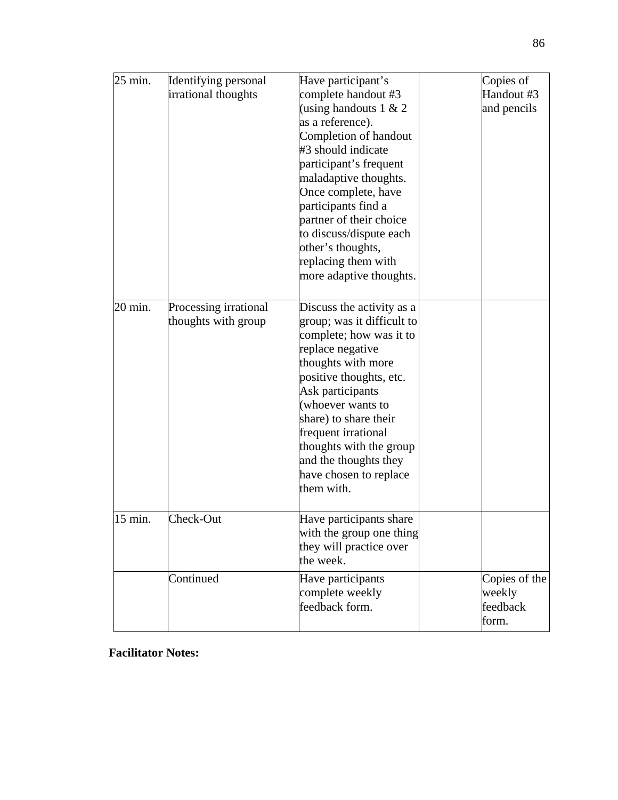| 25 min. | Identifying personal<br>irrational thoughts  | Have participant's<br>complete handout #3<br>(using handouts $1 < 2$<br>as a reference).<br>Completion of handout<br>#3 should indicate<br>participant's frequent<br>maladaptive thoughts.<br>Once complete, have<br>participants find a<br>partner of their choice<br>to discuss/dispute each<br>other's thoughts,<br>replacing them with<br>more adaptive thoughts. | Copies of<br>Handout #3<br>and pencils       |
|---------|----------------------------------------------|-----------------------------------------------------------------------------------------------------------------------------------------------------------------------------------------------------------------------------------------------------------------------------------------------------------------------------------------------------------------------|----------------------------------------------|
| 20 min. | Processing irrational<br>thoughts with group | Discuss the activity as a<br>group; was it difficult to<br>complete; how was it to<br>replace negative<br>thoughts with more<br>positive thoughts, etc.<br>Ask participants<br>(whoever wants to<br>share) to share their<br>frequent irrational<br>thoughts with the group<br>and the thoughts they<br>have chosen to replace<br>them with.                          |                                              |
| 15 min. | Check-Out                                    | Have participants share<br>with the group one thing<br>they will practice over<br>the week.                                                                                                                                                                                                                                                                           |                                              |
|         | Continued                                    | Have participants<br>complete weekly<br>feedback form.                                                                                                                                                                                                                                                                                                                | Copies of the<br>weekly<br>feedback<br>form. |

# **Facilitator Notes:**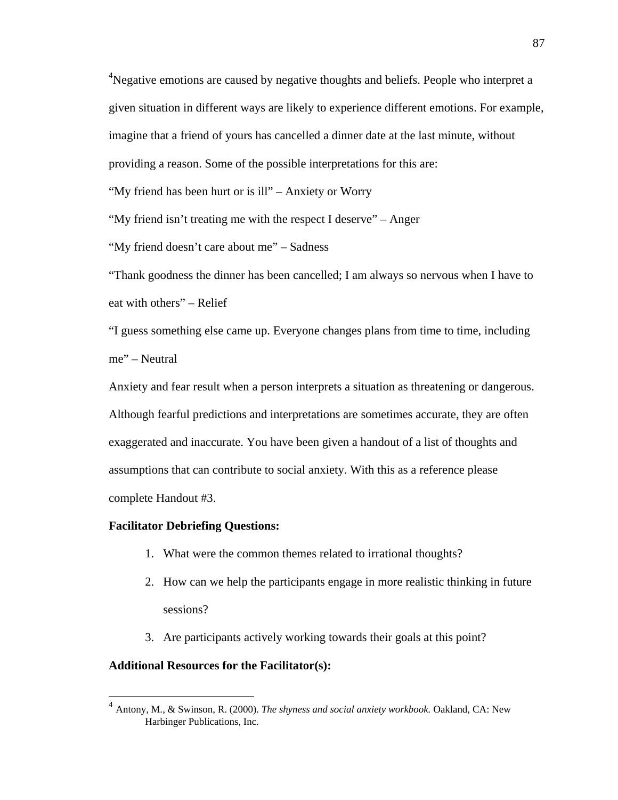<sup>4</sup>Negative emotions are caused by negative thoughts and beliefs. People who interpret a given situation in different ways are likely to experience different emotions. For example, imagine that a friend of yours has cancelled a dinner date at the last minute, without providing a reason. Some of the possible interpretations for this are:

"My friend has been hurt or is ill" – Anxiety or Worry

"My friend isn't treating me with the respect I deserve" – Anger

"My friend doesn't care about me" – Sadness

"Thank goodness the dinner has been cancelled; I am always so nervous when I have to eat with others" – Relief

"I guess something else came up. Everyone changes plans from time to time, including me" – Neutral

Anxiety and fear result when a person interprets a situation as threatening or dangerous. Although fearful predictions and interpretations are sometimes accurate, they are often exaggerated and inaccurate. You have been given a handout of a list of thoughts and assumptions that can contribute to social anxiety. With this as a reference please complete Handout #3.

### **Facilitator Debriefing Questions:**

- 1. What were the common themes related to irrational thoughts?
- 2. How can we help the participants engage in more realistic thinking in future sessions?
- 3. Are participants actively working towards their goals at this point?

### **Additional Resources for the Facilitator(s):**

<sup>4</sup> Antony, M., & Swinson, R. (2000). *The shyness and social anxiety workbook.* Oakland, CA: New Harbinger Publications, Inc.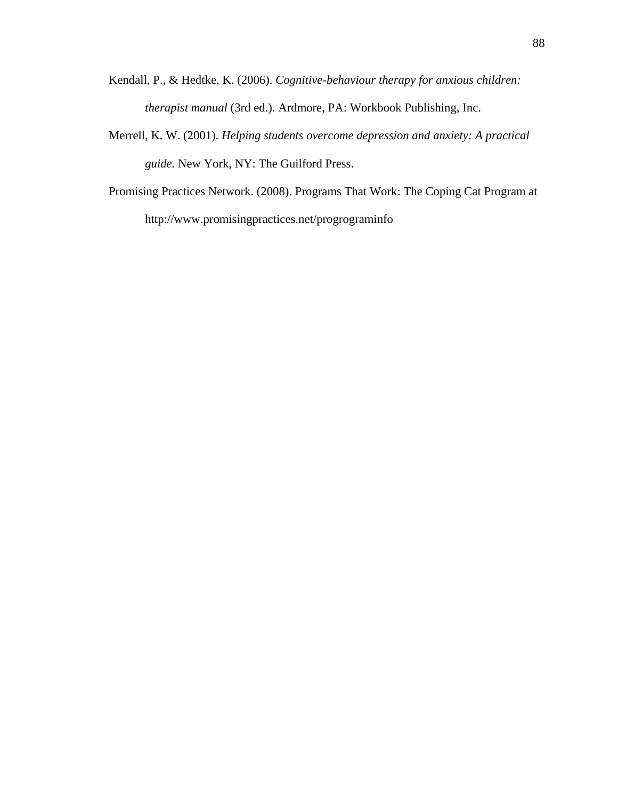- Kendall, P., & Hedtke, K. (2006). *Cognitive-behaviour therapy for anxious children: therapist manual* (3rd ed.). Ardmore, PA: Workbook Publishing, Inc.
- Merrell, K. W. (2001). *Helping students overcome depression and anxiety: A practical guide.* New York, NY: The Guilford Press.
- Promising Practices Network. (2008). Programs That Work: The Coping Cat Program at http://www.promisingpractices.net/progrograminfo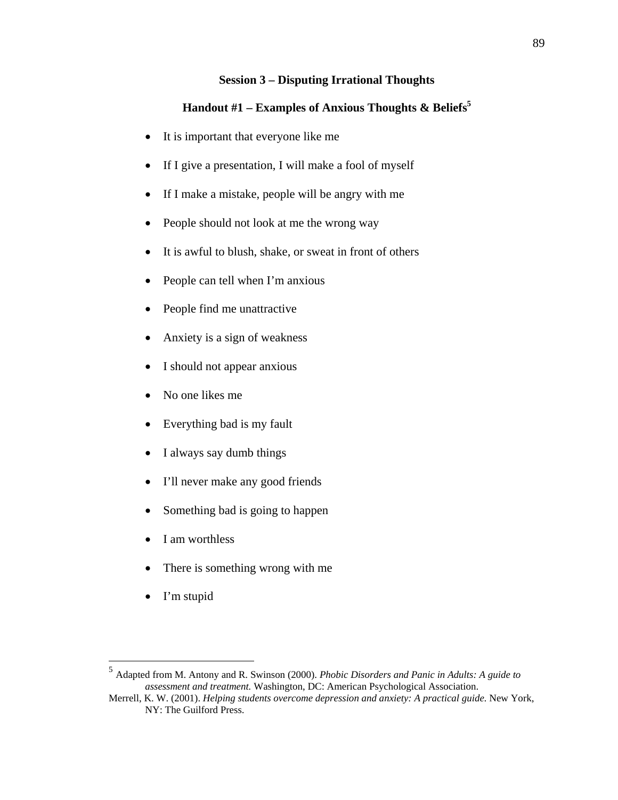# **Session 3 – Disputing Irrational Thoughts**

# **Handout #1 – Examples of Anxious Thoughts & Beliefs5**

- It is important that everyone like me
- If I give a presentation, I will make a fool of myself
- If I make a mistake, people will be angry with me
- People should not look at me the wrong way
- It is awful to blush, shake, or sweat in front of others
- People can tell when I'm anxious
- People find me unattractive
- Anxiety is a sign of weakness
- I should not appear anxious
- No one likes me
- Everything bad is my fault
- I always say dumb things
- I'll never make any good friends
- Something bad is going to happen
- I am worthless
- There is something wrong with me
- I'm stupid

<sup>5</sup> Adapted from M. Antony and R. Swinson (2000). *Phobic Disorders and Panic in Adults: A guide to assessment and treatment.* Washington, DC: American Psychological Association.

Merrell, K. W. (2001). *Helping students overcome depression and anxiety: A practical guide.* New York, NY: The Guilford Press.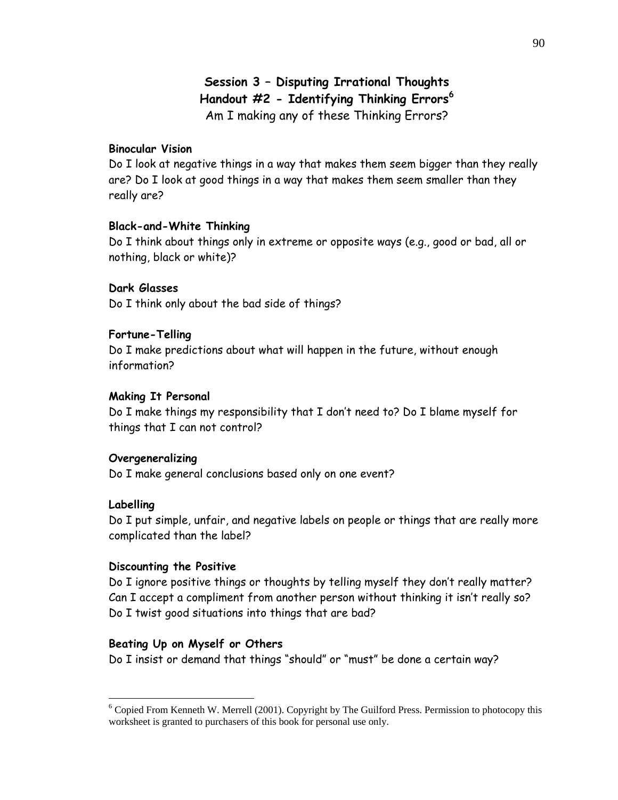# **Session 3 – Disputing Irrational Thoughts Handout #2 - Identifying Thinking Errors<sup>6</sup>** Am I making any of these Thinking Errors?

### **Binocular Vision**

Do I look at negative things in a way that makes them seem bigger than they really are? Do I look at good things in a way that makes them seem smaller than they really are?

#### **Black-and-White Thinking**

Do I think about things only in extreme or opposite ways (e.g., good or bad, all or nothing, black or white)?

### **Dark Glasses**

Do I think only about the bad side of things?

#### **Fortune-Telling**

Do I make predictions about what will happen in the future, without enough information?

#### **Making It Personal**

Do I make things my responsibility that I don't need to? Do I blame myself for things that I can not control?

#### **Overgeneralizing**

Do I make general conclusions based only on one event?

### **Labelling**

 $\overline{a}$ 

Do I put simple, unfair, and negative labels on people or things that are really more complicated than the label?

#### **Discounting the Positive**

Do I ignore positive things or thoughts by telling myself they don't really matter? Can I accept a compliment from another person without thinking it isn't really so? Do I twist good situations into things that are bad?

#### **Beating Up on Myself or Others**

Do I insist or demand that things "should" or "must" be done a certain way?

<sup>&</sup>lt;sup>6</sup> Copied From Kenneth W. Merrell (2001). Copyright by The Guilford Press. Permission to photocopy this worksheet is granted to purchasers of this book for personal use only.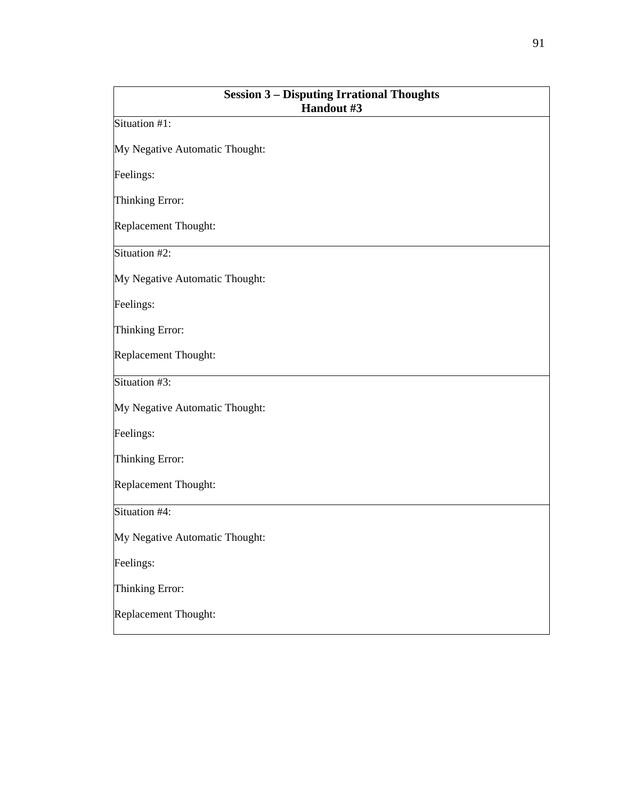| <b>Session 3 - Disputing Irrational Thoughts</b><br>Handout #3 |
|----------------------------------------------------------------|
| Situation #1:                                                  |
| My Negative Automatic Thought:                                 |
| Feelings:                                                      |
| Thinking Error:                                                |
| <b>Replacement Thought:</b>                                    |
| Situation #2:                                                  |
| My Negative Automatic Thought:                                 |
| Feelings:                                                      |
| Thinking Error:                                                |
| Replacement Thought:                                           |
| Situation #3:                                                  |
| My Negative Automatic Thought:                                 |
| Feelings:                                                      |
| Thinking Error:                                                |
| Replacement Thought:                                           |
| Situation #4:                                                  |
| My Negative Automatic Thought:                                 |
| Feelings:                                                      |
| Thinking Error:                                                |
| Replacement Thought:                                           |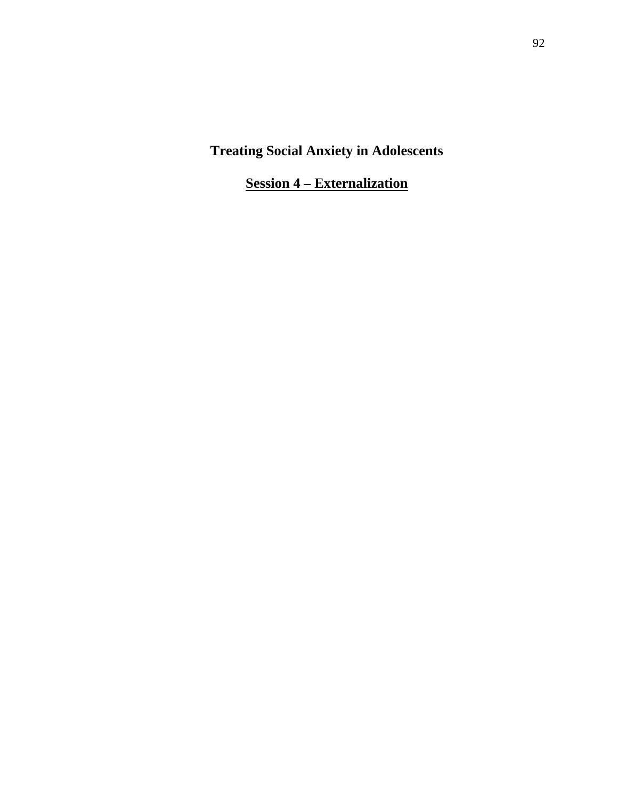**Session 4 – Externalization**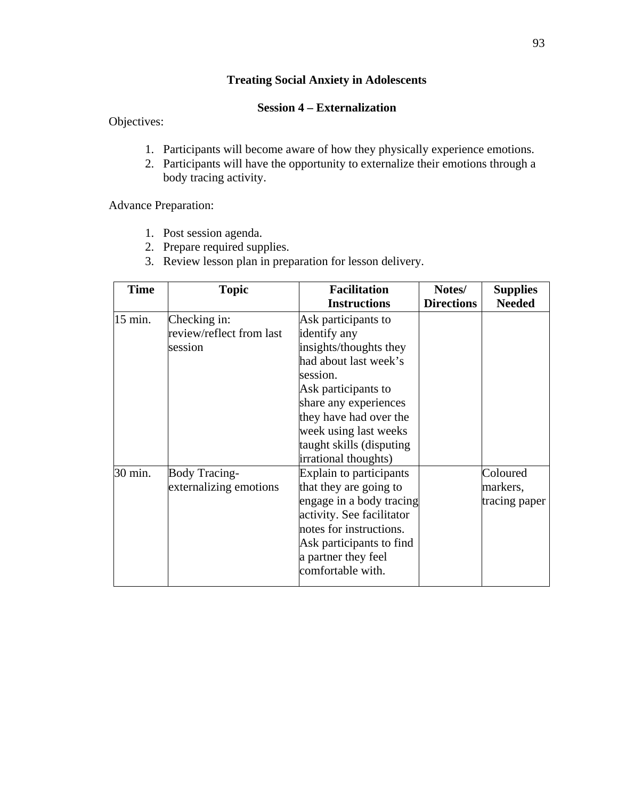# **Session 4 – Externalization**

Objectives:

- 1. Participants will become aware of how they physically experience emotions.
- 2. Participants will have the opportunity to externalize their emotions through a body tracing activity.

Advance Preparation:

- 1. Post session agenda.
- 2. Prepare required supplies.
- 3. Review lesson plan in preparation for lesson delivery.

| <b>Time</b> | <b>Topic</b>             | <b>Facilitation</b><br><b>Instructions</b> | Notes/<br><b>Directions</b> | <b>Supplies</b><br><b>Needed</b> |
|-------------|--------------------------|--------------------------------------------|-----------------------------|----------------------------------|
| 15 min.     | Checking in:             | Ask participants to                        |                             |                                  |
|             | review/reflect from last | identify any                               |                             |                                  |
|             | session                  | insights/thoughts they                     |                             |                                  |
|             |                          | had about last week's                      |                             |                                  |
|             |                          | session.                                   |                             |                                  |
|             |                          | Ask participants to                        |                             |                                  |
|             |                          | share any experiences                      |                             |                                  |
|             |                          | they have had over the                     |                             |                                  |
|             |                          | week using last weeks                      |                             |                                  |
|             |                          | taught skills (disputing                   |                             |                                  |
|             |                          | irrational thoughts)                       |                             |                                  |
| 30 min.     | <b>Body Tracing-</b>     | Explain to participants                    |                             | Coloured                         |
|             | externalizing emotions   | that they are going to                     |                             | markers,                         |
|             |                          | engage in a body tracing                   |                             | tracing paper                    |
|             |                          | activity. See facilitator                  |                             |                                  |
|             |                          | notes for instructions.                    |                             |                                  |
|             |                          | Ask participants to find                   |                             |                                  |
|             |                          | a partner they feel                        |                             |                                  |
|             |                          | comfortable with.                          |                             |                                  |
|             |                          |                                            |                             |                                  |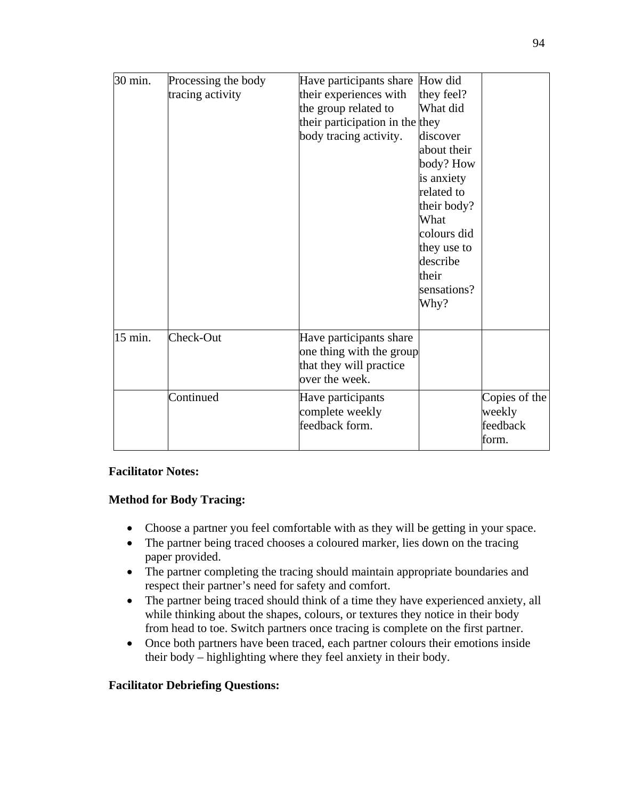| 30 min. | Processing the body | Have participants share         | How did     |               |
|---------|---------------------|---------------------------------|-------------|---------------|
|         | tracing activity    | their experiences with          | they feel?  |               |
|         |                     | the group related to            | What did    |               |
|         |                     | their participation in the they |             |               |
|         |                     | body tracing activity.          | discover    |               |
|         |                     |                                 | about their |               |
|         |                     |                                 | body? How   |               |
|         |                     |                                 | is anxiety  |               |
|         |                     |                                 | related to  |               |
|         |                     |                                 | their body? |               |
|         |                     |                                 | What        |               |
|         |                     |                                 | colours did |               |
|         |                     |                                 | they use to |               |
|         |                     |                                 | describe    |               |
|         |                     |                                 | their       |               |
|         |                     |                                 | sensations? |               |
|         |                     |                                 | Why?        |               |
|         |                     |                                 |             |               |
| 15 min. | Check-Out           | Have participants share         |             |               |
|         |                     | one thing with the group        |             |               |
|         |                     | that they will practice         |             |               |
|         |                     | over the week.                  |             |               |
|         | Continued           | Have participants               |             | Copies of the |
|         |                     | complete weekly                 |             | weekly        |
|         |                     | feedback form.                  |             | feedback      |
|         |                     |                                 |             | form.         |

# **Facilitator Notes:**

# **Method for Body Tracing:**

- Choose a partner you feel comfortable with as they will be getting in your space.
- The partner being traced chooses a coloured marker, lies down on the tracing paper provided.
- The partner completing the tracing should maintain appropriate boundaries and respect their partner's need for safety and comfort.
- The partner being traced should think of a time they have experienced anxiety, all while thinking about the shapes, colours, or textures they notice in their body from head to toe. Switch partners once tracing is complete on the first partner.
- Once both partners have been traced, each partner colours their emotions inside their body – highlighting where they feel anxiety in their body.

# **Facilitator Debriefing Questions:**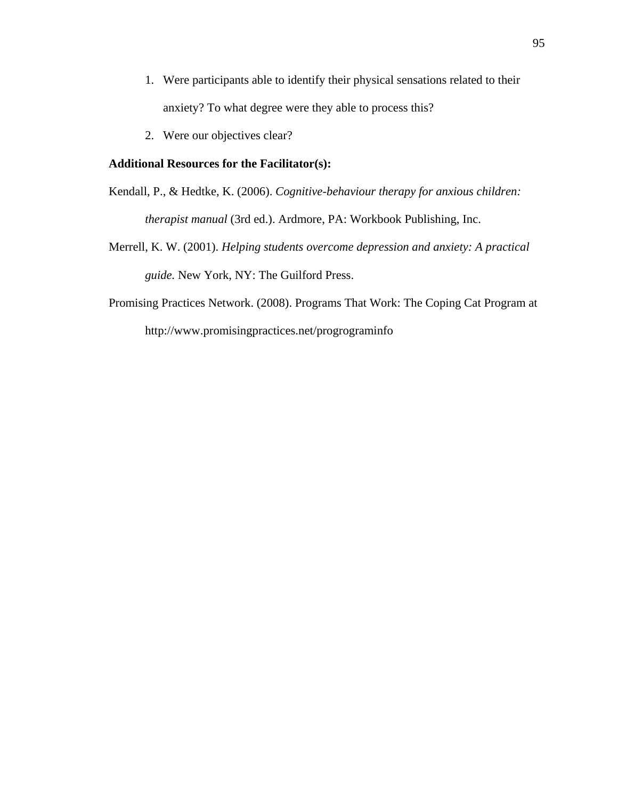- 1. Were participants able to identify their physical sensations related to their anxiety? To what degree were they able to process this?
- 2. Were our objectives clear?

#### **Additional Resources for the Facilitator(s):**

- Kendall, P., & Hedtke, K. (2006). *Cognitive-behaviour therapy for anxious children: therapist manual* (3rd ed.). Ardmore, PA: Workbook Publishing, Inc.
- Merrell, K. W. (2001). *Helping students overcome depression and anxiety: A practical guide.* New York, NY: The Guilford Press.
- Promising Practices Network. (2008). Programs That Work: The Coping Cat Program at http://www.promisingpractices.net/progrograminfo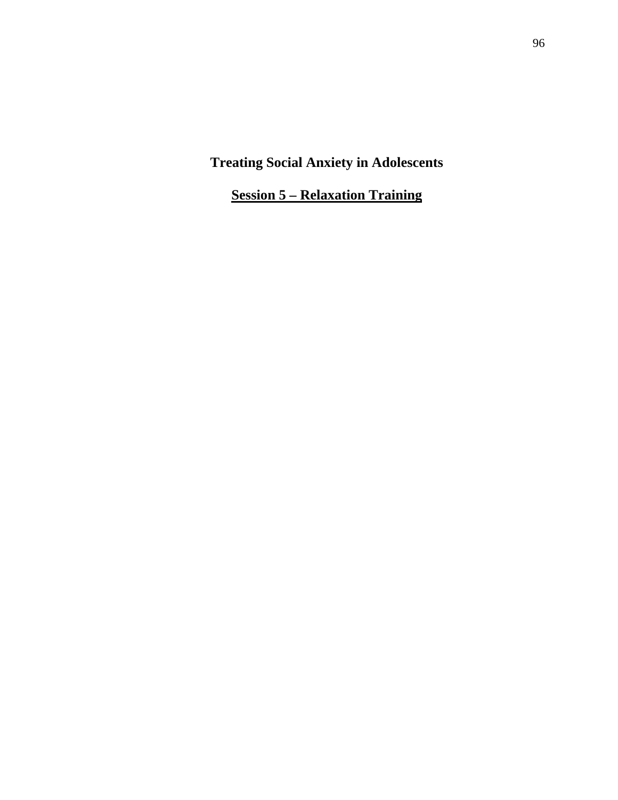**Session 5 – Relaxation Training**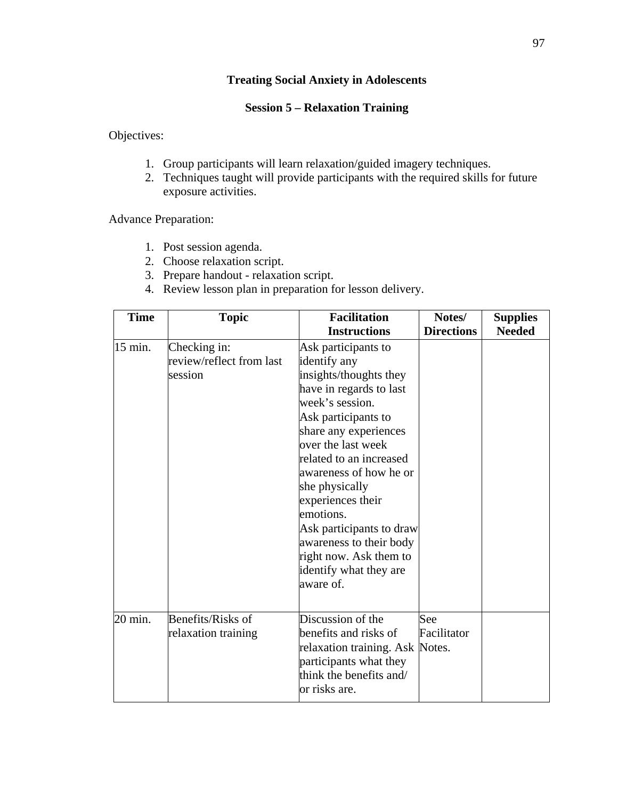# **Session 5 – Relaxation Training**

Objectives:

- 1. Group participants will learn relaxation/guided imagery techniques.
- 2. Techniques taught will provide participants with the required skills for future exposure activities.

Advance Preparation:

- 1. Post session agenda.
- 2. Choose relaxation script.
- 3. Prepare handout relaxation script.
- 4. Review lesson plan in preparation for lesson delivery.

| <b>Time</b> | <b>Topic</b>                                        | <b>Facilitation</b><br><b>Instructions</b>                                                                                                                                                                                                                                                                                                                                                                         | Notes/<br><b>Directions</b> | <b>Supplies</b><br><b>Needed</b> |
|-------------|-----------------------------------------------------|--------------------------------------------------------------------------------------------------------------------------------------------------------------------------------------------------------------------------------------------------------------------------------------------------------------------------------------------------------------------------------------------------------------------|-----------------------------|----------------------------------|
| 15 min.     | Checking in:<br>review/reflect from last<br>session | Ask participants to<br>identify any<br>insights/thoughts they<br>have in regards to last<br>week's session.<br>Ask participants to<br>share any experiences<br>over the last week<br>related to an increased<br>awareness of how he or<br>she physically<br>experiences their<br>emotions.<br>Ask participants to draw<br>awareness to their body<br>right now. Ask them to<br>identify what they are<br>aware of. |                             |                                  |
| 20 min.     | Benefits/Risks of<br>relaxation training            | Discussion of the<br>benefits and risks of<br>relaxation training. Ask Notes.<br>participants what they<br>think the benefits and/<br>or risks are.                                                                                                                                                                                                                                                                | See<br>Facilitator          |                                  |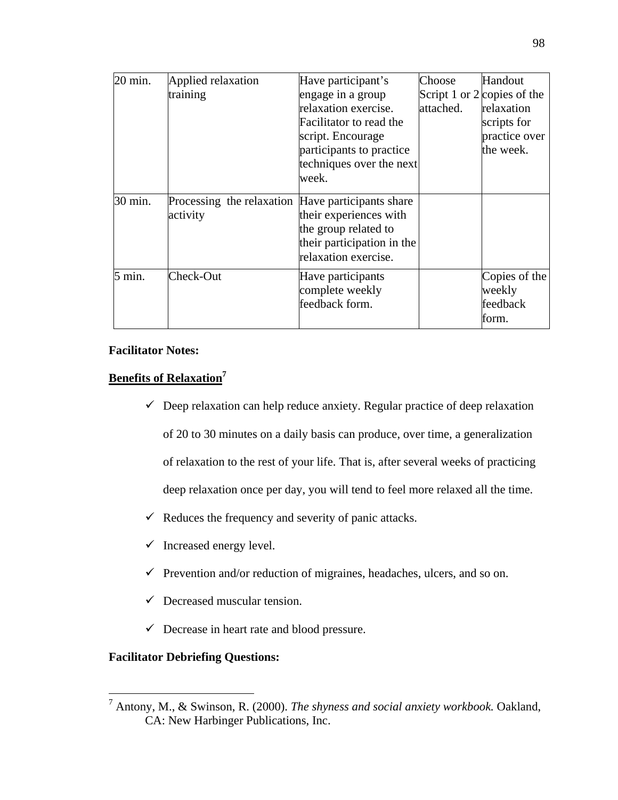| 20 min. | Applied relaxation                                | Have participant's         | Choose    | Handout                     |
|---------|---------------------------------------------------|----------------------------|-----------|-----------------------------|
|         | training                                          | engage in a group          |           | Script 1 or 2 copies of the |
|         |                                                   | relaxation exercise.       | attached. | relaxation                  |
|         |                                                   | Facilitator to read the    |           | scripts for                 |
|         |                                                   | script. Encourage          |           | practice over               |
|         |                                                   | participants to practice   |           | the week.                   |
|         |                                                   | techniques over the next   |           |                             |
|         |                                                   | week.                      |           |                             |
| 30 min. | Processing the relaxation Have participants share |                            |           |                             |
|         | activity                                          | their experiences with     |           |                             |
|         |                                                   | the group related to       |           |                             |
|         |                                                   | their participation in the |           |                             |
|         |                                                   | relaxation exercise.       |           |                             |
| 5 min.  | Check-Out                                         | Have participants          |           | Copies of the               |
|         |                                                   | complete weekly            |           | weekly                      |
|         |                                                   | feedback form.             |           | feedback                    |
|         |                                                   |                            |           | form.                       |
|         |                                                   |                            |           |                             |

# **Facilitator Notes:**

# **Benefits of Relaxation7**

- $\checkmark$  Deep relaxation can help reduce anxiety. Regular practice of deep relaxation of 20 to 30 minutes on a daily basis can produce, over time, a generalization of relaxation to the rest of your life. That is, after several weeks of practicing deep relaxation once per day, you will tend to feel more relaxed all the time.
- $\checkmark$  Reduces the frequency and severity of panic attacks.
- $\checkmark$  Increased energy level.
- $\checkmark$  Prevention and/or reduction of migraines, headaches, ulcers, and so on.
- $\checkmark$  Decreased muscular tension.
- $\checkmark$  Decrease in heart rate and blood pressure.

# **Facilitator Debriefing Questions:**

<sup>7</sup> Antony, M., & Swinson, R. (2000). *The shyness and social anxiety workbook.* Oakland, CA: New Harbinger Publications, Inc.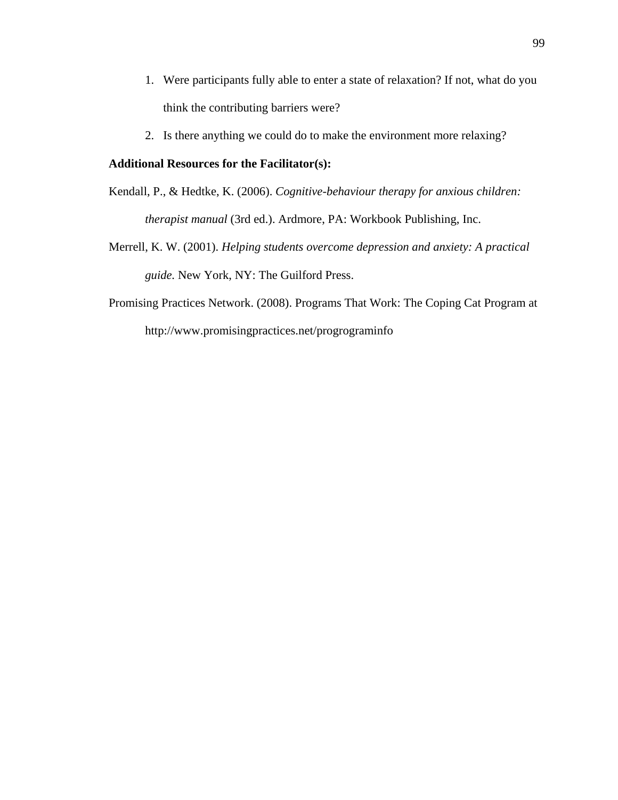- 1. Were participants fully able to enter a state of relaxation? If not, what do you think the contributing barriers were?
- 2. Is there anything we could do to make the environment more relaxing?

### **Additional Resources for the Facilitator(s):**

- Kendall, P., & Hedtke, K. (2006). *Cognitive-behaviour therapy for anxious children: therapist manual* (3rd ed.). Ardmore, PA: Workbook Publishing, Inc.
- Merrell, K. W. (2001). *Helping students overcome depression and anxiety: A practical guide.* New York, NY: The Guilford Press.
- Promising Practices Network. (2008). Programs That Work: The Coping Cat Program at http://www.promisingpractices.net/progrograminfo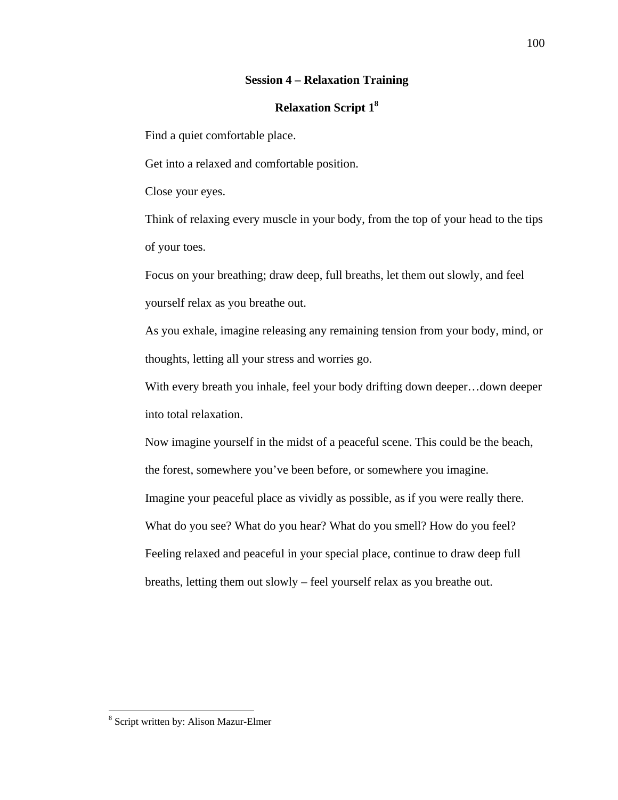### **Session 4 – Relaxation Training**

### **Relaxation Script 18**

Find a quiet comfortable place.

Get into a relaxed and comfortable position.

Close your eyes.

Think of relaxing every muscle in your body, from the top of your head to the tips of your toes.

Focus on your breathing; draw deep, full breaths, let them out slowly, and feel yourself relax as you breathe out.

As you exhale, imagine releasing any remaining tension from your body, mind, or thoughts, letting all your stress and worries go.

With every breath you inhale, feel your body drifting down deeper... down deeper into total relaxation.

Now imagine yourself in the midst of a peaceful scene. This could be the beach, the forest, somewhere you've been before, or somewhere you imagine. Imagine your peaceful place as vividly as possible, as if you were really there. What do you see? What do you hear? What do you smell? How do you feel? Feeling relaxed and peaceful in your special place, continue to draw deep full breaths, letting them out slowly – feel yourself relax as you breathe out.

<sup>8</sup> Script written by: Alison Mazur-Elmer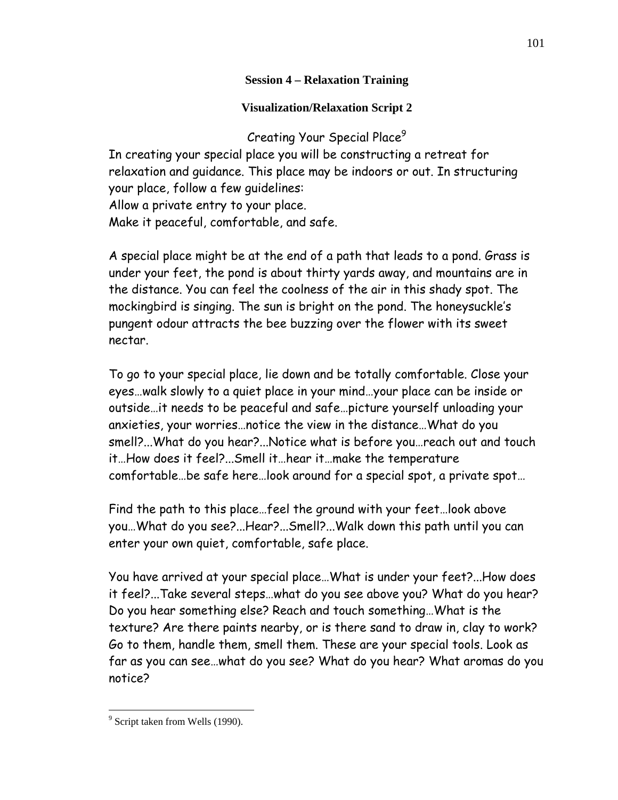# **Session 4 – Relaxation Training**

**Visualization/Relaxation Script 2** 

Creating Your Special Place<sup>9</sup>

In creating your special place you will be constructing a retreat for relaxation and guidance. This place may be indoors or out. In structuring your place, follow a few guidelines: Allow a private entry to your place. Make it peaceful, comfortable, and safe.

A special place might be at the end of a path that leads to a pond. Grass is under your feet, the pond is about thirty yards away, and mountains are in the distance. You can feel the coolness of the air in this shady spot. The mockingbird is singing. The sun is bright on the pond. The honeysuckle's pungent odour attracts the bee buzzing over the flower with its sweet nectar.

To go to your special place, lie down and be totally comfortable. Close your eyes…walk slowly to a quiet place in your mind…your place can be inside or outside…it needs to be peaceful and safe…picture yourself unloading your anxieties, your worries…notice the view in the distance…What do you smell?...What do you hear?...Notice what is before you…reach out and touch it…How does it feel?...Smell it…hear it…make the temperature comfortable…be safe here…look around for a special spot, a private spot…

Find the path to this place…feel the ground with your feet…look above you…What do you see?...Hear?...Smell?...Walk down this path until you can enter your own quiet, comfortable, safe place.

You have arrived at your special place…What is under your feet?...How does it feel?...Take several steps…what do you see above you? What do you hear? Do you hear something else? Reach and touch something…What is the texture? Are there paints nearby, or is there sand to draw in, clay to work? Go to them, handle them, smell them. These are your special tools. Look as far as you can see…what do you see? What do you hear? What aromas do you notice?

<sup>&</sup>lt;sup>9</sup> Script taken from Wells (1990).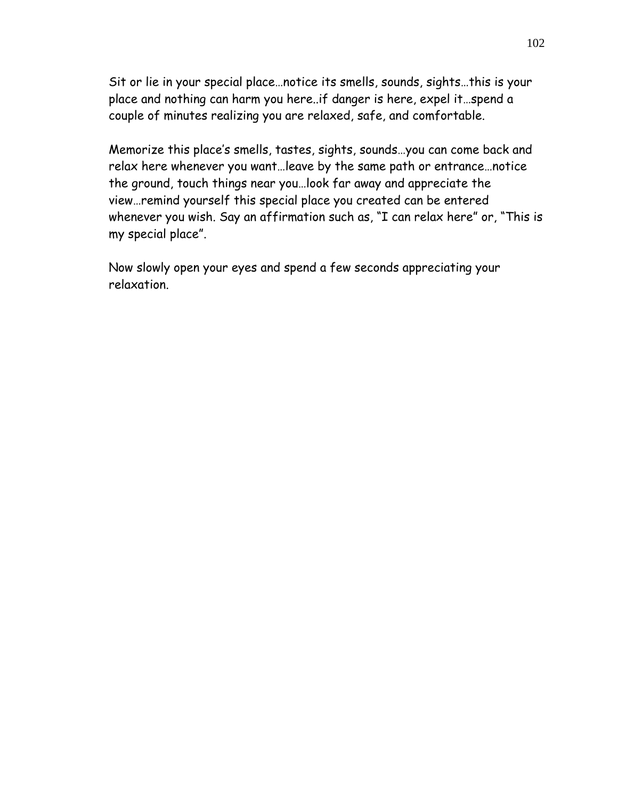Sit or lie in your special place…notice its smells, sounds, sights…this is your place and nothing can harm you here..if danger is here, expel it…spend a couple of minutes realizing you are relaxed, safe, and comfortable.

Memorize this place's smells, tastes, sights, sounds…you can come back and relax here whenever you want…leave by the same path or entrance…notice the ground, touch things near you…look far away and appreciate the view…remind yourself this special place you created can be entered whenever you wish. Say an affirmation such as, "I can relax here" or, "This is my special place".

Now slowly open your eyes and spend a few seconds appreciating your relaxation.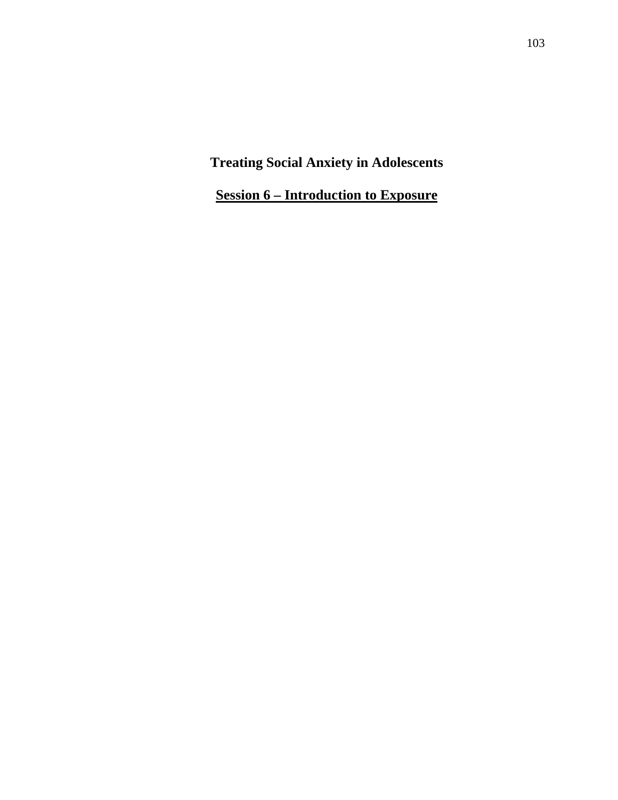**Session 6 – Introduction to Exposure**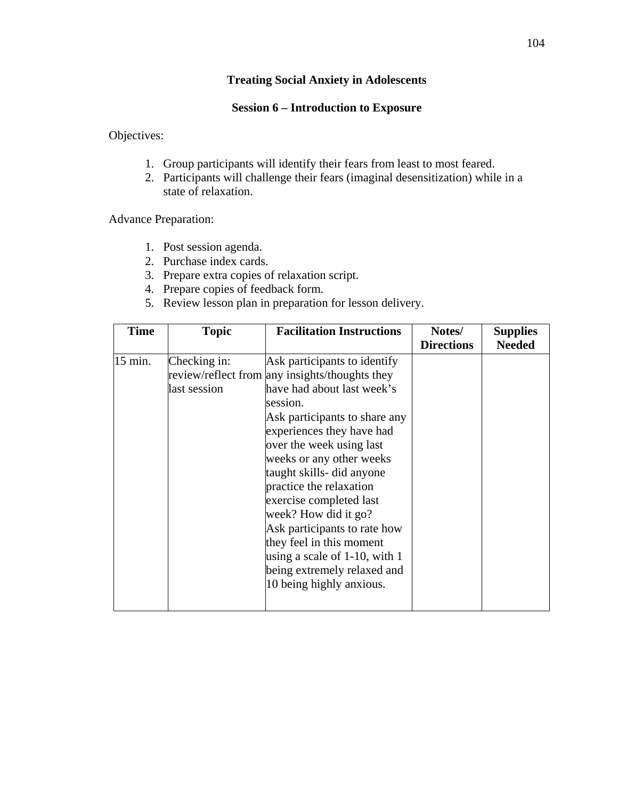## **Session 6 – Introduction to Exposure**

Objectives:

- 1. Group participants will identify their fears from least to most feared.
- 2. Participants will challenge their fears (imaginal desensitization) while in a state of relaxation.

Advance Preparation:

- 1. Post session agenda.
- 2. Purchase index cards.
- 3. Prepare extra copies of relaxation script.
- 4. Prepare copies of feedback form.
- 5. Review lesson plan in preparation for lesson delivery.

| <b>Time</b> | <b>Topic</b>                 | <b>Facilitation Instructions</b>                                                                                                                                                                                                                                                                                                                                                                                                                                                                                       | Notes/<br><b>Directions</b> | <b>Supplies</b><br><b>Needed</b> |
|-------------|------------------------------|------------------------------------------------------------------------------------------------------------------------------------------------------------------------------------------------------------------------------------------------------------------------------------------------------------------------------------------------------------------------------------------------------------------------------------------------------------------------------------------------------------------------|-----------------------------|----------------------------------|
| 15 min.     | Checking in:<br>last session | Ask participants to identify<br>review/reflect from any insights/thoughts they<br>have had about last week's<br>session.<br>Ask participants to share any<br>experiences they have had<br>over the week using last<br>weeks or any other weeks<br>taught skills- did anyone<br>practice the relaxation<br>exercise completed last<br>week? How did it go?<br>Ask participants to rate how<br>they feel in this moment<br>using a scale of $1-10$ , with $1$<br>being extremely relaxed and<br>10 being highly anxious. |                             |                                  |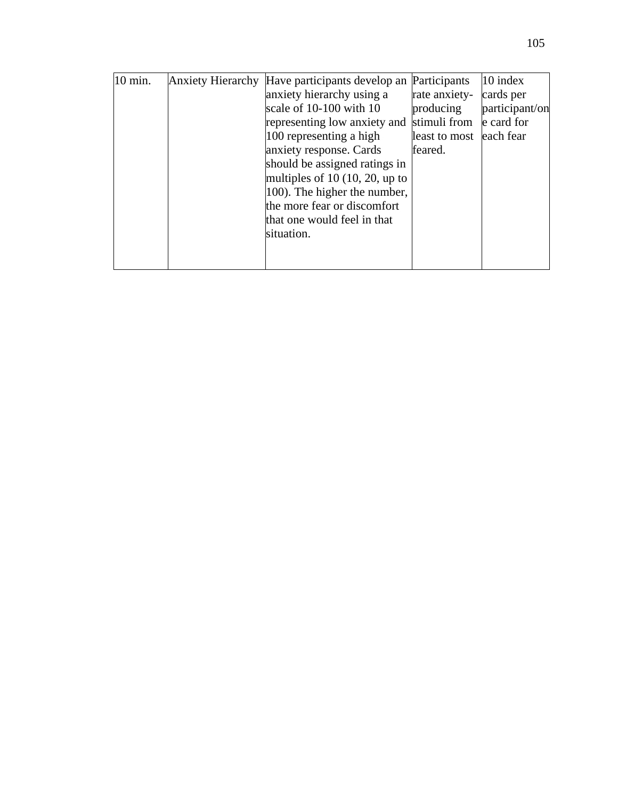| 10 min. | Anxiety Hierarchy Have participants develop an Participants |               | 10 index       |
|---------|-------------------------------------------------------------|---------------|----------------|
|         | anxiety hierarchy using a                                   | rate anxiety- | cards per      |
|         | scale of 10-100 with 10                                     | producing     | participant/on |
|         | representing low anxiety and                                | stimuli from  | e card for     |
|         | 100 representing a high                                     | least to most | each fear      |
|         | anxiety response. Cards                                     | feared.       |                |
|         | should be assigned ratings in                               |               |                |
|         | multiples of 10 $(10, 20, \text{up to})$                    |               |                |
|         | 100). The higher the number,                                |               |                |
|         | the more fear or discomfort                                 |               |                |
|         | that one would feel in that                                 |               |                |
|         | situation.                                                  |               |                |
|         |                                                             |               |                |
|         |                                                             |               |                |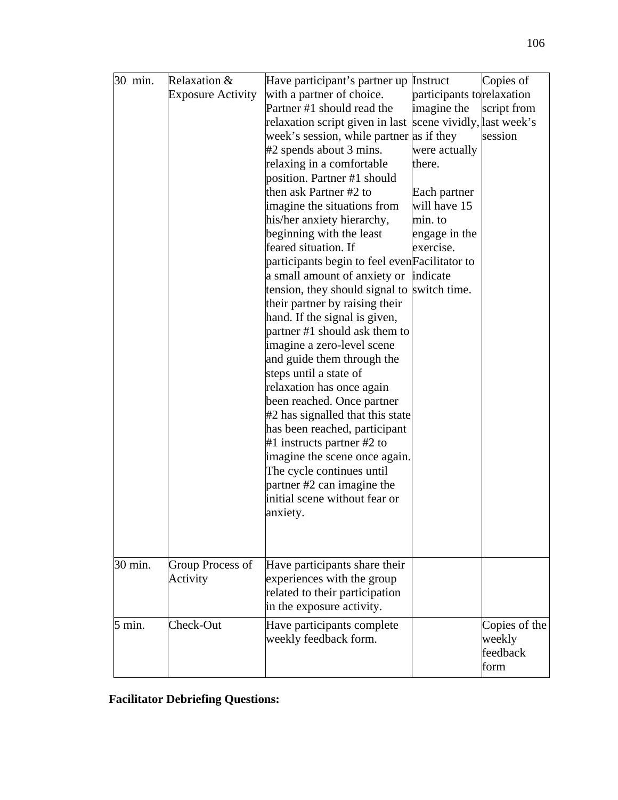| 30 min. | Relaxation &             | Have participant's partner up Instruct                     |                           | Copies of     |
|---------|--------------------------|------------------------------------------------------------|---------------------------|---------------|
|         | <b>Exposure Activity</b> | with a partner of choice.                                  | participants torelaxation |               |
|         |                          | Partner #1 should read the                                 | imagine the               | script from   |
|         |                          | relaxation script given in last scene vividly, last week's |                           |               |
|         |                          | week's session, while partner as if they                   |                           | session       |
|         |                          | #2 spends about 3 mins.                                    | were actually             |               |
|         |                          | relaxing in a comfortable                                  | there.                    |               |
|         |                          | position. Partner #1 should                                |                           |               |
|         |                          | then ask Partner #2 to                                     | Each partner              |               |
|         |                          | imagine the situations from                                | will have 15              |               |
|         |                          | his/her anxiety hierarchy,                                 | min. to                   |               |
|         |                          | beginning with the least                                   | engage in the             |               |
|         |                          | feared situation. If                                       | exercise.                 |               |
|         |                          | participants begin to feel even Facilitator to             |                           |               |
|         |                          | a small amount of anxiety or indicate                      |                           |               |
|         |                          | tension, they should signal to switch time.                |                           |               |
|         |                          | their partner by raising their                             |                           |               |
|         |                          | hand. If the signal is given,                              |                           |               |
|         |                          | partner #1 should ask them to                              |                           |               |
|         |                          | imagine a zero-level scene                                 |                           |               |
|         |                          | and guide them through the                                 |                           |               |
|         |                          | steps until a state of                                     |                           |               |
|         |                          | relaxation has once again                                  |                           |               |
|         |                          | been reached. Once partner                                 |                           |               |
|         |                          | #2 has signalled that this state                           |                           |               |
|         |                          | has been reached, participant                              |                           |               |
|         |                          | $#1$ instructs partner $#2$ to                             |                           |               |
|         |                          | imagine the scene once again.                              |                           |               |
|         |                          | The cycle continues until                                  |                           |               |
|         |                          | partner #2 can imagine the                                 |                           |               |
|         |                          | initial scene without fear or                              |                           |               |
|         |                          | anxiety.                                                   |                           |               |
|         |                          |                                                            |                           |               |
|         |                          |                                                            |                           |               |
| 30 min. | Group Process of         | Have participants share their                              |                           |               |
|         | Activity                 | experiences with the group                                 |                           |               |
|         |                          | related to their participation                             |                           |               |
|         |                          | in the exposure activity.                                  |                           |               |
| 5 min.  | Check-Out                | Have participants complete                                 |                           | Copies of the |
|         |                          | weekly feedback form.                                      |                           | weekly        |
|         |                          |                                                            |                           | feedback      |
|         |                          |                                                            |                           | form          |
|         |                          |                                                            |                           |               |

## **Facilitator Debriefing Questions:**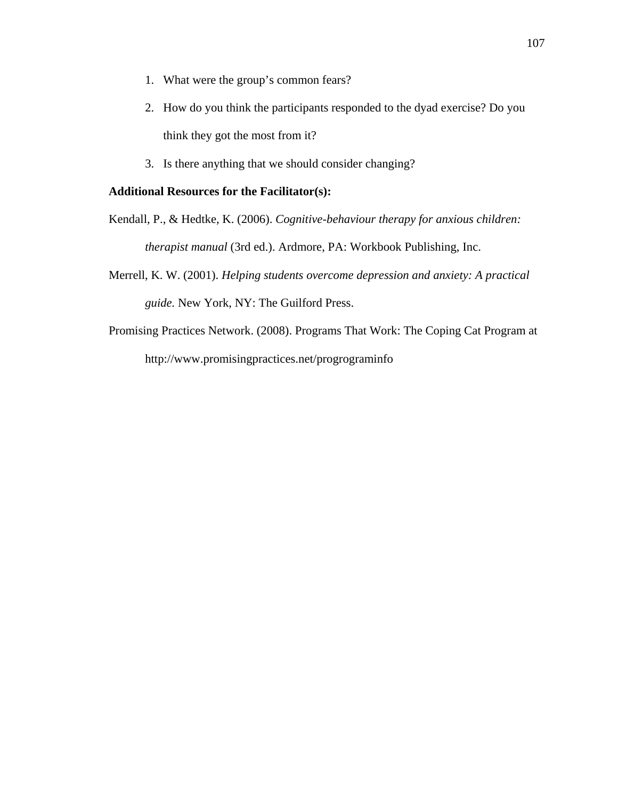- 1. What were the group's common fears?
- 2. How do you think the participants responded to the dyad exercise? Do you think they got the most from it?
- 3. Is there anything that we should consider changing?

## **Additional Resources for the Facilitator(s):**

Kendall, P., & Hedtke, K. (2006). *Cognitive-behaviour therapy for anxious children: therapist manual* (3rd ed.). Ardmore, PA: Workbook Publishing, Inc.

- Merrell, K. W. (2001). *Helping students overcome depression and anxiety: A practical guide.* New York, NY: The Guilford Press.
- Promising Practices Network. (2008). Programs That Work: The Coping Cat Program at http://www.promisingpractices.net/progrograminfo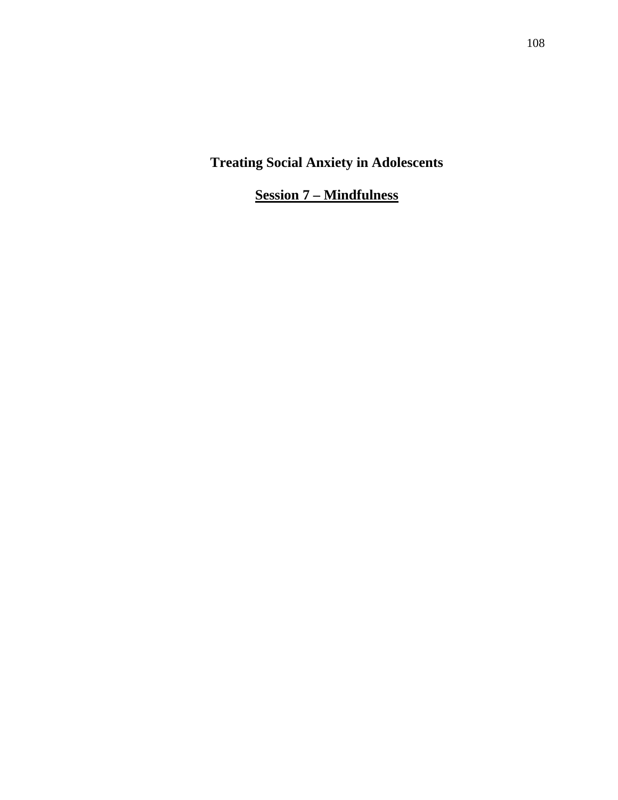**Session 7 – Mindfulness**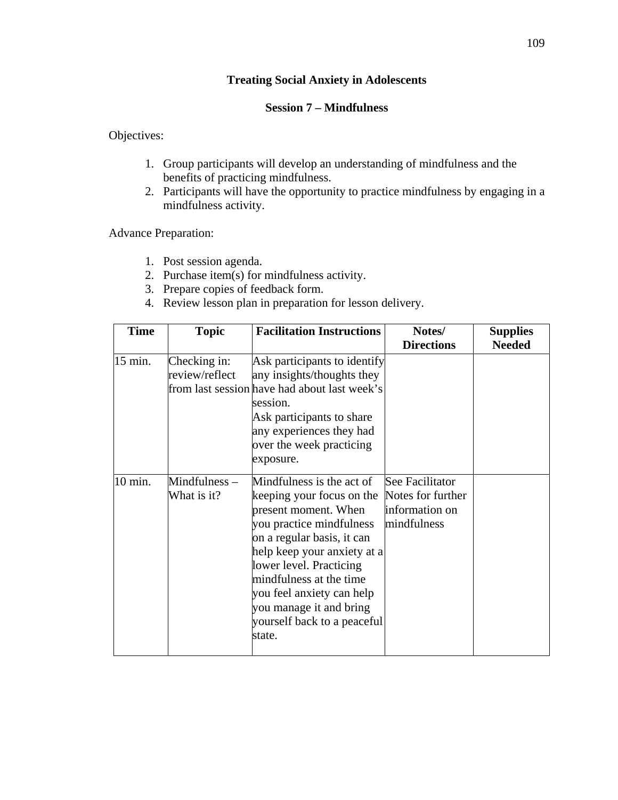## **Session 7 – Mindfulness**

Objectives:

- 1. Group participants will develop an understanding of mindfulness and the benefits of practicing mindfulness.
- 2. Participants will have the opportunity to practice mindfulness by engaging in a mindfulness activity.

Advance Preparation:

- 1. Post session agenda.
- 2. Purchase item(s) for mindfulness activity.
- 3. Prepare copies of feedback form.
- 4. Review lesson plan in preparation for lesson delivery.

| <b>Time</b> | <b>Topic</b>                   | <b>Facilitation Instructions</b>                                                                                                                                                                                                                                                                                               | Notes/                                                                | <b>Supplies</b> |
|-------------|--------------------------------|--------------------------------------------------------------------------------------------------------------------------------------------------------------------------------------------------------------------------------------------------------------------------------------------------------------------------------|-----------------------------------------------------------------------|-----------------|
|             |                                |                                                                                                                                                                                                                                                                                                                                | <b>Directions</b>                                                     | <b>Needed</b>   |
| 15 min.     | Checking in:<br>review/reflect | Ask participants to identify<br>any insights/thoughts they<br>from last session have had about last week's<br>session.<br>Ask participants to share<br>any experiences they had<br>over the week practicing<br>exposure.                                                                                                       |                                                                       |                 |
| 10 min.     | $Mindfulness -$<br>What is it? | Mindfulness is the act of<br>keeping your focus on the<br>present moment. When<br>you practice mindfulness<br>on a regular basis, it can<br>help keep your anxiety at a<br>lower level. Practicing<br>mindfulness at the time<br>you feel anxiety can help<br>you manage it and bring<br>yourself back to a peaceful<br>state. | See Facilitator<br>Notes for further<br>information on<br>mindfulness |                 |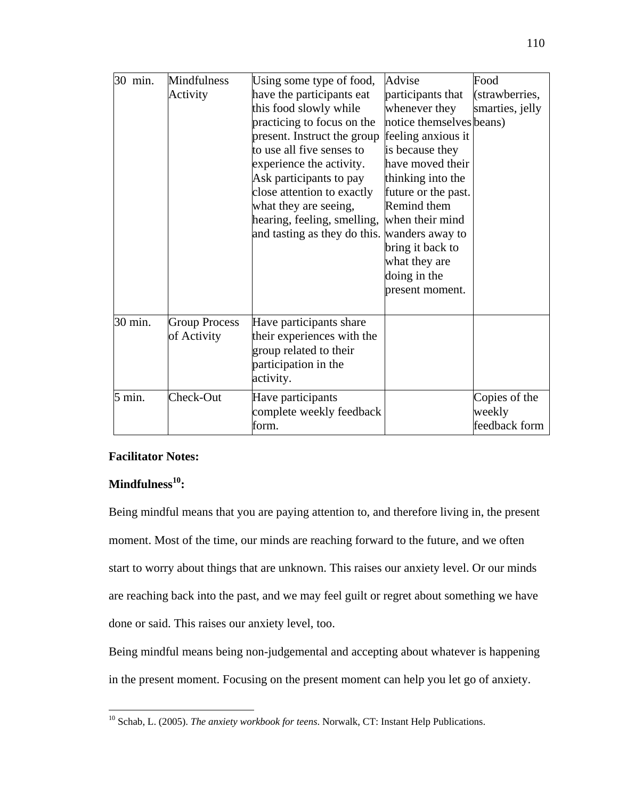| 30 min.          | <b>Mindfulness</b><br>Activity      | Using some type of food,<br>have the participants eat<br>this food slowly while<br>practicing to focus on the<br>present. Instruct the group<br>to use all five senses to<br>experience the activity.<br>Ask participants to pay<br>close attention to exactly<br>what they are seeing,<br>hearing, feeling, smelling,<br>and tasting as they do this. | Advise<br>participants that<br>whenever they<br>notice themselves beans)<br>feeling anxious it<br>is because they<br>have moved their<br>thinking into the<br>future or the past.<br>Remind them<br>when their mind<br>wanders away to<br>bring it back to<br>what they are<br>doing in the<br>present moment. | Food<br>(strawberries,<br>smarties, jelly |
|------------------|-------------------------------------|--------------------------------------------------------------------------------------------------------------------------------------------------------------------------------------------------------------------------------------------------------------------------------------------------------------------------------------------------------|----------------------------------------------------------------------------------------------------------------------------------------------------------------------------------------------------------------------------------------------------------------------------------------------------------------|-------------------------------------------|
| 30 min.          | <b>Group Process</b><br>of Activity | Have participants share<br>their experiences with the<br>group related to their<br>participation in the<br>activity.                                                                                                                                                                                                                                   |                                                                                                                                                                                                                                                                                                                |                                           |
| $5 \text{ min.}$ | Check-Out                           | Have participants<br>complete weekly feedback<br>form.                                                                                                                                                                                                                                                                                                 |                                                                                                                                                                                                                                                                                                                | Copies of the<br>weekly<br>feedback form  |

## **Facilitator Notes:**

## **Mindfulness10:**

 $\overline{a}$ 

Being mindful means that you are paying attention to, and therefore living in, the present moment. Most of the time, our minds are reaching forward to the future, and we often start to worry about things that are unknown. This raises our anxiety level. Or our minds are reaching back into the past, and we may feel guilt or regret about something we have done or said. This raises our anxiety level, too.

Being mindful means being non-judgemental and accepting about whatever is happening in the present moment. Focusing on the present moment can help you let go of anxiety.

<sup>10</sup> Schab, L. (2005). *The anxiety workbook for teens*. Norwalk, CT: Instant Help Publications.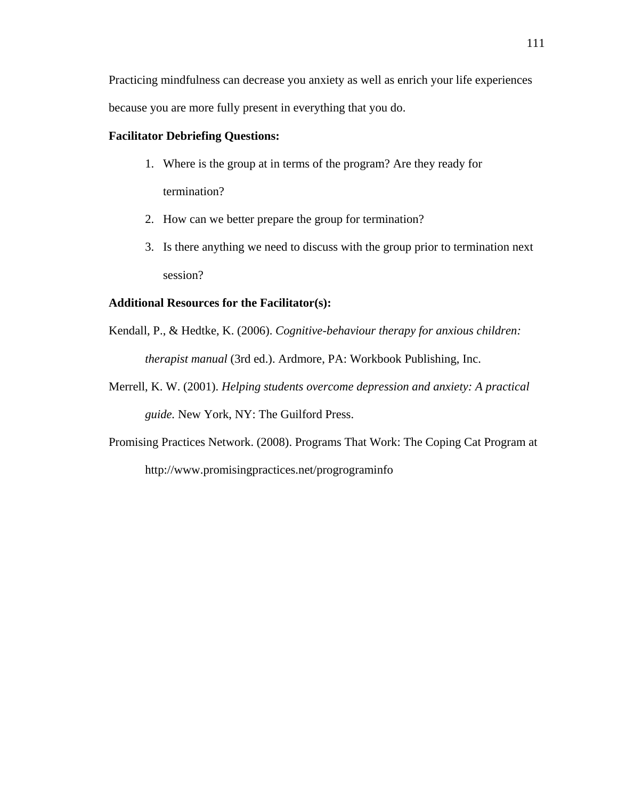Practicing mindfulness can decrease you anxiety as well as enrich your life experiences because you are more fully present in everything that you do.

#### **Facilitator Debriefing Questions:**

- 1. Where is the group at in terms of the program? Are they ready for termination?
- 2. How can we better prepare the group for termination?
- 3. Is there anything we need to discuss with the group prior to termination next session?

#### **Additional Resources for the Facilitator(s):**

- Kendall, P., & Hedtke, K. (2006). *Cognitive-behaviour therapy for anxious children: therapist manual* (3rd ed.). Ardmore, PA: Workbook Publishing, Inc.
- Merrell, K. W. (2001). *Helping students overcome depression and anxiety: A practical guide.* New York, NY: The Guilford Press.
- Promising Practices Network. (2008). Programs That Work: The Coping Cat Program at http://www.promisingpractices.net/progrograminfo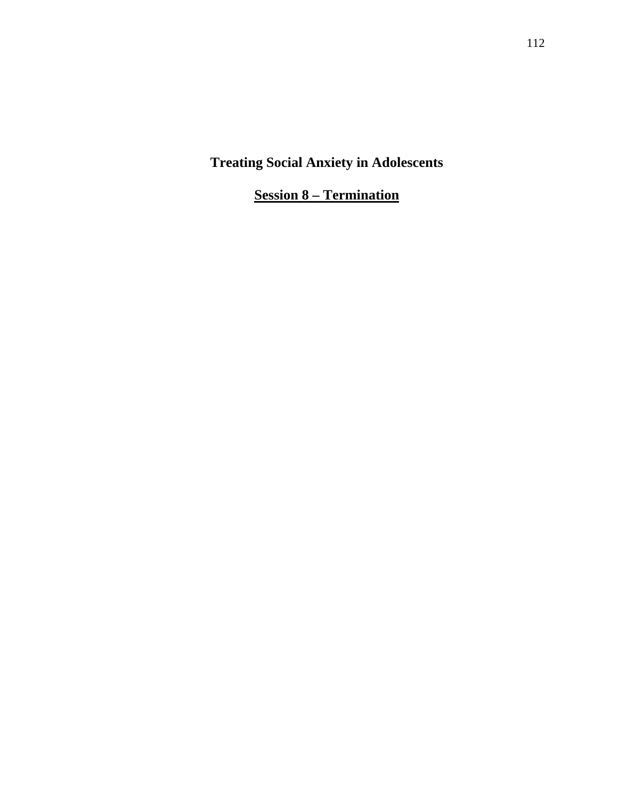**Session 8 – Termination**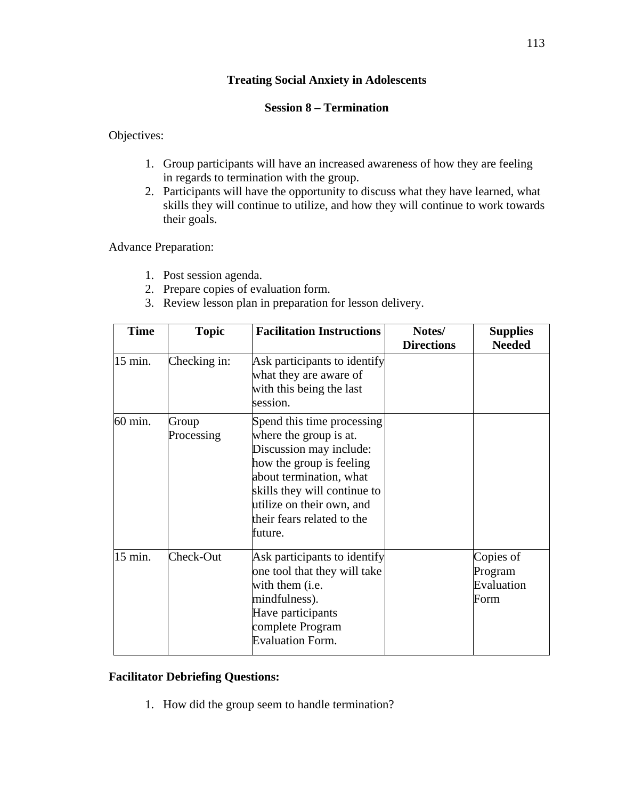## **Session 8 – Termination**

Objectives:

- 1. Group participants will have an increased awareness of how they are feeling in regards to termination with the group.
- 2. Participants will have the opportunity to discuss what they have learned, what skills they will continue to utilize, and how they will continue to work towards their goals.

Advance Preparation:

- 1. Post session agenda.
- 2. Prepare copies of evaluation form.
- 3. Review lesson plan in preparation for lesson delivery.

| <b>Time</b> | <b>Topic</b>        | <b>Facilitation Instructions</b>                                                                                                                                                                                                             | Notes/<br><b>Directions</b> | <b>Supplies</b><br><b>Needed</b>           |
|-------------|---------------------|----------------------------------------------------------------------------------------------------------------------------------------------------------------------------------------------------------------------------------------------|-----------------------------|--------------------------------------------|
| 15 min.     | Checking in:        | Ask participants to identify<br>what they are aware of<br>with this being the last<br>session.                                                                                                                                               |                             |                                            |
| 60 min.     | Group<br>Processing | Spend this time processing<br>where the group is at.<br>Discussion may include:<br>how the group is feeling<br>about termination, what<br>skills they will continue to<br>utilize on their own, and<br>their fears related to the<br>future. |                             |                                            |
| 15 min.     | Check-Out           | Ask participants to identify<br>one tool that they will take<br>with them ( <i>i.e.</i><br>mindfulness).<br>Have participants<br>complete Program<br><b>Evaluation Form.</b>                                                                 |                             | Copies of<br>Program<br>Evaluation<br>Form |

## **Facilitator Debriefing Questions:**

1. How did the group seem to handle termination?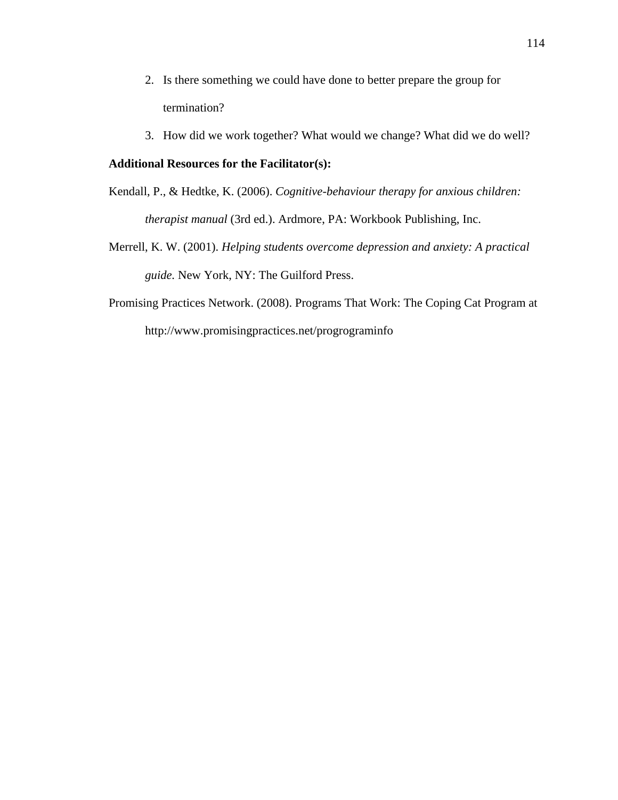- 2. Is there something we could have done to better prepare the group for termination?
- 3. How did we work together? What would we change? What did we do well?

## **Additional Resources for the Facilitator(s):**

- Kendall, P., & Hedtke, K. (2006). *Cognitive-behaviour therapy for anxious children: therapist manual* (3rd ed.). Ardmore, PA: Workbook Publishing, Inc.
- Merrell, K. W. (2001). *Helping students overcome depression and anxiety: A practical guide.* New York, NY: The Guilford Press.
- Promising Practices Network. (2008). Programs That Work: The Coping Cat Program at http://www.promisingpractices.net/progrograminfo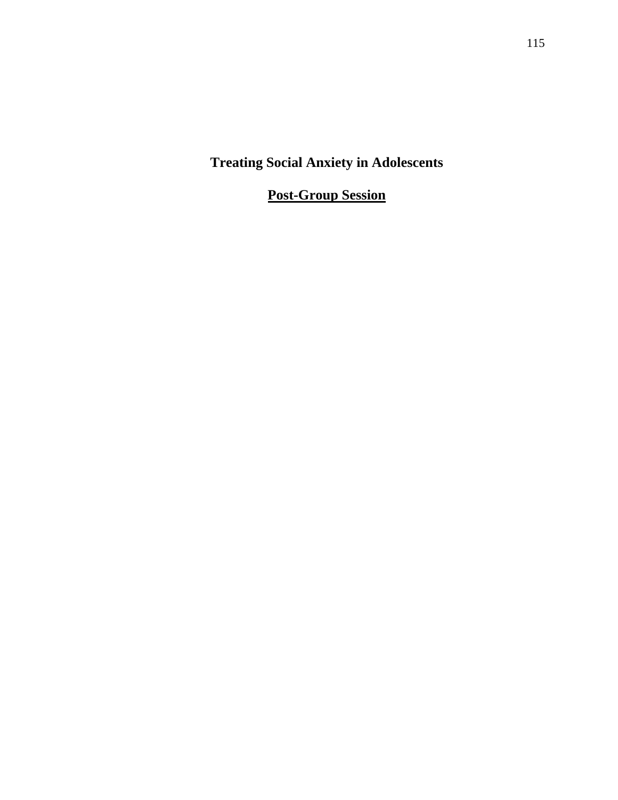**Post-Group Session**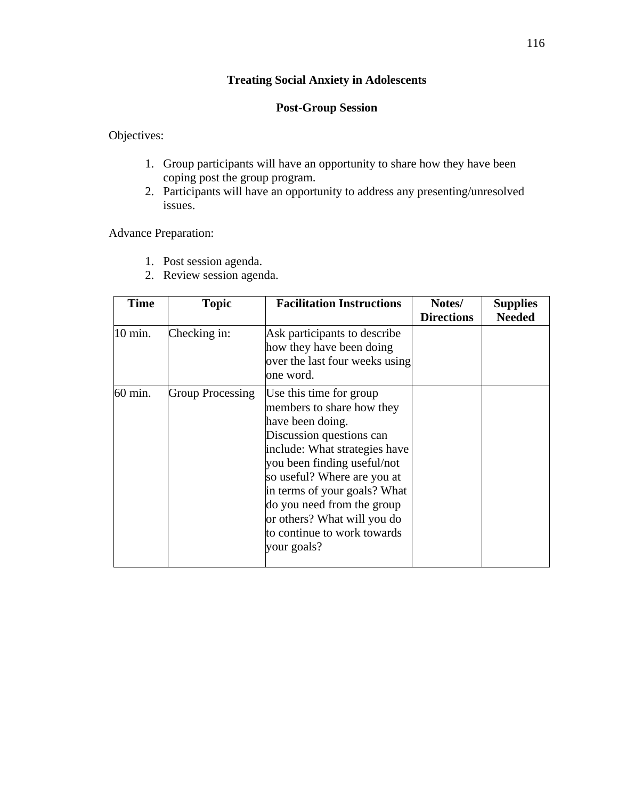## **Post-Group Session**

Objectives:

- 1. Group participants will have an opportunity to share how they have been coping post the group program.
- 2. Participants will have an opportunity to address any presenting/unresolved issues.

Advance Preparation:

- 1. Post session agenda.
- 2. Review session agenda.

| <b>Time</b> | <b>Topic</b>            | <b>Facilitation Instructions</b>                                                                                                                                                                                                                                                                                                               | Notes/<br><b>Directions</b> | <b>Supplies</b><br><b>Needed</b> |
|-------------|-------------------------|------------------------------------------------------------------------------------------------------------------------------------------------------------------------------------------------------------------------------------------------------------------------------------------------------------------------------------------------|-----------------------------|----------------------------------|
| 10 min.     | Checking in:            | Ask participants to describe<br>how they have been doing<br>over the last four weeks using<br>one word.                                                                                                                                                                                                                                        |                             |                                  |
| 60 min.     | <b>Group Processing</b> | Use this time for group<br>members to share how they<br>have been doing.<br>Discussion questions can<br>include: What strategies have<br>you been finding useful/not<br>so useful? Where are you at<br>in terms of your goals? What<br>do you need from the group<br>or others? What will you do<br>to continue to work towards<br>your goals? |                             |                                  |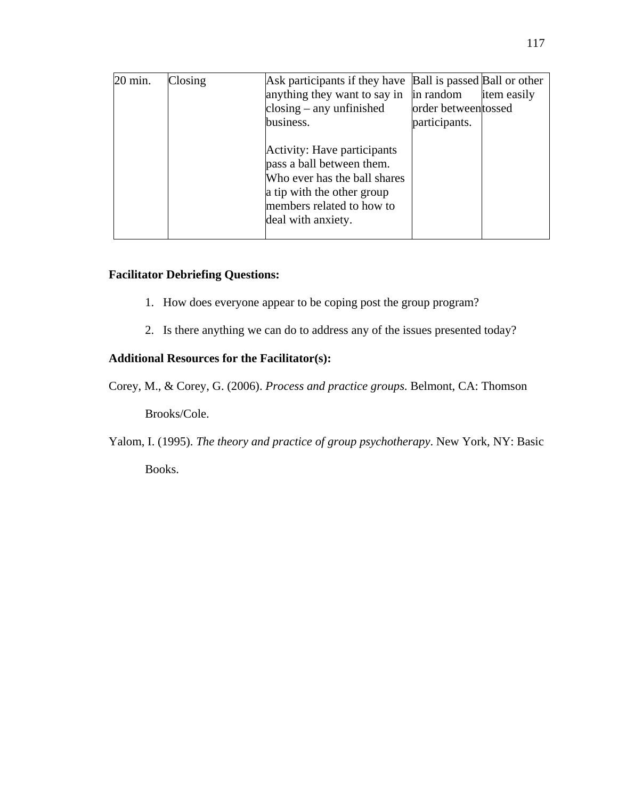| 20 min. | Closing | Ask participants if they have Ball is passed Ball or other                                                                                                                |                     |             |
|---------|---------|---------------------------------------------------------------------------------------------------------------------------------------------------------------------------|---------------------|-------------|
|         |         | anything they want to say in                                                                                                                                              | in random           | item easily |
|         |         | closing $-$ any unfinished                                                                                                                                                | order betweentossed |             |
|         |         | business.                                                                                                                                                                 | participants.       |             |
|         |         | Activity: Have participants<br>pass a ball between them.<br>Who ever has the ball shares<br>a tip with the other group<br>members related to how to<br>deal with anxiety. |                     |             |

## **Facilitator Debriefing Questions:**

- 1. How does everyone appear to be coping post the group program?
- 2. Is there anything we can do to address any of the issues presented today?

## **Additional Resources for the Facilitator(s):**

Corey, M., & Corey, G. (2006). *Process and practice groups*. Belmont, CA: Thomson

Brooks/Cole.

Yalom, I. (1995). *The theory and practice of group psychotherapy*. New York, NY: Basic

Books.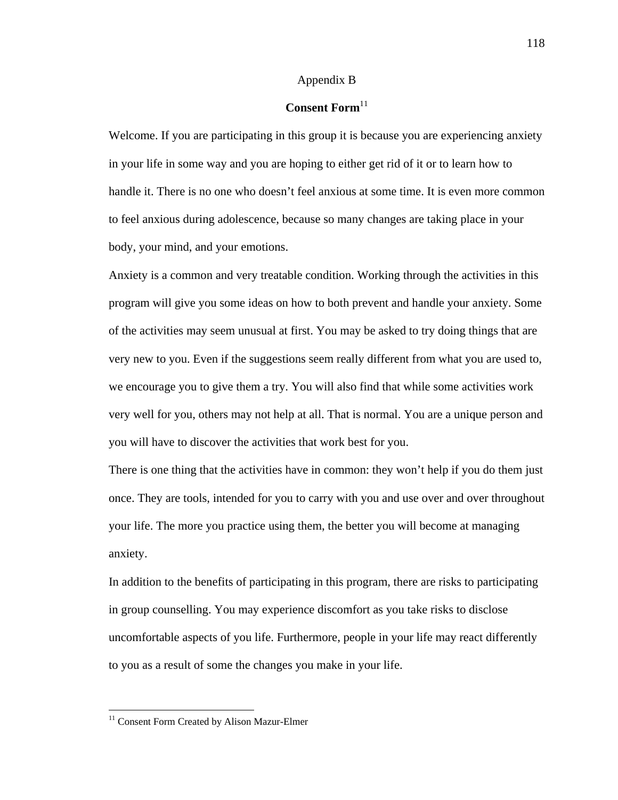#### Appendix B

## **Consent Form**<sup>11</sup>

Welcome. If you are participating in this group it is because you are experiencing anxiety in your life in some way and you are hoping to either get rid of it or to learn how to handle it. There is no one who doesn't feel anxious at some time. It is even more common to feel anxious during adolescence, because so many changes are taking place in your body, your mind, and your emotions.

Anxiety is a common and very treatable condition. Working through the activities in this program will give you some ideas on how to both prevent and handle your anxiety. Some of the activities may seem unusual at first. You may be asked to try doing things that are very new to you. Even if the suggestions seem really different from what you are used to, we encourage you to give them a try. You will also find that while some activities work very well for you, others may not help at all. That is normal. You are a unique person and you will have to discover the activities that work best for you.

There is one thing that the activities have in common: they won't help if you do them just once. They are tools, intended for you to carry with you and use over and over throughout your life. The more you practice using them, the better you will become at managing anxiety.

In addition to the benefits of participating in this program, there are risks to participating in group counselling. You may experience discomfort as you take risks to disclose uncomfortable aspects of you life. Furthermore, people in your life may react differently to you as a result of some the changes you make in your life.

 $\overline{a}$ 

<sup>&</sup>lt;sup>11</sup> Consent Form Created by Alison Mazur-Elmer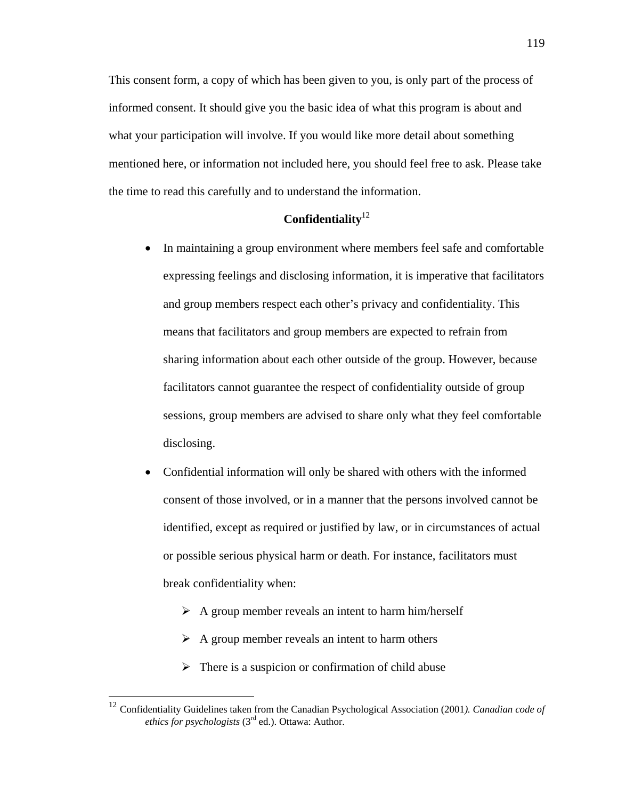This consent form, a copy of which has been given to you, is only part of the process of informed consent. It should give you the basic idea of what this program is about and what your participation will involve. If you would like more detail about something mentioned here, or information not included here, you should feel free to ask. Please take the time to read this carefully and to understand the information.

## **Confidentiality**<sup>12</sup>

- In maintaining a group environment where members feel safe and comfortable expressing feelings and disclosing information, it is imperative that facilitators and group members respect each other's privacy and confidentiality. This means that facilitators and group members are expected to refrain from sharing information about each other outside of the group. However, because facilitators cannot guarantee the respect of confidentiality outside of group sessions, group members are advised to share only what they feel comfortable disclosing.
- Confidential information will only be shared with others with the informed consent of those involved, or in a manner that the persons involved cannot be identified, except as required or justified by law, or in circumstances of actual or possible serious physical harm or death. For instance, facilitators must break confidentiality when:
	- $\triangleright$  A group member reveals an intent to harm him/herself
	- $\triangleright$  A group member reveals an intent to harm others
	- $\triangleright$  There is a suspicion or confirmation of child abuse

 $\overline{a}$ 

<sup>12</sup> Confidentiality Guidelines taken from the Canadian Psychological Association (2001*). Canadian code of ethics for psychologists* (3rd ed.). Ottawa: Author.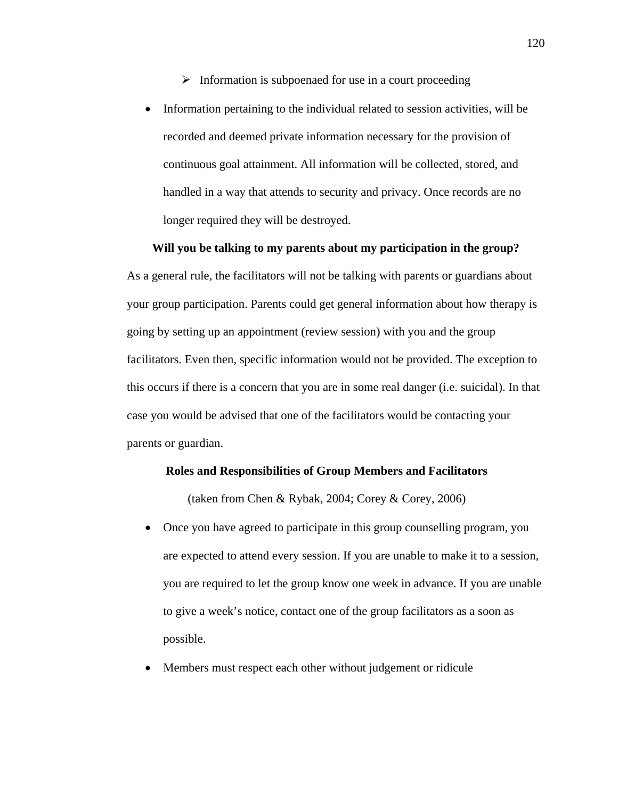- $\triangleright$  Information is subpoenaed for use in a court proceeding
- Information pertaining to the individual related to session activities, will be recorded and deemed private information necessary for the provision of continuous goal attainment. All information will be collected, stored, and handled in a way that attends to security and privacy. Once records are no longer required they will be destroyed.

#### **Will you be talking to my parents about my participation in the group?**

As a general rule, the facilitators will not be talking with parents or guardians about your group participation. Parents could get general information about how therapy is going by setting up an appointment (review session) with you and the group facilitators. Even then, specific information would not be provided. The exception to this occurs if there is a concern that you are in some real danger (i.e. suicidal). In that case you would be advised that one of the facilitators would be contacting your parents or guardian.

#### **Roles and Responsibilities of Group Members and Facilitators**

(taken from Chen & Rybak, 2004; Corey & Corey, 2006)

- Once you have agreed to participate in this group counselling program, you are expected to attend every session. If you are unable to make it to a session, you are required to let the group know one week in advance. If you are unable to give a week's notice, contact one of the group facilitators as a soon as possible.
- Members must respect each other without judgement or ridicule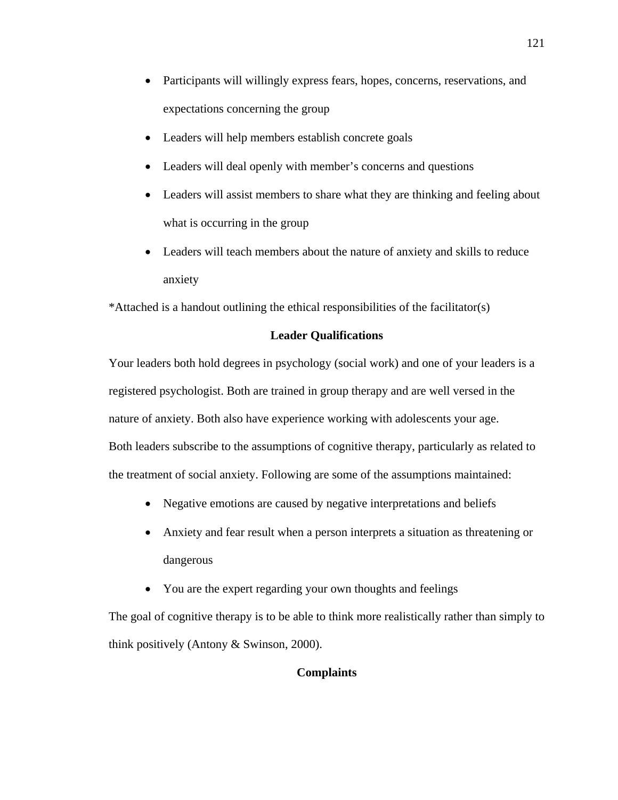- Participants will willingly express fears, hopes, concerns, reservations, and expectations concerning the group
- Leaders will help members establish concrete goals
- Leaders will deal openly with member's concerns and questions
- Leaders will assist members to share what they are thinking and feeling about what is occurring in the group
- Leaders will teach members about the nature of anxiety and skills to reduce anxiety

\*Attached is a handout outlining the ethical responsibilities of the facilitator(s)

#### **Leader Qualifications**

Your leaders both hold degrees in psychology (social work) and one of your leaders is a registered psychologist. Both are trained in group therapy and are well versed in the nature of anxiety. Both also have experience working with adolescents your age. Both leaders subscribe to the assumptions of cognitive therapy, particularly as related to the treatment of social anxiety. Following are some of the assumptions maintained:

- Negative emotions are caused by negative interpretations and beliefs
- Anxiety and fear result when a person interprets a situation as threatening or dangerous
- You are the expert regarding your own thoughts and feelings

The goal of cognitive therapy is to be able to think more realistically rather than simply to think positively (Antony & Swinson, 2000).

### **Complaints**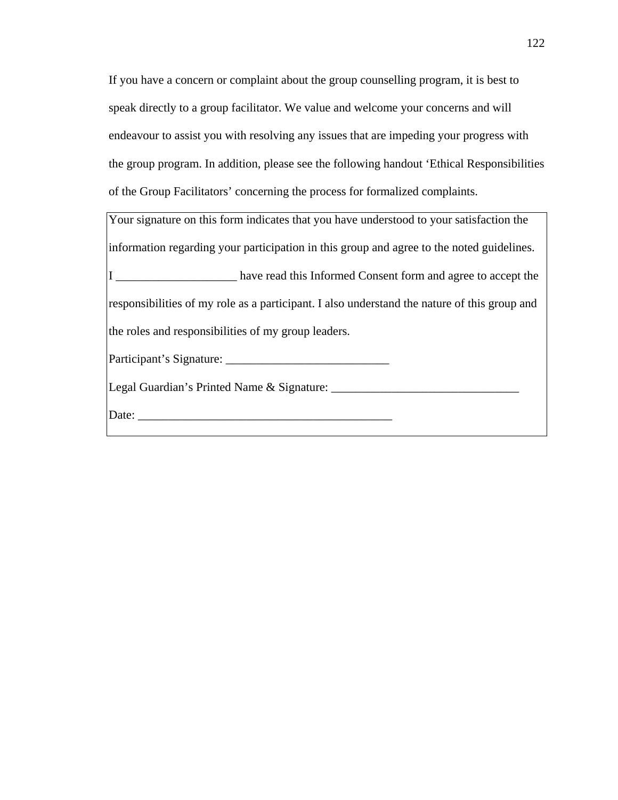If you have a concern or complaint about the group counselling program, it is best to speak directly to a group facilitator. We value and welcome your concerns and will endeavour to assist you with resolving any issues that are impeding your progress with the group program. In addition, please see the following handout 'Ethical Responsibilities of the Group Facilitators' concerning the process for formalized complaints.

| Your signature on this form indicates that you have understood to your satisfaction the      |
|----------------------------------------------------------------------------------------------|
| information regarding your participation in this group and agree to the noted guidelines.    |
| I have read this Informed Consent form and agree to accept the                               |
| responsibilities of my role as a participant. I also understand the nature of this group and |
| the roles and responsibilities of my group leaders.                                          |
|                                                                                              |
| Legal Guardian's Printed Name & Signature: _______                                           |
| Date:                                                                                        |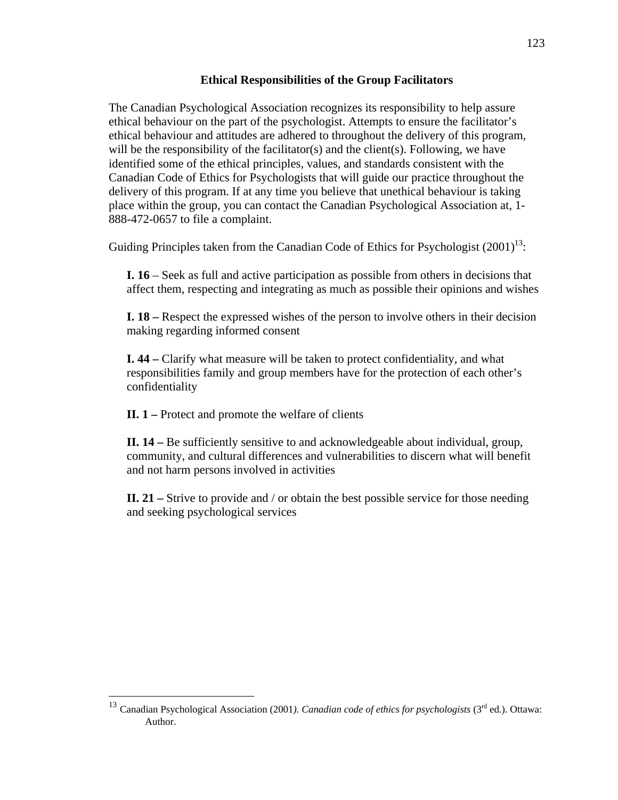## **Ethical Responsibilities of the Group Facilitators**

The Canadian Psychological Association recognizes its responsibility to help assure ethical behaviour on the part of the psychologist. Attempts to ensure the facilitator's ethical behaviour and attitudes are adhered to throughout the delivery of this program, will be the responsibility of the facilitator(s) and the client(s). Following, we have identified some of the ethical principles, values, and standards consistent with the Canadian Code of Ethics for Psychologists that will guide our practice throughout the delivery of this program. If at any time you believe that unethical behaviour is taking place within the group, you can contact the Canadian Psychological Association at, 1- 888-472-0657 to file a complaint.

Guiding Principles taken from the Canadian Code of Ethics for Psychologist  $(2001)^{13}$ :

**I. 16** – Seek as full and active participation as possible from others in decisions that affect them, respecting and integrating as much as possible their opinions and wishes

**I. 18 –** Respect the expressed wishes of the person to involve others in their decision making regarding informed consent

**I. 44 –** Clarify what measure will be taken to protect confidentiality, and what responsibilities family and group members have for the protection of each other's confidentiality

**II. 1 –** Protect and promote the welfare of clients

 $\overline{a}$ 

**II. 14 –** Be sufficiently sensitive to and acknowledgeable about individual, group, community, and cultural differences and vulnerabilities to discern what will benefit and not harm persons involved in activities

**II. 21 –** Strive to provide and / or obtain the best possible service for those needing and seeking psychological services

<sup>123</sup> 

<sup>&</sup>lt;sup>13</sup> Canadian Psychological Association (2001). Canadian code of ethics for psychologists (3<sup>rd</sup> ed.). Ottawa: Author.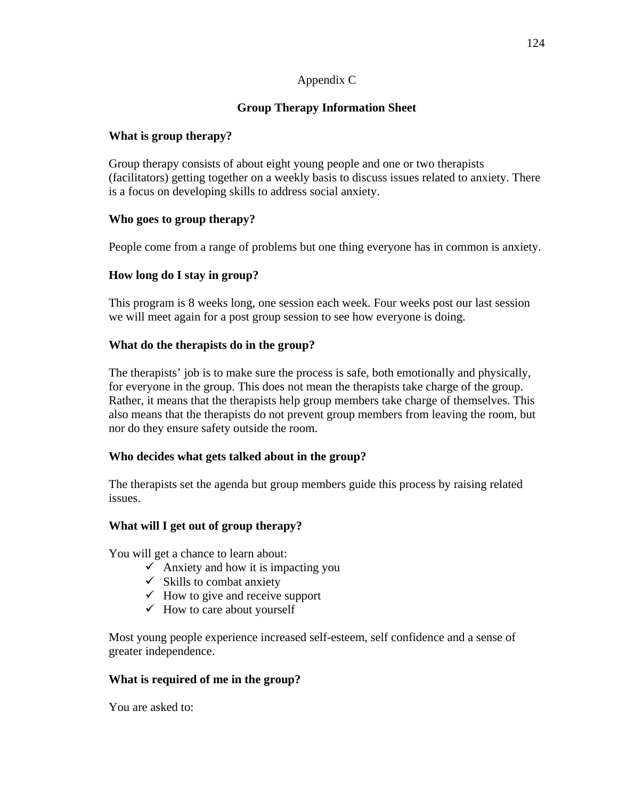## Appendix C

## **Group Therapy Information Sheet**

## **What is group therapy?**

Group therapy consists of about eight young people and one or two therapists (facilitators) getting together on a weekly basis to discuss issues related to anxiety. There is a focus on developing skills to address social anxiety.

## **Who goes to group therapy?**

People come from a range of problems but one thing everyone has in common is anxiety.

## **How long do I stay in group?**

This program is 8 weeks long, one session each week. Four weeks post our last session we will meet again for a post group session to see how everyone is doing.

## **What do the therapists do in the group?**

The therapists' job is to make sure the process is safe, both emotionally and physically, for everyone in the group. This does not mean the therapists take charge of the group. Rather, it means that the therapists help group members take charge of themselves. This also means that the therapists do not prevent group members from leaving the room, but nor do they ensure safety outside the room.

## **Who decides what gets talked about in the group?**

The therapists set the agenda but group members guide this process by raising related issues.

## **What will I get out of group therapy?**

You will get a chance to learn about:

- $\checkmark$  Anxiety and how it is impacting you
- $\checkmark$  Skills to combat anxiety
- $\checkmark$  How to give and receive support
- $\checkmark$  How to care about yourself

Most young people experience increased self-esteem, self confidence and a sense of greater independence.

## **What is required of me in the group?**

You are asked to: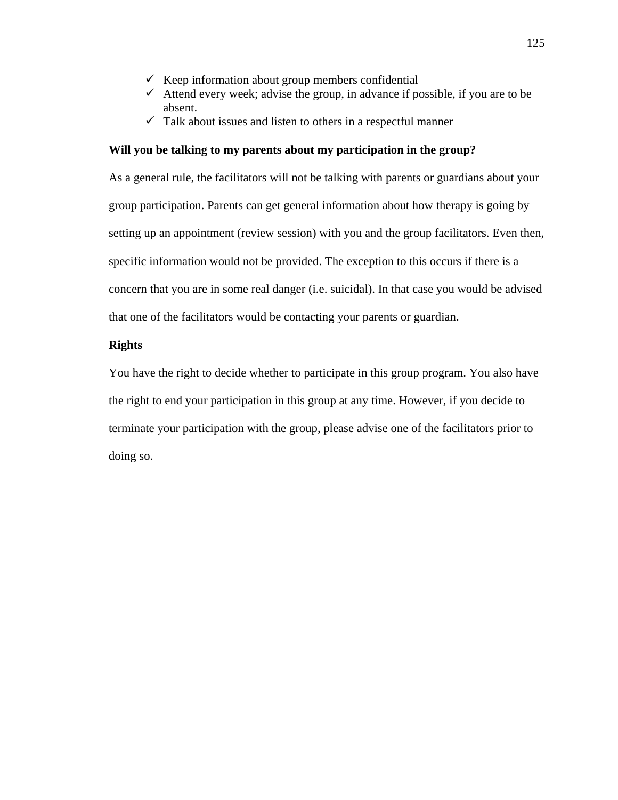- $\checkmark$  Keep information about group members confidential
- $\checkmark$  Attend every week; advise the group, in advance if possible, if you are to be absent.
- $\checkmark$  Talk about issues and listen to others in a respectful manner

#### **Will you be talking to my parents about my participation in the group?**

As a general rule, the facilitators will not be talking with parents or guardians about your group participation. Parents can get general information about how therapy is going by setting up an appointment (review session) with you and the group facilitators. Even then, specific information would not be provided. The exception to this occurs if there is a concern that you are in some real danger (i.e. suicidal). In that case you would be advised that one of the facilitators would be contacting your parents or guardian.

#### **Rights**

You have the right to decide whether to participate in this group program. You also have the right to end your participation in this group at any time. However, if you decide to terminate your participation with the group, please advise one of the facilitators prior to doing so.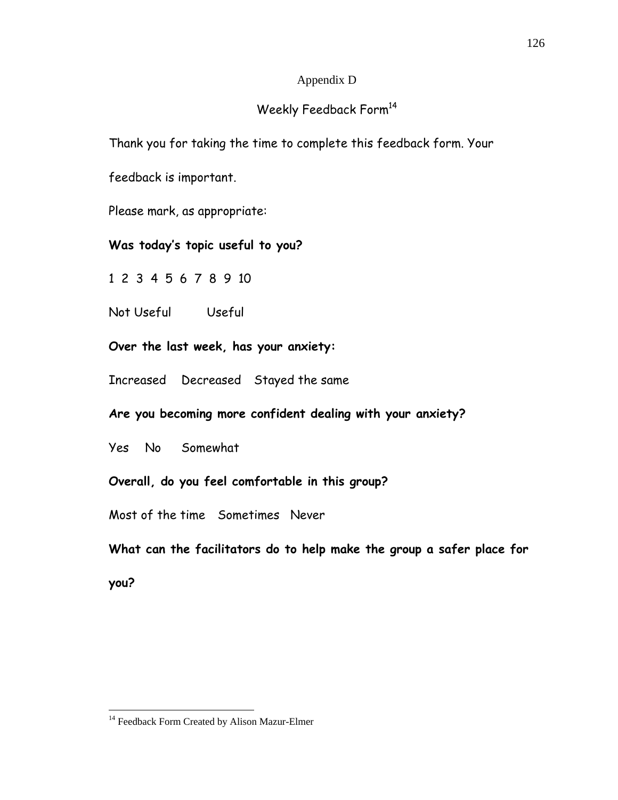## Appendix D

## Weekly Feedback Form<sup>14</sup>

Thank you for taking the time to complete this feedback form. Your

feedback is important.

Please mark, as appropriate:

## **Was today's topic useful to you?**

1 2 3 4 5 6 7 8 9 10

Not Useful Useful

**Over the last week, has your anxiety:** 

Increased Decreased Stayed the same

**Are you becoming more confident dealing with your anxiety?** 

Yes No Somewhat

**Overall, do you feel comfortable in this group?** 

Most of the time Sometimes Never

**What can the facilitators do to help make the group a safer place for** 

**you?** 

 $\overline{a}$ <sup>14</sup> Feedback Form Created by Alison Mazur-Elmer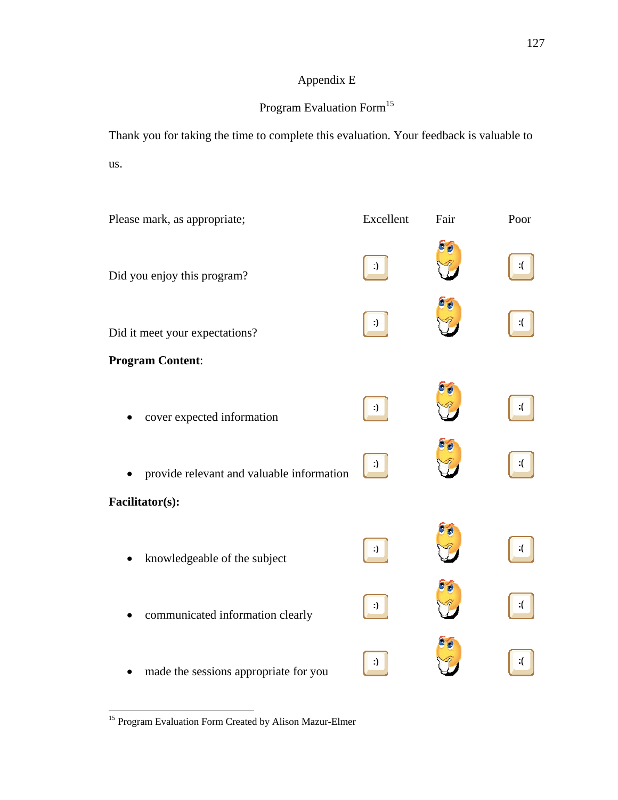## Appendix E

# Program Evaluation Form<sup>15</sup>

Thank you for taking the time to complete this evaluation. Your feedback is valuable to us.

| Please mark, as appropriate;              | Excellent | Fair | Poor |
|-------------------------------------------|-----------|------|------|
| Did you enjoy this program?               |           |      |      |
| Did it meet your expectations?            |           |      |      |
| <b>Program Content:</b>                   |           |      |      |
| cover expected information                |           |      |      |
| provide relevant and valuable information |           |      |      |
| Facilitator(s):                           |           |      |      |
| knowledgeable of the subject              |           |      |      |
| communicated information clearly          |           |      |      |
| made the sessions appropriate for you     |           |      |      |

<sup>&</sup>lt;sup>15</sup> Program Evaluation Form Created by Alison Mazur-Elmer

 $\overline{a}$